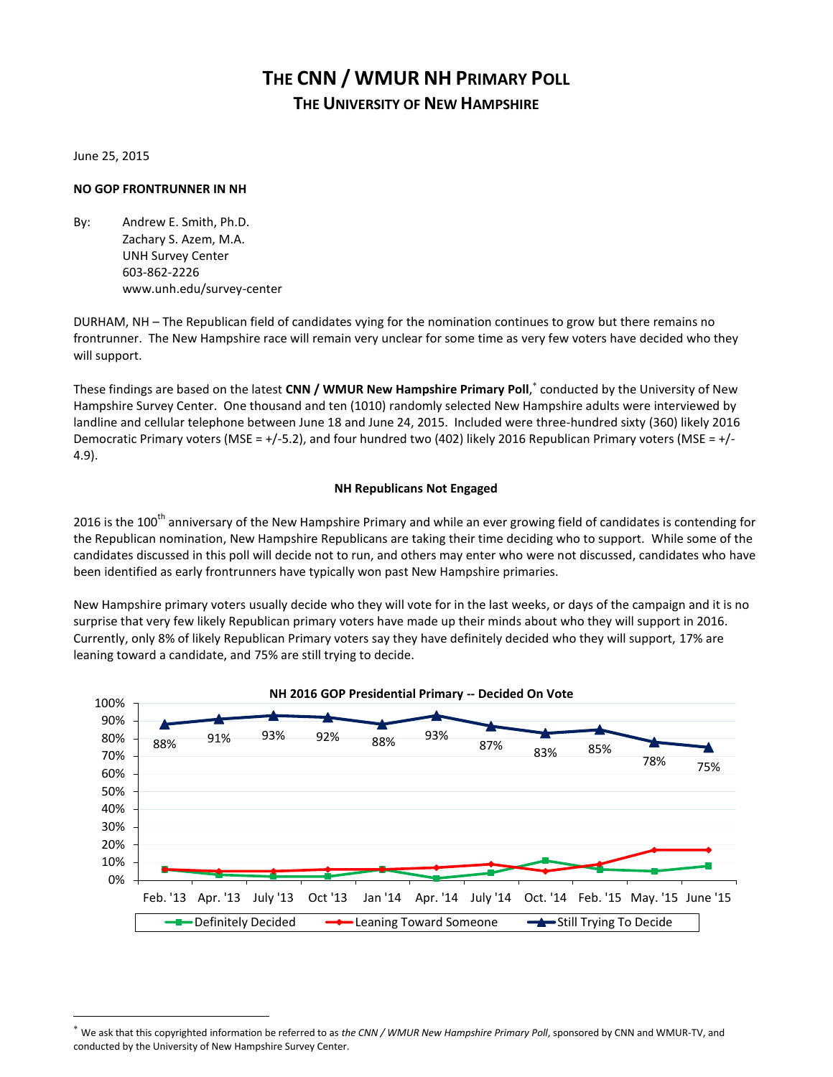# **THE CNN / WMUR NH PRIMARY POLL THE UNIVERSITY OF NEW HAMPSHIRE**

June 25, 2015

 $\overline{a}$ 

# **NO GOP FRONTRUNNER IN NH**

By: Andrew E. Smith, Ph.D. Zachary S. Azem, M.A. UNH Survey Center 603-862-2226 www.unh.edu/survey-center

DURHAM, NH – The Republican field of candidates vying for the nomination continues to grow but there remains no frontrunner. The New Hampshire race will remain very unclear for some time as very few voters have decided who they will support.

These findings are based on the latest **CNN / WMUR New Hampshire Primary Poll**, conducted by the University of New Hampshire Survey Center. One thousand and ten (1010) randomly selected New Hampshire adults were interviewed by landline and cellular telephone between June 18 and June 24, 2015. Included were three-hundred sixty (360) likely 2016 Democratic Primary voters (MSE = +/-5.2), and four hundred two (402) likely 2016 Republican Primary voters (MSE = +/-4.9).

# **NH Republicans Not Engaged**

2016 is the 100<sup>th</sup> anniversary of the New Hampshire Primary and while an ever growing field of candidates is contending for the Republican nomination, New Hampshire Republicans are taking their time deciding who to support. While some of the candidates discussed in this poll will decide not to run, and others may enter who were not discussed, candidates who have been identified as early frontrunners have typically won past New Hampshire primaries.

New Hampshire primary voters usually decide who they will vote for in the last weeks, or days of the campaign and it is no surprise that very few likely Republican primary voters have made up their minds about who they will support in 2016. Currently, only 8% of likely Republican Primary voters say they have definitely decided who they will support, 17% are leaning toward a candidate, and 75% are still trying to decide.



We ask that this copyrighted information be referred to as *the CNN / WMUR New Hampshire Primary Poll*, sponsored by CNN and WMUR-TV, and conducted by the University of New Hampshire Survey Center.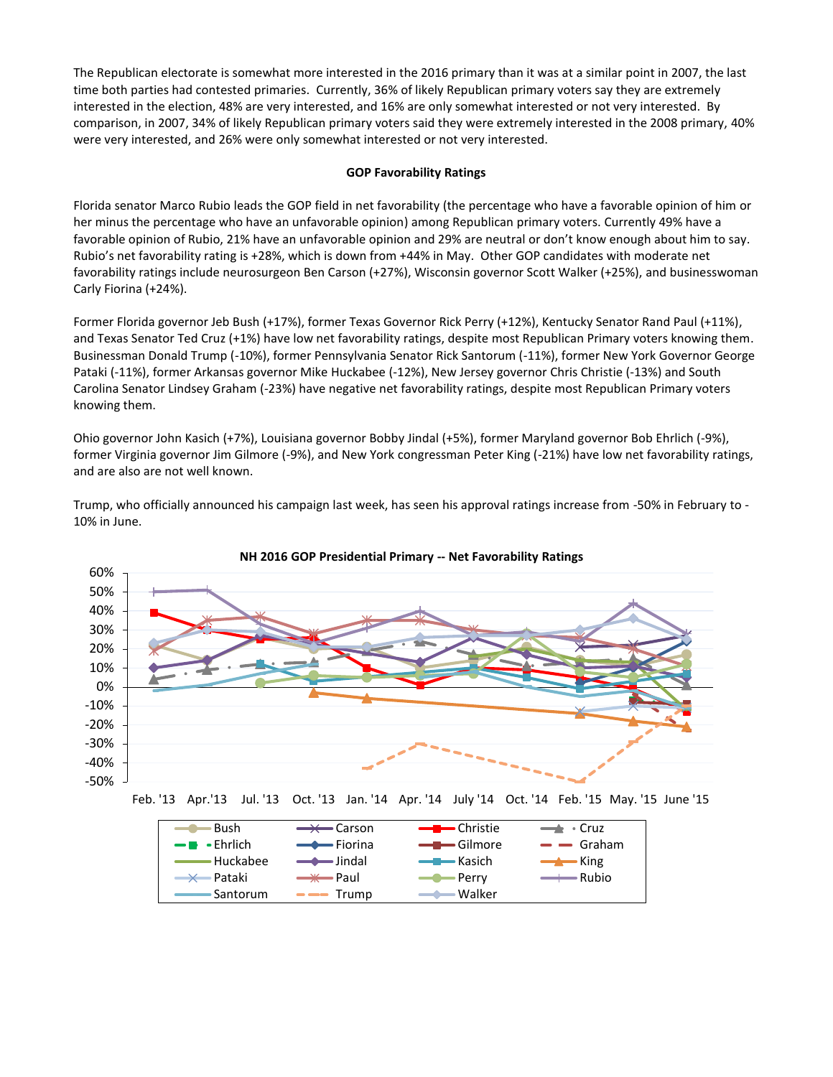The Republican electorate is somewhat more interested in the 2016 primary than it was at a similar point in 2007, the last time both parties had contested primaries. Currently, 36% of likely Republican primary voters say they are extremely interested in the election, 48% are very interested, and 16% are only somewhat interested or not very interested. By comparison, in 2007, 34% of likely Republican primary voters said they were extremely interested in the 2008 primary, 40% were very interested, and 26% were only somewhat interested or not very interested.

# **GOP Favorability Ratings**

Florida senator Marco Rubio leads the GOP field in net favorability (the percentage who have a favorable opinion of him or her minus the percentage who have an unfavorable opinion) among Republican primary voters. Currently 49% have a favorable opinion of Rubio, 21% have an unfavorable opinion and 29% are neutral or don't know enough about him to say. Rubio's net favorability rating is +28%, which is down from +44% in May. Other GOP candidates with moderate net favorability ratings include neurosurgeon Ben Carson (+27%), Wisconsin governor Scott Walker (+25%), and businesswoman Carly Fiorina (+24%).

Former Florida governor Jeb Bush (+17%), former Texas Governor Rick Perry (+12%), Kentucky Senator Rand Paul (+11%), and Texas Senator Ted Cruz (+1%) have low net favorability ratings, despite most Republican Primary voters knowing them. Businessman Donald Trump (-10%), former Pennsylvania Senator Rick Santorum (-11%), former New York Governor George Pataki (-11%), former Arkansas governor Mike Huckabee (-12%), New Jersey governor Chris Christie (-13%) and South Carolina Senator Lindsey Graham (-23%) have negative net favorability ratings, despite most Republican Primary voters knowing them.

Ohio governor John Kasich (+7%), Louisiana governor Bobby Jindal (+5%), former Maryland governor Bob Ehrlich (-9%), former Virginia governor Jim Gilmore (-9%), and New York congressman Peter King (-21%) have low net favorability ratings, and are also are not well known.

Trump, who officially announced his campaign last week, has seen his approval ratings increase from -50% in February to - 10% in June.





Feb. '13 Apr.'13 Jul. '13 Oct. '13 Jan. '14 Apr. '14 July '14 Oct. '14 Feb. '15 May. '15 June '15

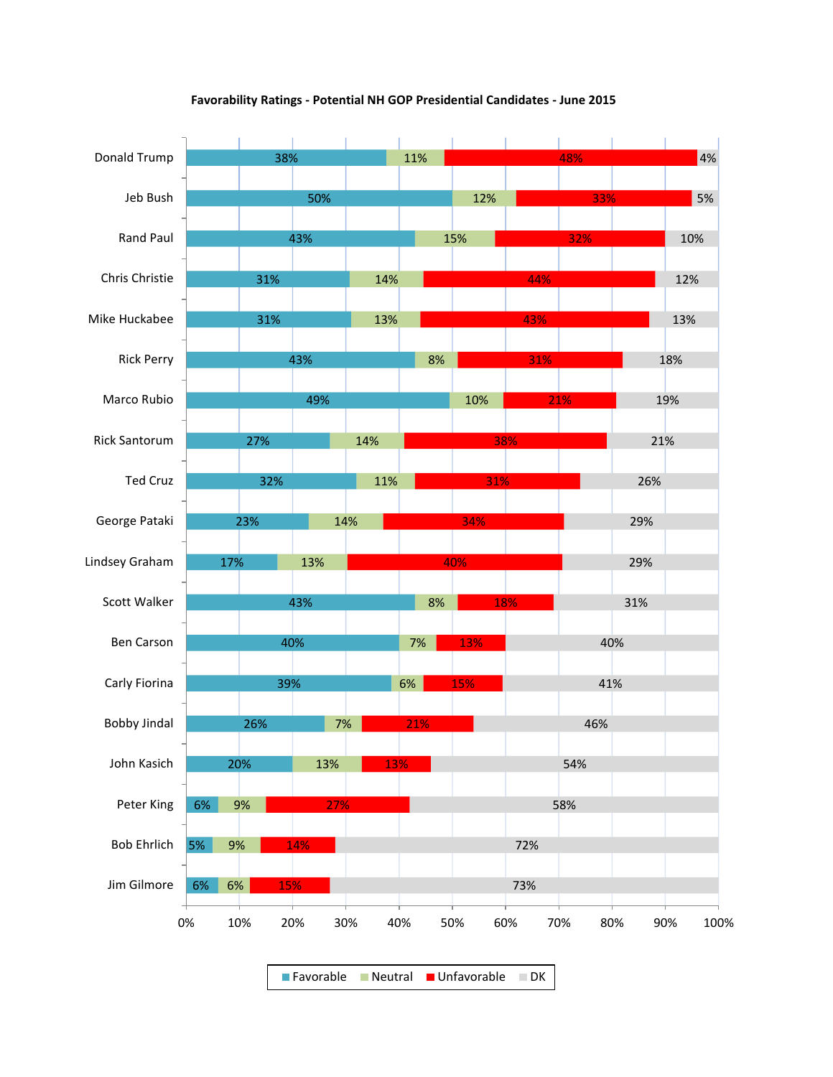

# **Favorability Ratings - Potential NH GOP Presidential Candidates - June 2015**

Favorable Neutral Unfavorable DK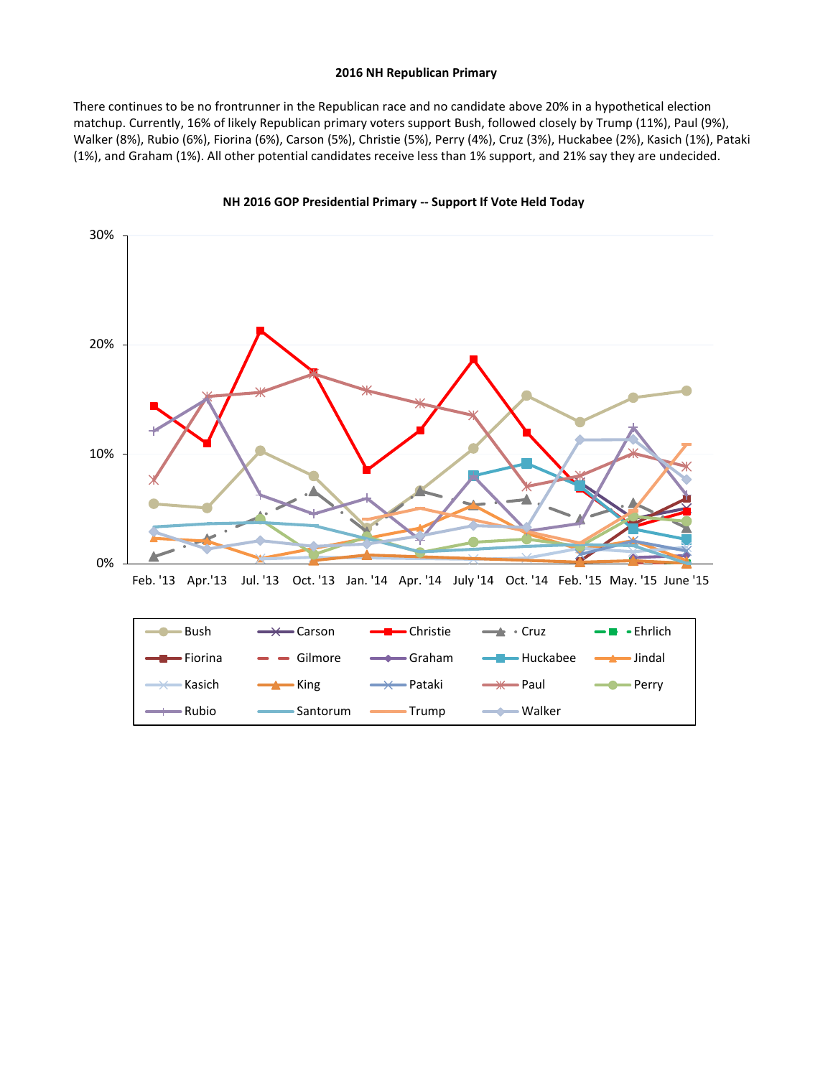#### **2016 NH Republican Primary**

There continues to be no frontrunner in the Republican race and no candidate above 20% in a hypothetical election matchup. Currently, 16% of likely Republican primary voters support Bush, followed closely by Trump (11%), Paul (9%), Walker (8%), Rubio (6%), Fiorina (6%), Carson (5%), Christie (5%), Perry (4%), Cruz (3%), Huckabee (2%), Kasich (1%), Pataki (1%), and Graham (1%). All other potential candidates receive less than 1% support, and 21% say they are undecided.





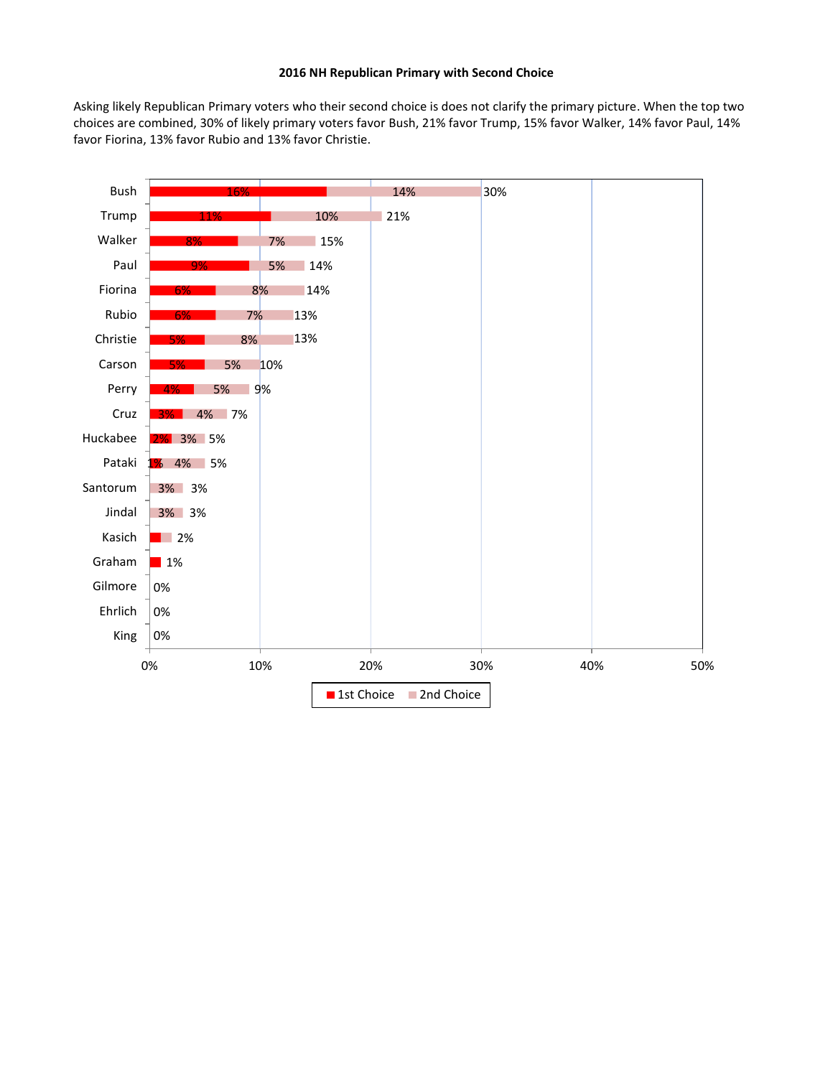### **2016 NH Republican Primary with Second Choice**

Asking likely Republican Primary voters who their second choice is does not clarify the primary picture. When the top two choices are combined, 30% of likely primary voters favor Bush, 21% favor Trump, 15% favor Walker, 14% favor Paul, 14% favor Fiorina, 13% favor Rubio and 13% favor Christie.

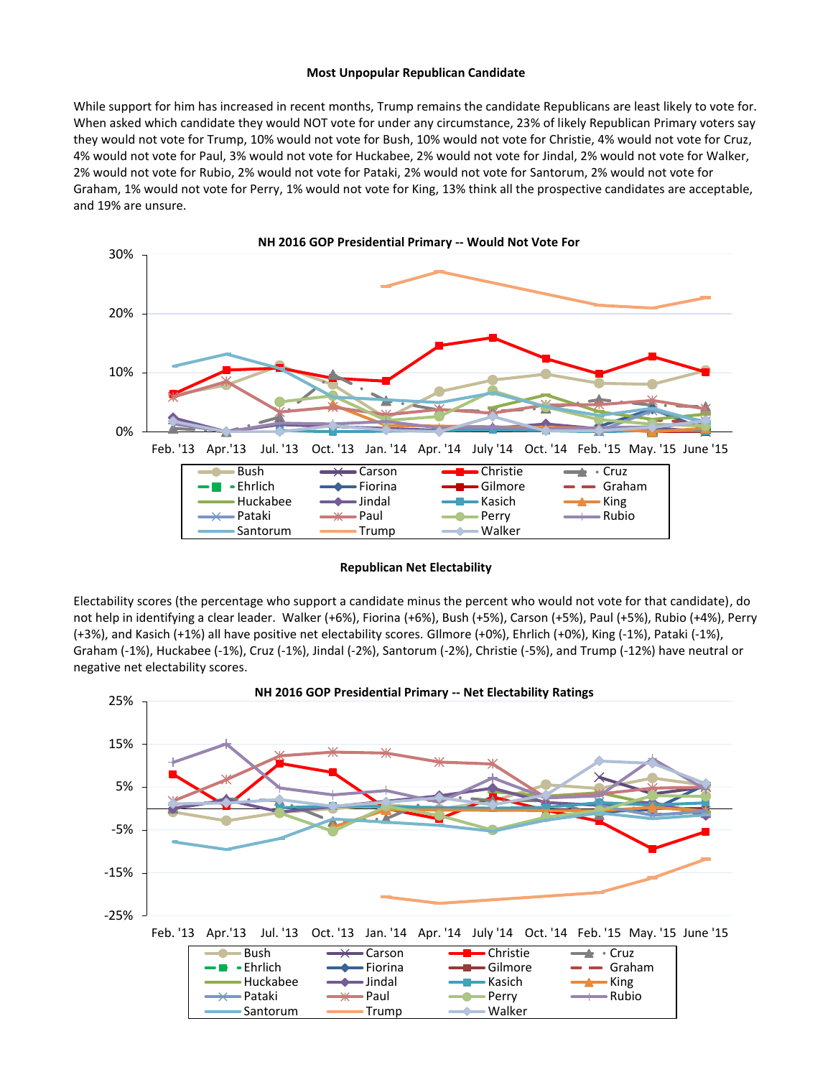#### **Most Unpopular Republican Candidate**

While support for him has increased in recent months, Trump remains the candidate Republicans are least likely to vote for. When asked which candidate they would NOT vote for under any circumstance, 23% of likely Republican Primary voters say they would not vote for Trump, 10% would not vote for Bush, 10% would not vote for Christie, 4% would not vote for Cruz, 4% would not vote for Paul, 3% would not vote for Huckabee, 2% would not vote for Jindal, 2% would not vote for Walker, 2% would not vote for Rubio, 2% would not vote for Pataki, 2% would not vote for Santorum, 2% would not vote for Graham, 1% would not vote for Perry, 1% would not vote for King, 13% think all the prospective candidates are acceptable, and 19% are unsure.



**Republican Net Electability**

Electability scores (the percentage who support a candidate minus the percent who would not vote for that candidate), do not help in identifying a clear leader. Walker (+6%), Fiorina (+6%), Bush (+5%), Carson (+5%), Paul (+5%), Rubio (+4%), Perry (+3%), and Kasich (+1%) all have positive net electability scores. GIlmore (+0%), Ehrlich (+0%), King (-1%), Pataki (-1%), Graham (-1%), Huckabee (-1%), Cruz (-1%), Jindal (-2%), Santorum (-2%), Christie (-5%), and Trump (-12%) have neutral or negative net electability scores.

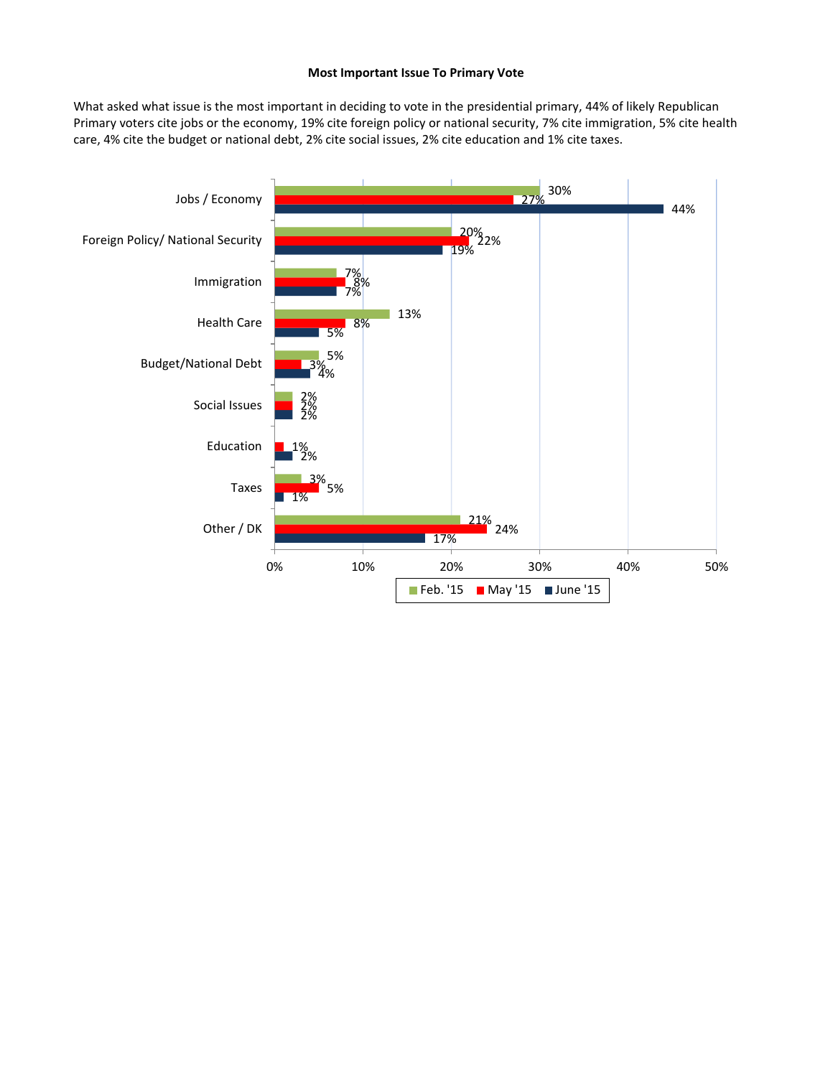# **Most Important Issue To Primary Vote**

What asked what issue is the most important in deciding to vote in the presidential primary, 44% of likely Republican Primary voters cite jobs or the economy, 19% cite foreign policy or national security, 7% cite immigration, 5% cite health care, 4% cite the budget or national debt, 2% cite social issues, 2% cite education and 1% cite taxes.

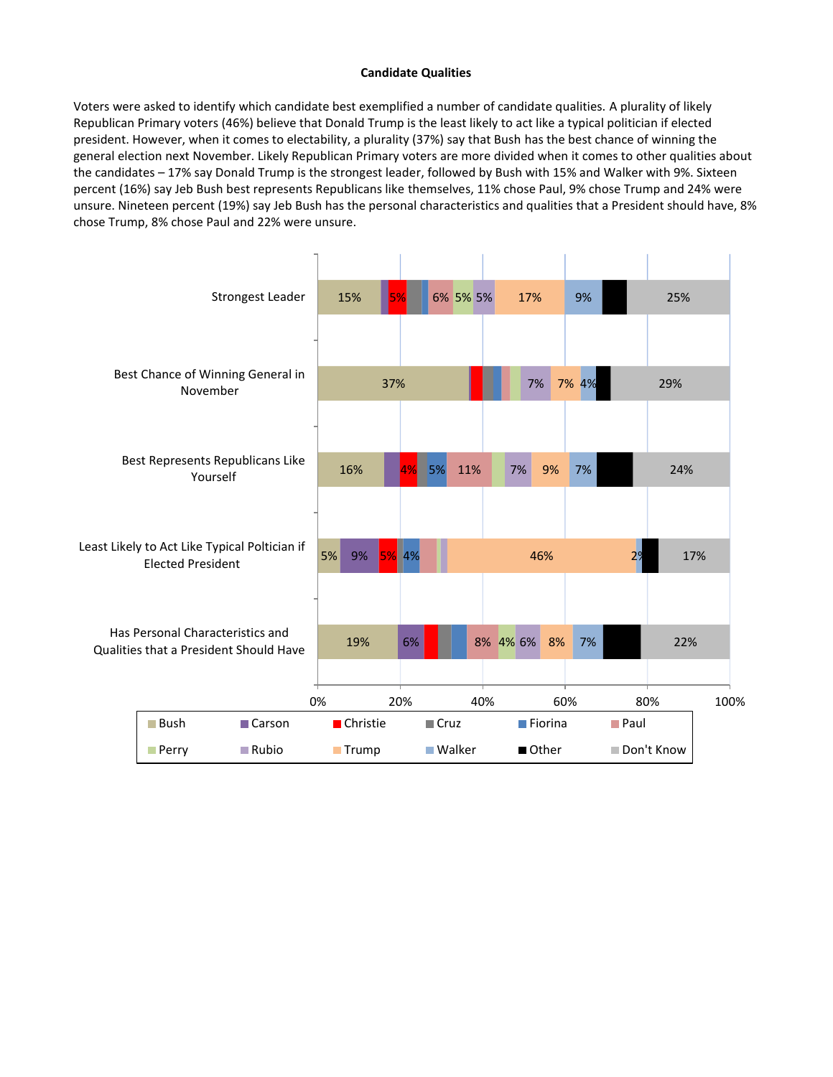# **Candidate Qualities**

Voters were asked to identify which candidate best exemplified a number of candidate qualities. A plurality of likely Republican Primary voters (46%) believe that Donald Trump is the least likely to act like a typical politician if elected president. However, when it comes to electability, a plurality (37%) say that Bush has the best chance of winning the general election next November. Likely Republican Primary voters are more divided when it comes to other qualities about the candidates – 17% say Donald Trump is the strongest leader, followed by Bush with 15% and Walker with 9%. Sixteen percent (16%) say Jeb Bush best represents Republicans like themselves, 11% chose Paul, 9% chose Trump and 24% were unsure. Nineteen percent (19%) say Jeb Bush has the personal characteristics and qualities that a President should have, 8% chose Trump, 8% chose Paul and 22% were unsure.

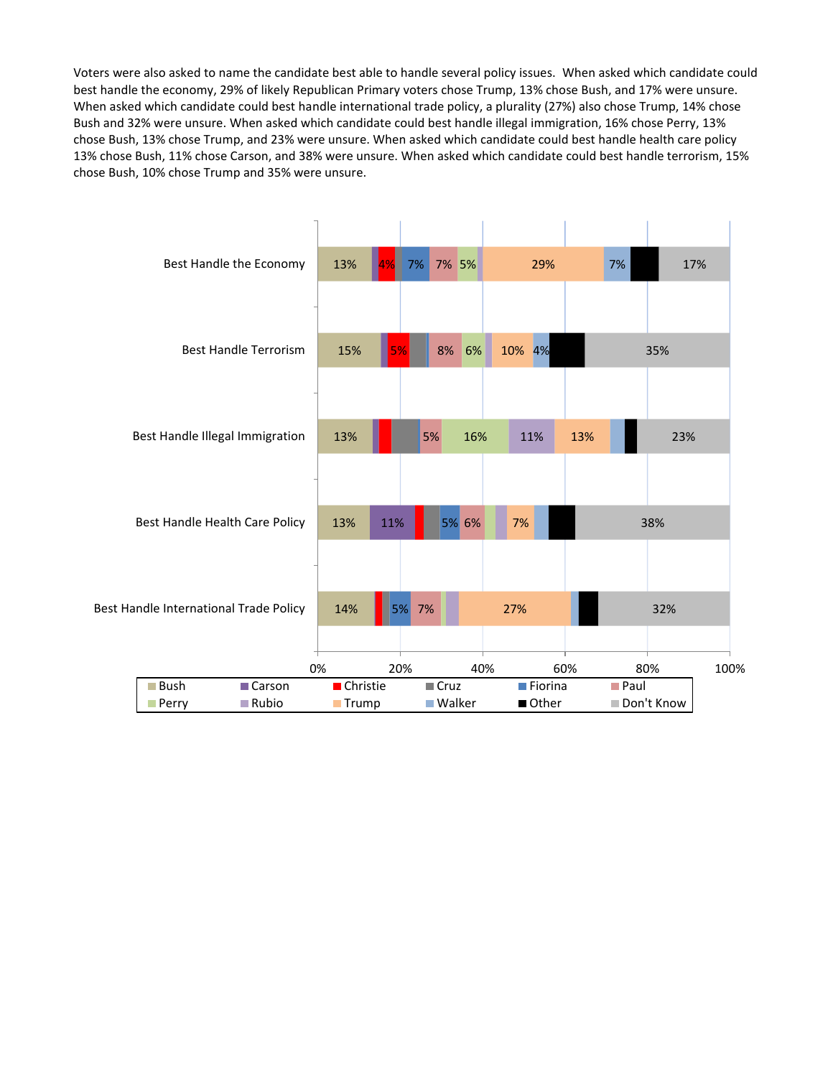Voters were also asked to name the candidate best able to handle several policy issues. When asked which candidate could best handle the economy, 29% of likely Republican Primary voters chose Trump, 13% chose Bush, and 17% were unsure. When asked which candidate could best handle international trade policy, a plurality (27%) also chose Trump, 14% chose Bush and 32% were unsure. When asked which candidate could best handle illegal immigration, 16% chose Perry, 13% chose Bush, 13% chose Trump, and 23% were unsure. When asked which candidate could best handle health care policy 13% chose Bush, 11% chose Carson, and 38% were unsure. When asked which candidate could best handle terrorism, 15% chose Bush, 10% chose Trump and 35% were unsure.

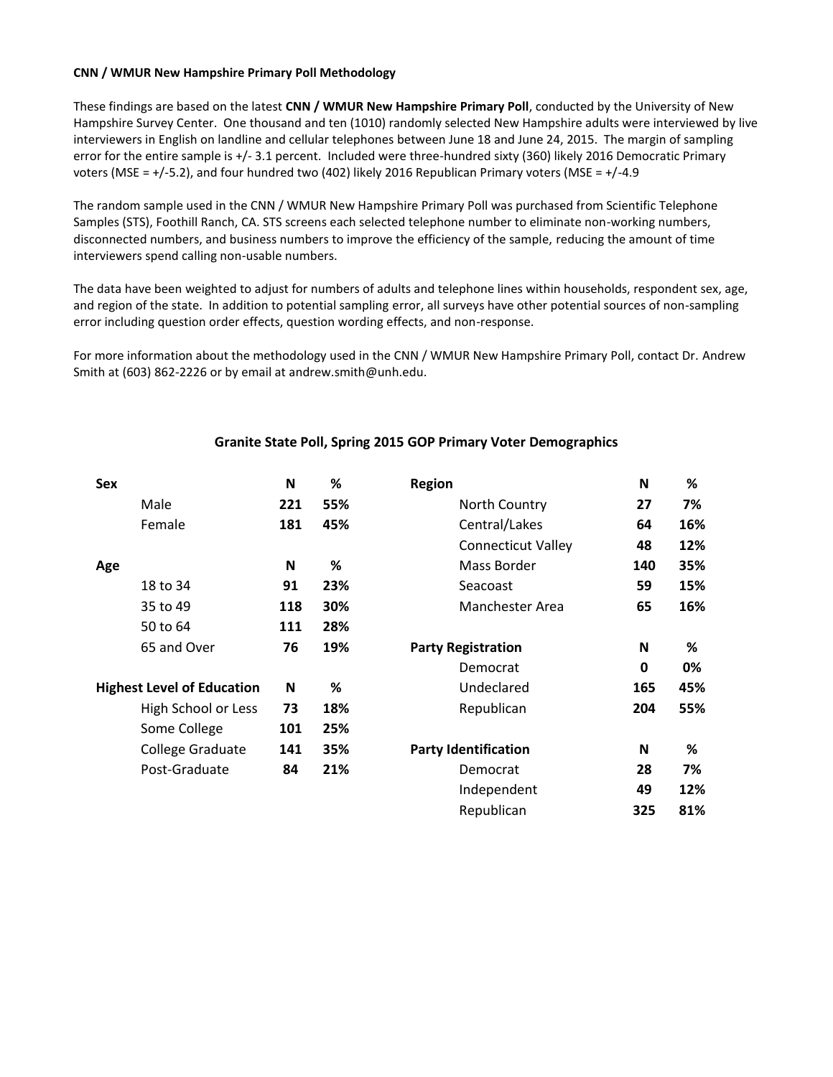# **CNN / WMUR New Hampshire Primary Poll Methodology**

These findings are based on the latest **CNN / WMUR New Hampshire Primary Poll**, conducted by the University of New Hampshire Survey Center. One thousand and ten (1010) randomly selected New Hampshire adults were interviewed by live interviewers in English on landline and cellular telephones between June 18 and June 24, 2015. The margin of sampling error for the entire sample is +/- 3.1 percent. Included were three-hundred sixty (360) likely 2016 Democratic Primary voters (MSE = +/-5.2), and four hundred two (402) likely 2016 Republican Primary voters (MSE = +/-4.9

The random sample used in the CNN / WMUR New Hampshire Primary Poll was purchased from Scientific Telephone Samples (STS), Foothill Ranch, CA. STS screens each selected telephone number to eliminate non-working numbers, disconnected numbers, and business numbers to improve the efficiency of the sample, reducing the amount of time interviewers spend calling non-usable numbers.

The data have been weighted to adjust for numbers of adults and telephone lines within households, respondent sex, age, and region of the state. In addition to potential sampling error, all surveys have other potential sources of non-sampling error including question order effects, question wording effects, and non-response.

For more information about the methodology used in the CNN / WMUR New Hampshire Primary Poll, contact Dr. Andrew Smith at (603) 862-2226 or by email at andrew.smith@unh.edu.

| Sex                               | N   | %   | <b>Region</b>               | N   | %   |
|-----------------------------------|-----|-----|-----------------------------|-----|-----|
| Male                              | 221 | 55% | North Country               | 27  | 7%  |
| Female                            | 181 | 45% | Central/Lakes               | 64  | 16% |
|                                   |     |     | <b>Connecticut Valley</b>   | 48  | 12% |
| Age                               | N   | %   | Mass Border                 | 140 | 35% |
| 18 to 34                          | 91  | 23% | Seacoast                    | 59  | 15% |
| 35 to 49                          | 118 | 30% | Manchester Area             | 65  | 16% |
| 50 to 64                          | 111 | 28% |                             |     |     |
| 65 and Over                       | 76  | 19% | <b>Party Registration</b>   | N   | %   |
|                                   |     |     | Democrat                    | 0   | 0%  |
| <b>Highest Level of Education</b> | N   | %   | Undeclared                  | 165 | 45% |
| High School or Less               | 73  | 18% | Republican                  | 204 | 55% |
| Some College                      | 101 | 25% |                             |     |     |
| College Graduate                  | 141 | 35% | <b>Party Identification</b> | N   | %   |
| Post-Graduate                     | 84  | 21% | Democrat                    | 28  | 7%  |
|                                   |     |     | Independent                 | 49  | 12% |
|                                   |     |     | Republican                  | 325 | 81% |

# **Granite State Poll, Spring 2015 GOP Primary Voter Demographics**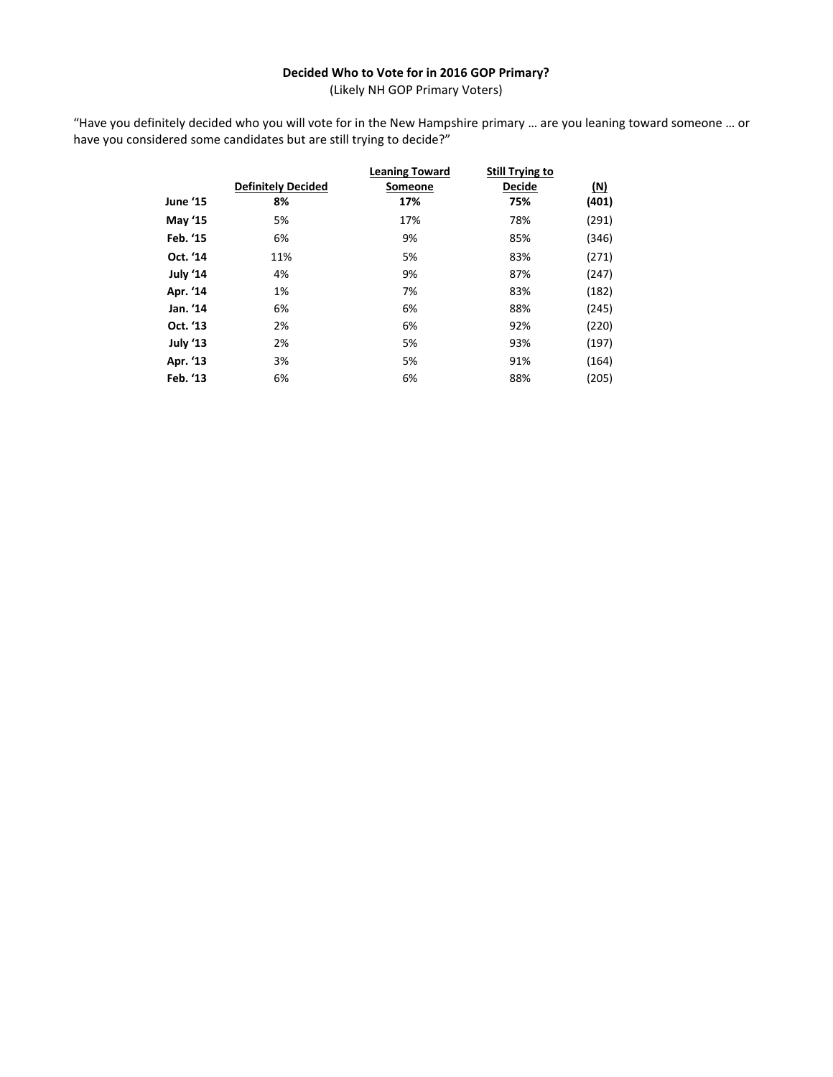# **Decided Who to Vote for in 2016 GOP Primary?**

(Likely NH GOP Primary Voters)

"Have you definitely decided who you will vote for in the New Hampshire primary … are you leaning toward someone … or have you considered some candidates but are still trying to decide?"

|                 | <b>Definitely Decided</b> | <b>Leaning Toward</b><br><b>Someone</b> | <b>Still Trying to</b><br><b>Decide</b> | (N)   |
|-----------------|---------------------------|-----------------------------------------|-----------------------------------------|-------|
| <b>June '15</b> | 8%                        | 17%                                     | 75%                                     | (401) |
| <b>May '15</b>  | 5%                        | 17%                                     | 78%                                     | (291) |
| Feb. '15        | 6%                        | 9%                                      | 85%                                     | (346) |
| Oct. '14        | 11%                       | 5%                                      | 83%                                     | (271) |
| July '14        | 4%                        | 9%                                      | 87%                                     | (247) |
| Apr. '14        | 1%                        | 7%                                      | 83%                                     | (182) |
| Jan. '14        | 6%                        | 6%                                      | 88%                                     | (245) |
| Oct. '13        | 2%                        | 6%                                      | 92%                                     | (220) |
| July '13        | 2%                        | 5%                                      | 93%                                     | (197) |
| Apr. '13        | 3%                        | 5%                                      | 91%                                     | (164) |
| Feb. '13        | 6%                        | 6%                                      | 88%                                     | (205) |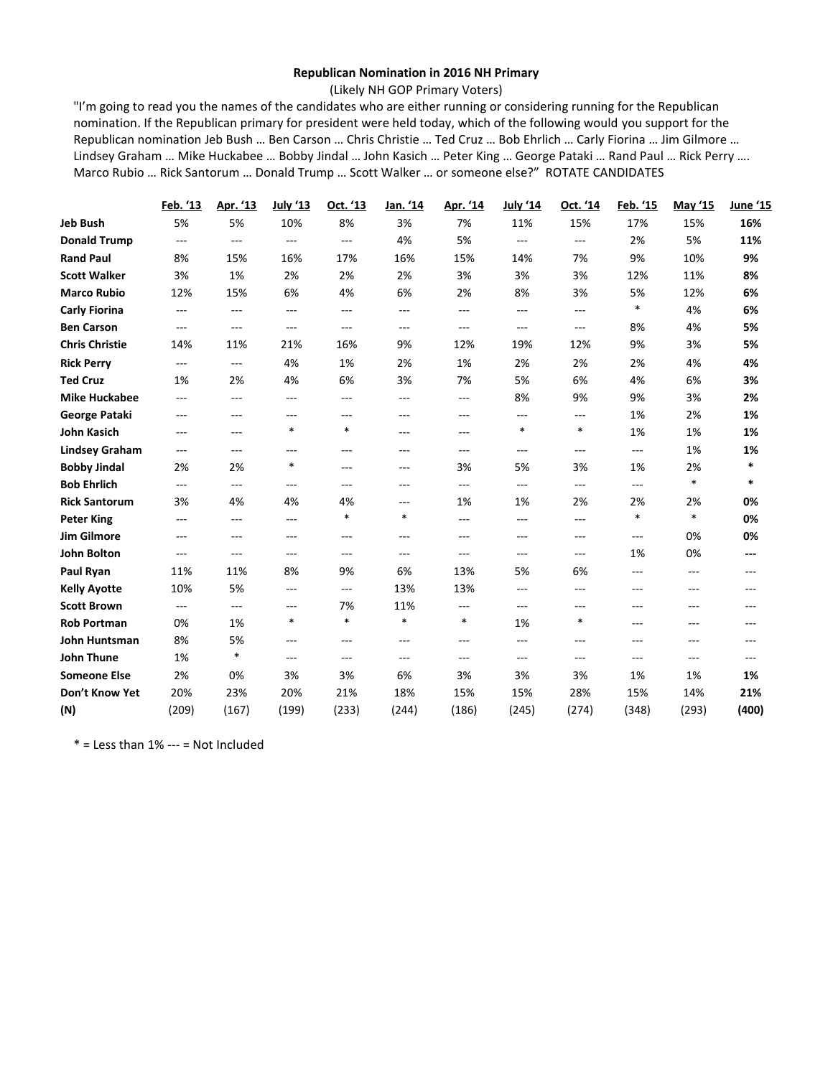### **Republican Nomination in 2016 NH Primary**

(Likely NH GOP Primary Voters)

"I'm going to read you the names of the candidates who are either running or considering running for the Republican nomination. If the Republican primary for president were held today, which of the following would you support for the Republican nomination Jeb Bush … Ben Carson … Chris Christie … Ted Cruz … Bob Ehrlich … Carly Fiorina … Jim Gilmore … Lindsey Graham … Mike Huckabee … Bobby Jindal … John Kasich … Peter King … George Pataki … Rand Paul … Rick Perry …. Marco Rubio … Rick Santorum … Donald Trump … Scott Walker … or someone else?" ROTATE CANDIDATES

|                       | Feb. '13                 | Apr. '13 | July '13                 | Oct. '13                 | <u>Jan. '14</u> | Apr. '14 | July '14       | Oct. '14                 | Feb. '15       | May '15 | <u>June '15</u> |
|-----------------------|--------------------------|----------|--------------------------|--------------------------|-----------------|----------|----------------|--------------------------|----------------|---------|-----------------|
| Jeb Bush              | 5%                       | 5%       | 10%                      | 8%                       | 3%              | 7%       | 11%            | 15%                      | 17%            | 15%     | 16%             |
| <b>Donald Trump</b>   | $---$                    | ---      | $\overline{\phantom{a}}$ | $\overline{\phantom{a}}$ | 4%              | 5%       | $\overline{a}$ | $\overline{\phantom{a}}$ | 2%             | 5%      | 11%             |
| <b>Rand Paul</b>      | 8%                       | 15%      | 16%                      | 17%                      | 16%             | 15%      | 14%            | 7%                       | 9%             | 10%     | 9%              |
| <b>Scott Walker</b>   | 3%                       | 1%       | 2%                       | 2%                       | 2%              | 3%       | 3%             | 3%                       | 12%            | 11%     | 8%              |
| <b>Marco Rubio</b>    | 12%                      | 15%      | 6%                       | 4%                       | 6%              | 2%       | 8%             | 3%                       | 5%             | 12%     | 6%              |
| <b>Carly Fiorina</b>  | $---$                    | $---$    | $\overline{a}$           | ---                      | ---             | $---$    | $---$          | ---                      | $\ast$         | 4%      | 6%              |
| <b>Ben Carson</b>     | $---$                    | $---$    | $\overline{a}$           | $---$                    | ---             | $---$    | $---$          | $---$                    | 8%             | 4%      | 5%              |
| <b>Chris Christie</b> | 14%                      | 11%      | 21%                      | 16%                      | 9%              | 12%      | 19%            | 12%                      | 9%             | 3%      | 5%              |
| <b>Rick Perry</b>     | $\qquad \qquad -$        | $---$    | 4%                       | 1%                       | 2%              | 1%       | 2%             | 2%                       | 2%             | 4%      | 4%              |
| <b>Ted Cruz</b>       | 1%                       | 2%       | 4%                       | 6%                       | 3%              | 7%       | 5%             | 6%                       | 4%             | 6%      | 3%              |
| <b>Mike Huckabee</b>  | $---$                    | $---$    | $---$                    | $---$                    | $---$           | $---$    | 8%             | 9%                       | 9%             | 3%      | 2%              |
| George Pataki         | $---$                    | ---      | ---                      | $---$                    | $---$           | $---$    | ---            | $---$                    | 1%             | 2%      | 1%              |
| <b>John Kasich</b>    | $---$                    | ---      | $\ast$                   | $\ast$                   | ---             | ---      | $\ast$         | $\ast$                   | 1%             | 1%      | 1%              |
| <b>Lindsey Graham</b> | $\qquad \qquad - \qquad$ | ---      | ---                      | $---$                    | ---             | ---      | ---            | $---$                    | ---            | 1%      | 1%              |
| <b>Bobby Jindal</b>   | 2%                       | 2%       | $\ast$                   | $---$                    | $---$           | 3%       | 5%             | 3%                       | 1%             | 2%      | $\ast$          |
| <b>Bob Ehrlich</b>    | $---$                    | ---      | $---$                    | $---$                    | $---$           | $---$    | $---$          | ---                      | $---$          | $\ast$  | $\ast$          |
| <b>Rick Santorum</b>  | 3%                       | 4%       | 4%                       | 4%                       | $---$           | 1%       | 1%             | 2%                       | 2%             | 2%      | 0%              |
| <b>Peter King</b>     | $---$                    | $---$    | $---$                    | $\ast$                   | $\ast$          | $---$    | $---$          | $---$                    | $\ast$         | $\ast$  | 0%              |
| <b>Jim Gilmore</b>    | $---$                    | ---      | $---$                    | $---$                    | ---             | $---$    | $---$          | ---                      | $---$          | 0%      | 0%              |
| John Bolton           | $---$                    | ---      | ---                      | ---                      | ---             | $---$    | $---$          | ---                      | 1%             | 0%      | ---             |
| Paul Ryan             | 11%                      | 11%      | 8%                       | 9%                       | 6%              | 13%      | 5%             | 6%                       | $\overline{a}$ | $---$   | ---             |
| <b>Kelly Ayotte</b>   | 10%                      | 5%       | $---$                    | $---$                    | 13%             | 13%      | ---            | $---$                    | $---$          | $---$   | ---             |
| <b>Scott Brown</b>    | $\qquad \qquad -$        | ---      | $---$                    | 7%                       | 11%             | ---      | $---$          | $---$                    | $---$          | $---$   | ---             |
| <b>Rob Portman</b>    | 0%                       | 1%       | $\ast$                   | $\ast$                   | $\ast$          | $\ast$   | 1%             | $\ast$                   | $---$          | ---     | ---             |
| John Huntsman         | 8%                       | 5%       | $---$                    | $---$                    | $---$           | $---$    | ---            | $---$                    | $---$          | ---     | ---             |
| <b>John Thune</b>     | 1%                       | $\ast$   | $\overline{a}$           | $---$                    | $---$           | ---      | $---$          | ---                      | $---$          | ---     | ---             |
| <b>Someone Else</b>   | 2%                       | 0%       | 3%                       | 3%                       | 6%              | 3%       | 3%             | 3%                       | 1%             | 1%      | 1%              |
| Don't Know Yet        | 20%                      | 23%      | 20%                      | 21%                      | 18%             | 15%      | 15%            | 28%                      | 15%            | 14%     | 21%             |
| (N)                   | (209)                    | (167)    | (199)                    | (233)                    | (244)           | (186)    | (245)          | (274)                    | (348)          | (293)   | (400)           |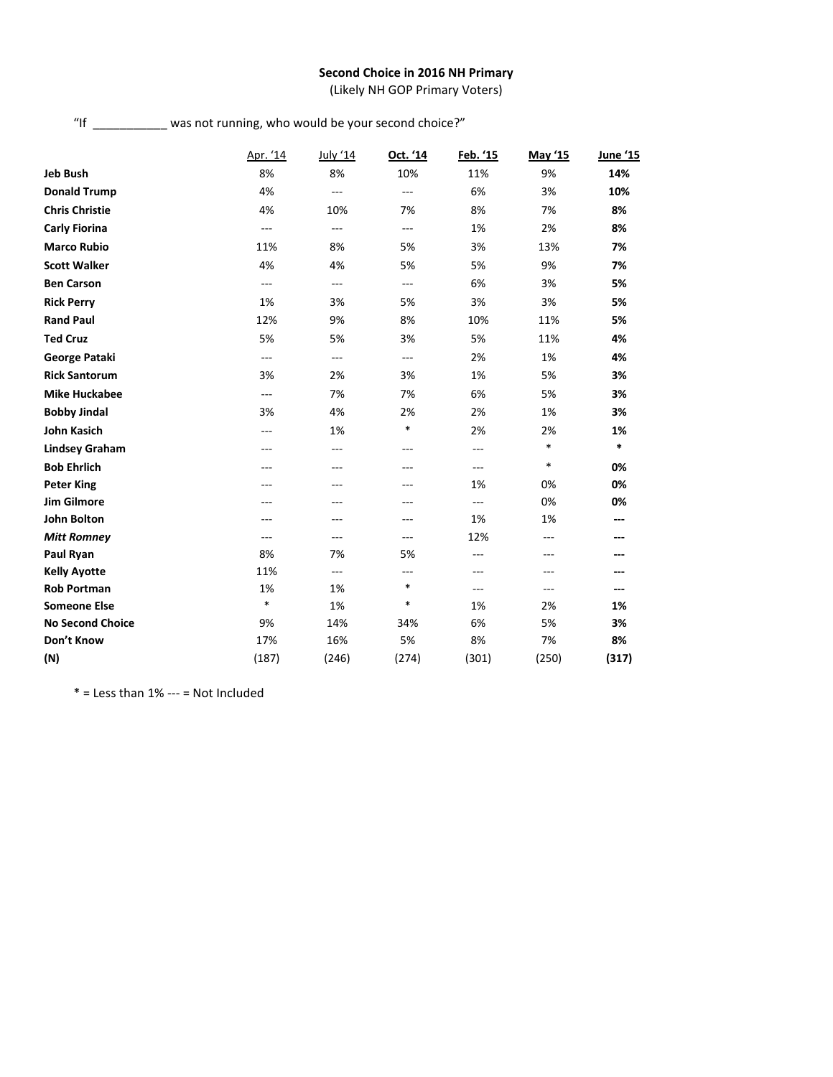# **Second Choice in 2016 NH Primary**

(Likely NH GOP Primary Voters)

| "lf | was not running, who would be your second choice?" |  |  |
|-----|----------------------------------------------------|--|--|
|     |                                                    |  |  |

|                         | Apr. '14       | July '14       | Oct. '14       | Feb. '15 | May '15 | June '15 |
|-------------------------|----------------|----------------|----------------|----------|---------|----------|
| Jeb Bush                | 8%             | 8%             | 10%            | 11%      | 9%      | 14%      |
| <b>Donald Trump</b>     | 4%             | ---            | $\overline{a}$ | 6%       | 3%      | 10%      |
| <b>Chris Christie</b>   | 4%             | 10%            | 7%             | 8%       | 7%      | 8%       |
| <b>Carly Fiorina</b>    | ---            | ---            | $\overline{a}$ | 1%       | 2%      | 8%       |
| <b>Marco Rubio</b>      | 11%            | 8%             | 5%             | 3%       | 13%     | 7%       |
| <b>Scott Walker</b>     | 4%             | 4%             | 5%             | 5%       | 9%      | 7%       |
| <b>Ben Carson</b>       | $\overline{a}$ | $\overline{a}$ | $\overline{a}$ | 6%       | 3%      | 5%       |
| <b>Rick Perry</b>       | 1%             | 3%             | 5%             | 3%       | 3%      | 5%       |
| <b>Rand Paul</b>        | 12%            | 9%             | 8%             | 10%      | 11%     | 5%       |
| <b>Ted Cruz</b>         | 5%             | 5%             | 3%             | 5%       | 11%     | 4%       |
| George Pataki           | ---            | ---            | $---$          | 2%       | 1%      | 4%       |
| <b>Rick Santorum</b>    | 3%             | 2%             | 3%             | 1%       | 5%      | 3%       |
| <b>Mike Huckabee</b>    | $\overline{a}$ | 7%             | 7%             | 6%       | 5%      | 3%       |
| <b>Bobby Jindal</b>     | 3%             | 4%             | 2%             | 2%       | 1%      | 3%       |
| <b>John Kasich</b>      | ---            | 1%             | $\ast$         | 2%       | 2%      | 1%       |
| <b>Lindsey Graham</b>   | ---            | ---            | ---            | ---      | $\ast$  | $\ast$   |
| <b>Bob Ehrlich</b>      | ---            | ---            | ---            | ---      | $\ast$  | 0%       |
| <b>Peter King</b>       |                |                |                | 1%       | 0%      | 0%       |
| <b>Jim Gilmore</b>      |                |                |                | ---      | 0%      | 0%       |
| <b>John Bolton</b>      | ---            |                | ---            | 1%       | 1%      | ---      |
| <b>Mitt Romney</b>      | $---$          | ---            | $---$          | 12%      | $---$   |          |
| Paul Ryan               | 8%             | 7%             | 5%             | ---      | ---     |          |
| <b>Kelly Ayotte</b>     | 11%            | $---$          | ---            | ---      | ---     |          |
| <b>Rob Portman</b>      | 1%             | 1%             | $\ast$         | ---      | ---     |          |
| <b>Someone Else</b>     | *              | 1%             | $\ast$         | 1%       | 2%      | 1%       |
| <b>No Second Choice</b> | 9%             | 14%            | 34%            | 6%       | 5%      | 3%       |
| Don't Know              | 17%            | 16%            | 5%             | 8%       | 7%      | 8%       |
| (N)                     | (187)          | (246)          | (274)          | (301)    | (250)   | (317)    |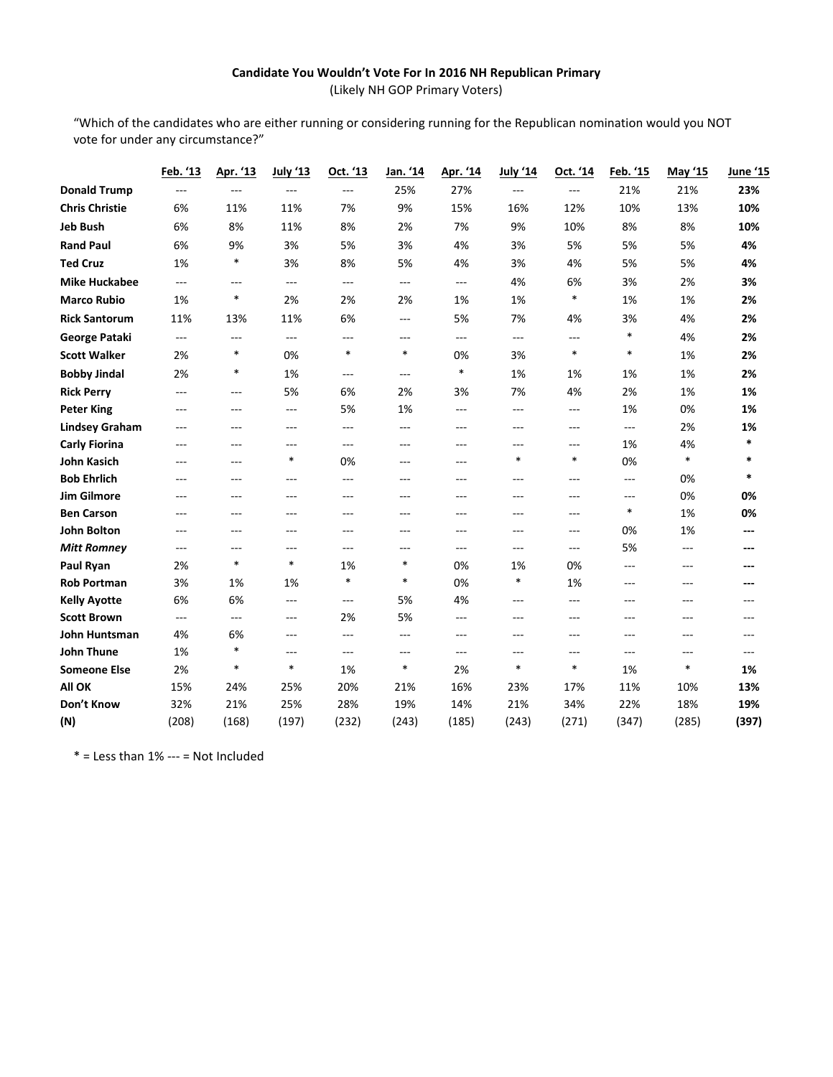# **Candidate You Wouldn't Vote For In 2016 NH Republican Primary** (Likely NH GOP Primary Voters)

"Which of the candidates who are either running or considering running for the Republican nomination would you NOT vote for under any circumstance?"

|                       | Feb. '13            | Apr. '13       | July '13       | Oct. '13       | Jan. '14          | Apr. '14       | <b>July '14</b> | Oct. '14       | Feb. '15       | May '15        | <u>June '15</u> |
|-----------------------|---------------------|----------------|----------------|----------------|-------------------|----------------|-----------------|----------------|----------------|----------------|-----------------|
| <b>Donald Trump</b>   | $\overline{a}$      | $\overline{a}$ | $\overline{a}$ | $\overline{a}$ | 25%               | 27%            | $---$           | $\overline{a}$ | 21%            | 21%            | 23%             |
| <b>Chris Christie</b> | 6%                  | 11%            | 11%            | 7%             | 9%                | 15%            | 16%             | 12%            | 10%            | 13%            | 10%             |
| <b>Jeb Bush</b>       | 6%                  | 8%             | 11%            | 8%             | 2%                | 7%             | 9%              | 10%            | 8%             | 8%             | 10%             |
| <b>Rand Paul</b>      | 6%                  | 9%             | 3%             | 5%             | 3%                | 4%             | 3%              | 5%             | 5%             | 5%             | 4%              |
| <b>Ted Cruz</b>       | 1%                  | $\ast$         | 3%             | 8%             | 5%                | 4%             | 3%              | 4%             | 5%             | 5%             | 4%              |
| <b>Mike Huckabee</b>  | $---$               | $---$          | $---$          | $---$          | $\overline{a}$    | ---            | 4%              | 6%             | 3%             | 2%             | 3%              |
| <b>Marco Rubio</b>    | 1%                  | $\ast$         | 2%             | 2%             | 2%                | 1%             | 1%              | $\ast$         | 1%             | 1%             | 2%              |
| <b>Rick Santorum</b>  | 11%                 | 13%            | 11%            | 6%             | $\qquad \qquad -$ | 5%             | 7%              | 4%             | 3%             | 4%             | 2%              |
| George Pataki         | $\sim$ $\sim$       | ---            | $---$          | ---            | $\overline{a}$    | ---            | ---             | ---            | $\ast$         | 4%             | 2%              |
| <b>Scott Walker</b>   | 2%                  | $\ast$         | 0%             | $\ast$         | $\ast$            | 0%             | 3%              | $\ast$         | $\ast$         | 1%             | 2%              |
| <b>Bobby Jindal</b>   | 2%                  | $\ast$         | 1%             | ---            | ---               | $\ast$         | 1%              | 1%             | 1%             | 1%             | 2%              |
| <b>Rick Perry</b>     | $---$               | $---$          | 5%             | 6%             | 2%                | 3%             | 7%              | 4%             | 2%             | 1%             | 1%              |
| <b>Peter King</b>     | $\qquad \qquad - -$ | ---            | $---$          | 5%             | 1%                | $---$          | ---             | $---$          | 1%             | 0%             | 1%              |
| <b>Lindsey Graham</b> | $---$               | $---$          | $---$          | ---            | ---               | $---$          | $---$           | ---            | ---            | 2%             | 1%              |
| <b>Carly Fiorina</b>  | $---$               | $---$          | ---            | ---            | ---               | ---            | ---             | ---            | 1%             | 4%             | *               |
| <b>John Kasich</b>    | $---$               | $---$          | $\ast$         | 0%             | $---$             | $\overline{a}$ | $\ast$          | $\ast$         | 0%             | $\ast$         | *               |
| <b>Bob Ehrlich</b>    | $---$               | ---            | ---            | $---$          | ---               | $---$          | ---             | ---            | ---            | 0%             | $\ast$          |
| <b>Jim Gilmore</b>    | $---$               | ---            | ---            | ---            | ---               | $---$          | ---             | ---            | ---            | 0%             | 0%              |
| <b>Ben Carson</b>     | $---$               | ---            | ---            | ---            | ---               | $---$          | $---$           | ---            | $\ast$         | 1%             | 0%              |
| <b>John Bolton</b>    | $---$               | $---$          | $---$          | $---$          | $---$             | $---$          | $---$           | ---            | 0%             | 1%             | ---             |
| <b>Mitt Romney</b>    | $\overline{a}$      | $---$          | $\overline{a}$ | $\overline{a}$ | $---$             | $---$          | $---$           | $\overline{a}$ | 5%             | $\overline{a}$ | ---             |
| Paul Ryan             | 2%                  | $\ast$         | $\ast$         | 1%             | $\ast$            | 0%             | 1%              | 0%             | $\overline{a}$ | $---$          |                 |
| <b>Rob Portman</b>    | 3%                  | 1%             | 1%             | $\ast$         | $\ast$            | 0%             | $\ast$          | 1%             | $---$          | $---$          | ---             |
| <b>Kelly Ayotte</b>   | 6%                  | 6%             | $---$          | ---            | 5%                | 4%             | ---             | ---            | ---            | ---            | $---$           |
| <b>Scott Brown</b>    | $---$               | ---            | $---$          | 2%             | 5%                | $---$          | $---$           | ---            | ---            | $---$          | $---$           |
| John Huntsman         | 4%                  | 6%             | $---$          | $---$          | $\overline{a}$    | $---$          | $---$           | ---            | ---            | $---$          | $---$           |
| <b>John Thune</b>     | 1%                  | $\ast$         | ---            | $---$          | ---               | $\overline{a}$ | ---             | ---            | ---            | $---$          | $---$           |
| <b>Someone Else</b>   | 2%                  | $\ast$         | $\ast$         | 1%             | $\ast$            | 2%             | $\ast$          | $\ast$         | 1%             | $\ast$         | 1%              |
| All OK                | 15%                 | 24%            | 25%            | 20%            | 21%               | 16%            | 23%             | 17%            | 11%            | 10%            | 13%             |
| Don't Know            | 32%                 | 21%            | 25%            | 28%            | 19%               | 14%            | 21%             | 34%            | 22%            | 18%            | 19%             |
| (N)                   | (208)               | (168)          | (197)          | (232)          | (243)             | (185)          | (243)           | (271)          | (347)          | (285)          | (397)           |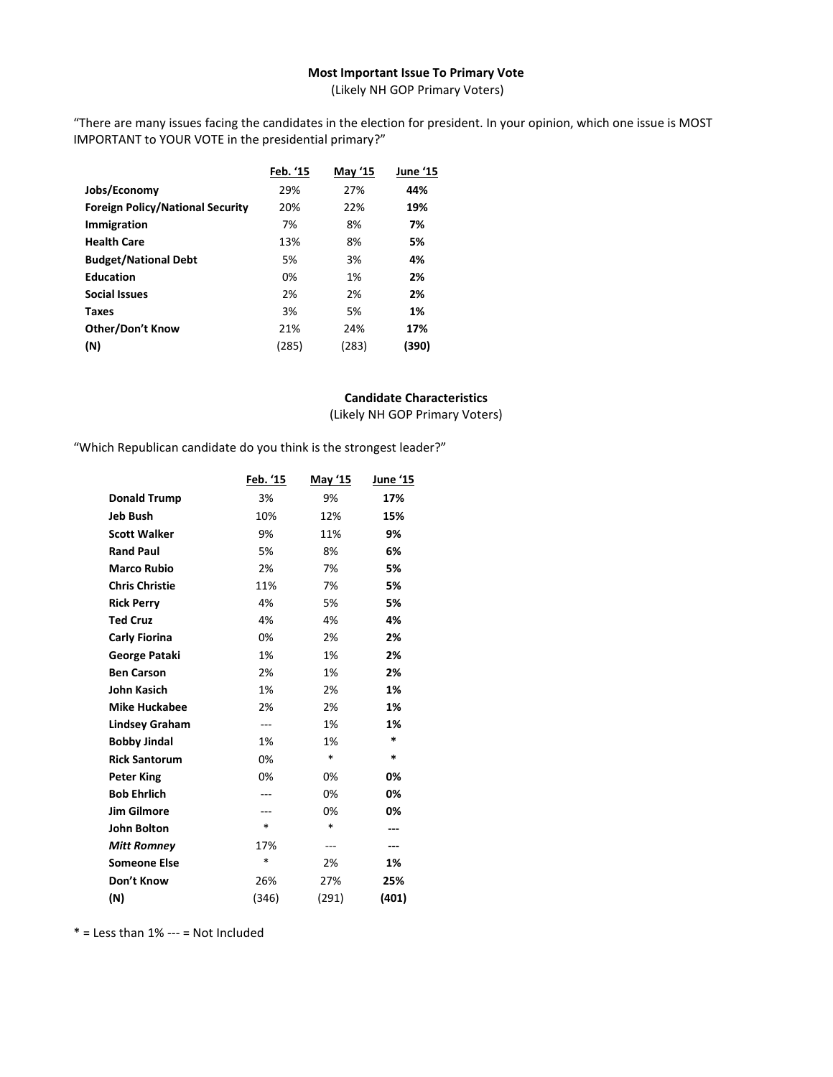# **Most Important Issue To Primary Vote**

(Likely NH GOP Primary Voters)

"There are many issues facing the candidates in the election for president. In your opinion, which one issue is MOST IMPORTANT to YOUR VOTE in the presidential primary?"

|                                         | Feb. '15 | <b>May '15</b> | June '15 |
|-----------------------------------------|----------|----------------|----------|
| Jobs/Economy                            | 29%      | 27%            | 44%      |
| <b>Foreign Policy/National Security</b> | 20%      | 22%            | 19%      |
| Immigration                             | 7%       | 8%             | 7%       |
| <b>Health Care</b>                      | 13%      | 8%             | 5%       |
| <b>Budget/National Debt</b>             | 5%       | 3%             | 4%       |
| <b>Education</b>                        | 0%       | 1%             | 2%       |
| <b>Social Issues</b>                    | 2%       | 2%             | 2%       |
| <b>Taxes</b>                            | 3%       | 5%             | 1%       |
| <b>Other/Don't Know</b>                 | 21%      | 24%            | 17%      |
| (N)                                     | (285)    | (283)          | (390)    |
|                                         |          |                |          |

# **Candidate Characteristics**

(Likely NH GOP Primary Voters)

"Which Republican candidate do you think is the strongest leader?"

|                       | Feb. '15 | May '15 | <b>June '15</b> |
|-----------------------|----------|---------|-----------------|
| <b>Donald Trump</b>   | 3%       | 9%      | 17%             |
| <b>Jeb Bush</b>       | 10%      | 12%     | 15%             |
| <b>Scott Walker</b>   | 9%       | 11%     | 9%              |
| <b>Rand Paul</b>      | 5%       | 8%      | 6%              |
| <b>Marco Rubio</b>    | 2%       | 7%      | 5%              |
| <b>Chris Christie</b> | 11%      | 7%      | 5%              |
| <b>Rick Perry</b>     | 4%       | 5%      | 5%              |
| <b>Ted Cruz</b>       | 4%       | 4%      | 4%              |
| <b>Carly Fiorina</b>  | 0%       | 2%      | 2%              |
| <b>George Pataki</b>  | 1%       | 1%      | 2%              |
| <b>Ben Carson</b>     | 2%       | 1%      | 2%              |
| John Kasich           | 1%       | 2%      | 1%              |
| <b>Mike Huckabee</b>  | 2%       | 2%      | 1%              |
| <b>Lindsey Graham</b> | ---      | 1%      | 1%              |
| <b>Bobby Jindal</b>   | 1%       | 1%      | *               |
| <b>Rick Santorum</b>  | 0%       | $\ast$  | *               |
| <b>Peter King</b>     | 0%       | 0%      | 0%              |
| <b>Bob Ehrlich</b>    | ---      | 0%      | 0%              |
| <b>Jim Gilmore</b>    | ---      | 0%      | 0%              |
| <b>John Bolton</b>    | $\ast$   | $\ast$  | ---             |
| <b>Mitt Romney</b>    | 17%      | ---     |                 |
| <b>Someone Else</b>   | $\ast$   | 2%      | 1%              |
| Don't Know            | 26%      | 27%     | 25%             |
| (N)                   | (346)    | (291)   | (401)           |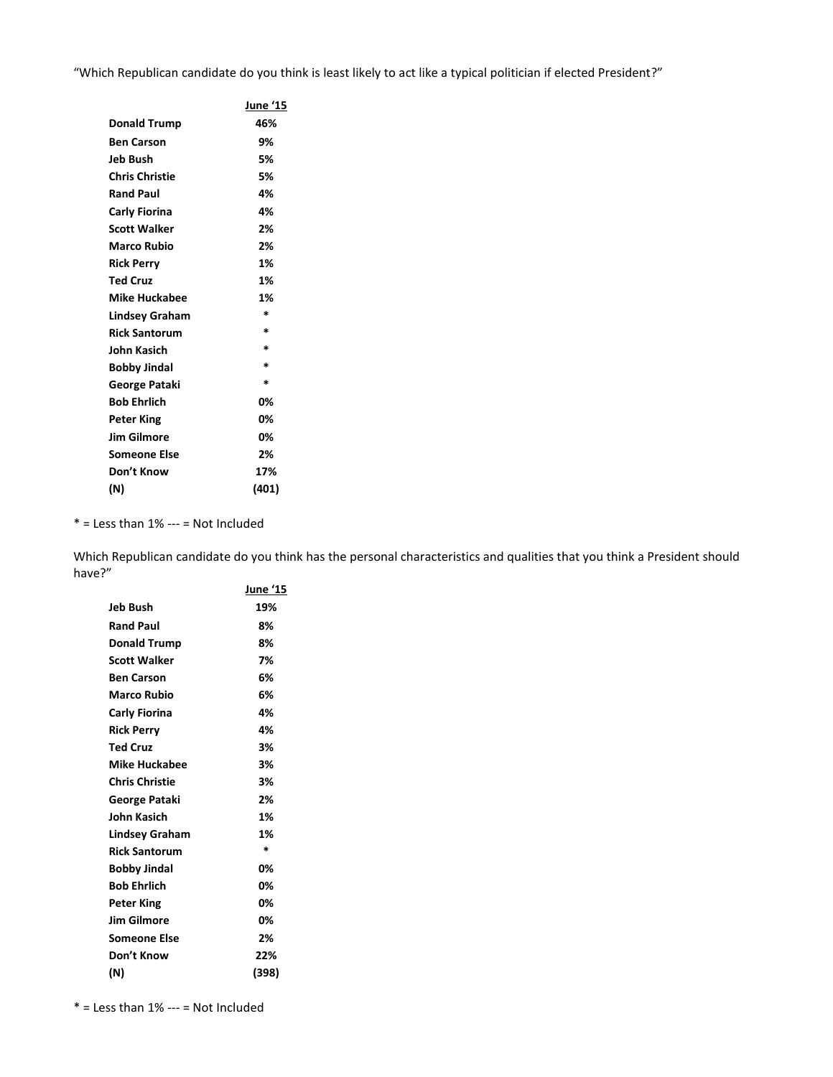"Which Republican candidate do you think is least likely to act like a typical politician if elected President?"

|                       | June '15 |
|-----------------------|----------|
| <b>Donald Trump</b>   | 46%      |
| Ben Carson            | 9%       |
| Jeb Bush              | 5%       |
| <b>Chris Christie</b> | 5%       |
| <b>Rand Paul</b>      | 4%       |
| Carly Fiorina         | 4%       |
| Scott Walker          | 2%       |
| Marco Rubio           | 2%       |
| Rick Perry            | 1%       |
| Ted Cruz              | 1%       |
| <b>Mike Huckabee</b>  | 1%       |
| Lindsey Graham        | *        |
| <b>Rick Santorum</b>  | $\ast$   |
| John Kasich           | $\ast$   |
| Bobby Jindal          | $\ast$   |
| George Pataki         | $\ast$   |
| Bob Ehrlich           | 0%       |
| Peter King            | 0%       |
| <b>Jim Gilmore</b>    | 0%       |
| Someone Else          | 2%       |
| Don't Know            | 17%      |
| (N)                   | (401)    |

 $*$  = Less than 1% --- = Not Included

Which Republican candidate do you think has the personal characteristics and qualities that you think a President should have?"

|                       | June '15 |
|-----------------------|----------|
| Jeb Bush              | 19%      |
| <b>Rand Paul</b>      | 8%       |
| <b>Donald Trump</b>   | 8%       |
| <b>Scott Walker</b>   | 7%       |
| <b>Ben Carson</b>     | 6%       |
| Marco Rubio           | 6%       |
| Carly Fiorina         | 4%       |
| <b>Rick Perry</b>     | 4%       |
| <b>Ted Cruz</b>       | 3%       |
| <b>Mike Huckabee</b>  | 3%       |
| <b>Chris Christie</b> | 3%       |
| George Pataki         | 2%       |
| John Kasich           | 1%       |
| Lindsey Graham        | 1%       |
| <b>Rick Santorum</b>  | *        |
| <b>Bobby Jindal</b>   | 0%       |
| <b>Bob Ehrlich</b>    | 0%       |
| <b>Peter King</b>     | 0%       |
| <b>Jim Gilmore</b>    | 0%       |
| Someone Else          | 2%       |
| Don't Know            | 22%      |
| (N)                   | (398)    |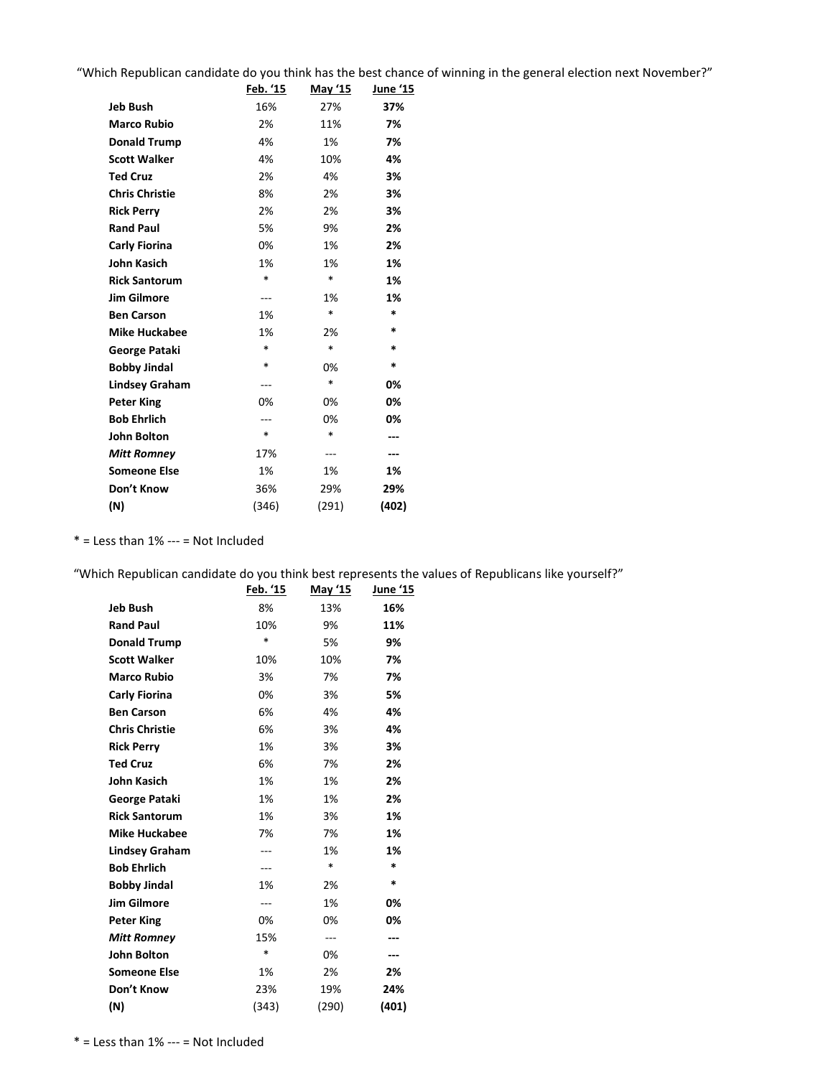"Which Republican candidate do you think has the best chance of winning in the general election next November?"

|                       | Feb. '15 | May '15 | <u>June '15</u> |
|-----------------------|----------|---------|-----------------|
| <b>Jeb Bush</b>       | 16%      | 27%     | 37%             |
| <b>Marco Rubio</b>    | 2%       | 11%     | 7%              |
| <b>Donald Trump</b>   | 4%       | 1%      | 7%              |
| <b>Scott Walker</b>   | 4%       | 10%     | 4%              |
| <b>Ted Cruz</b>       | 2%       | 4%      | 3%              |
| <b>Chris Christie</b> | 8%       | 2%      | 3%              |
| <b>Rick Perry</b>     | 2%       | 2%      | 3%              |
| <b>Rand Paul</b>      | 5%       | 9%      | 2%              |
| Carly Fiorina         | 0%       | 1%      | 2%              |
| <b>John Kasich</b>    | 1%       | 1%      | 1%              |
| <b>Rick Santorum</b>  | $\ast$   | $\ast$  | 1%              |
| <b>Jim Gilmore</b>    | ---      | 1%      | 1%              |
| <b>Ben Carson</b>     | 1%       | $\ast$  | *               |
| <b>Mike Huckabee</b>  | 1%       | 2%      | *               |
| George Pataki         | $\ast$   | $\ast$  | *               |
| <b>Bobby Jindal</b>   | *        | 0%      | *               |
| <b>Lindsey Graham</b> | ---      | $\ast$  | 0%              |
| <b>Peter King</b>     | 0%       | 0%      | 0%              |
| <b>Bob Ehrlich</b>    | ---      | 0%      | 0%              |
| <b>John Bolton</b>    | *        | *       | ---             |
| <b>Mitt Romney</b>    | 17%      | ---     | ---             |
| <b>Someone Else</b>   | 1%       | 1%      | 1%              |
| Don't Know            | 36%      | 29%     | 29%             |
| (N)                   | (346)    | (291)   | (402)           |

 $*$  = Less than  $1\%$  --- = Not Included

"Which Republican candidate do you think best represents the values of Republicans like yourself?"

|                       | Feb. '15       | May '15 | <u>June '15</u> |
|-----------------------|----------------|---------|-----------------|
| <b>Jeb Bush</b>       | 8%             | 13%     | 16%             |
| <b>Rand Paul</b>      | 10%            | 9%      | 11%             |
| <b>Donald Trump</b>   | *              | 5%      | 9%              |
| <b>Scott Walker</b>   | 10%            | 10%     | 7%              |
| <b>Marco Rubio</b>    | 3%             | 7%      | 7%              |
| Carly Fiorina         | 0%             | 3%      | 5%              |
| <b>Ben Carson</b>     | 6%             | 4%      | 4%              |
| <b>Chris Christie</b> | 6%             | 3%      | 4%              |
| <b>Rick Perry</b>     | 1%             | 3%      | 3%              |
| <b>Ted Cruz</b>       | 6%             | 7%      | 2%              |
| <b>John Kasich</b>    | 1%             | 1%      | 2%              |
| George Pataki         | 1%             | 1%      | 2%              |
| <b>Rick Santorum</b>  | 1%             | 3%      | 1%              |
| <b>Mike Huckabee</b>  | 7%             | 7%      | 1%              |
| <b>Lindsey Graham</b> | ---            | 1%      | 1%              |
| <b>Bob Ehrlich</b>    | ---            | *       | *               |
| <b>Bobby Jindal</b>   | 1%             | 2%      | *               |
| <b>Jim Gilmore</b>    | $\overline{a}$ | 1%      | 0%              |
| <b>Peter King</b>     | 0%             | 0%      | 0%              |
| <b>Mitt Romney</b>    | 15%            | ---     | ---             |
| <b>John Bolton</b>    | *              | 0%      | ---             |
| <b>Someone Else</b>   | 1%             | 2%      | 2%              |
| Don't Know            | 23%            | 19%     | 24%             |
| (N)                   | (343)          | (290)   | (401)           |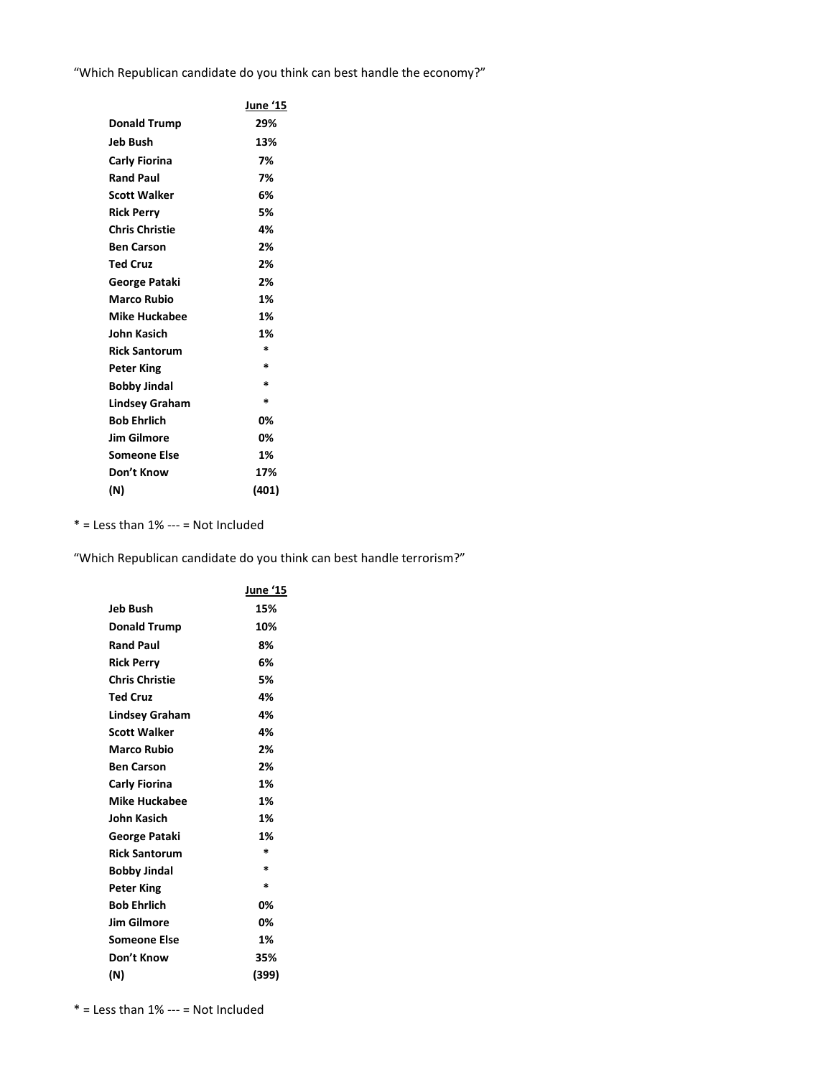"Which Republican candidate do you think can best handle the economy?"

|                       | June '15 |
|-----------------------|----------|
| <b>Donald Trump</b>   | 29%      |
| Jeb Bush              | 13%      |
| <b>Carly Fiorina</b>  | 7%       |
| <b>Rand Paul</b>      | 7%       |
| <b>Scott Walker</b>   | 6%       |
| <b>Rick Perry</b>     | 5%       |
| <b>Chris Christie</b> | 4%       |
| <b>Ben Carson</b>     | 2%       |
| <b>Ted Cruz</b>       | 2%       |
| George Pataki         | 2%       |
| <b>Marco Rubio</b>    | 1%       |
| <b>Mike Huckabee</b>  | 1%       |
| John Kasich           | 1%       |
| <b>Rick Santorum</b>  | $\ast$   |
| <b>Peter King</b>     | *        |
| <b>Bobby Jindal</b>   | $\ast$   |
| <b>Lindsey Graham</b> | $\ast$   |
| <b>Bob Ehrlich</b>    | 0%       |
| <b>Jim Gilmore</b>    | 0%       |
| Someone Else          | 1%       |
| Don't Know            | 17%      |
| (N)                   | (401)    |

 $* =$  Less than  $1\%$  --- = Not Included

"Which Republican candidate do you think can best handle terrorism?"

|                       | <u>June '15</u> |
|-----------------------|-----------------|
| Jeb Bush              | 15%             |
| <b>Donald Trump</b>   | 10%             |
| <b>Rand Paul</b>      | 8%              |
| <b>Rick Perry</b>     | 6%              |
| <b>Chris Christie</b> | 5%              |
| <b>Ted Cruz</b>       | 4%              |
| Lindsey Graham        | 4%              |
| Scott Walker          | 4%              |
| <b>Marco Rubio</b>    | 2%              |
| <b>Ben Carson</b>     | 2%              |
| Carly Fiorina         | 1%              |
| <b>Mike Huckabee</b>  | 1%              |
| John Kasich           | 1%              |
| George Pataki         | 1%              |
| <b>Rick Santorum</b>  | $\ast$          |
| Bobby Jindal          | $\ast$          |
| <b>Peter King</b>     | $\ast$          |
| <b>Bob Ehrlich</b>    | 0%              |
| Jim Gilmore           | 0%              |
| Someone Else          | 1%              |
| Don't Know            | 35%             |
| (N)                   | (399)           |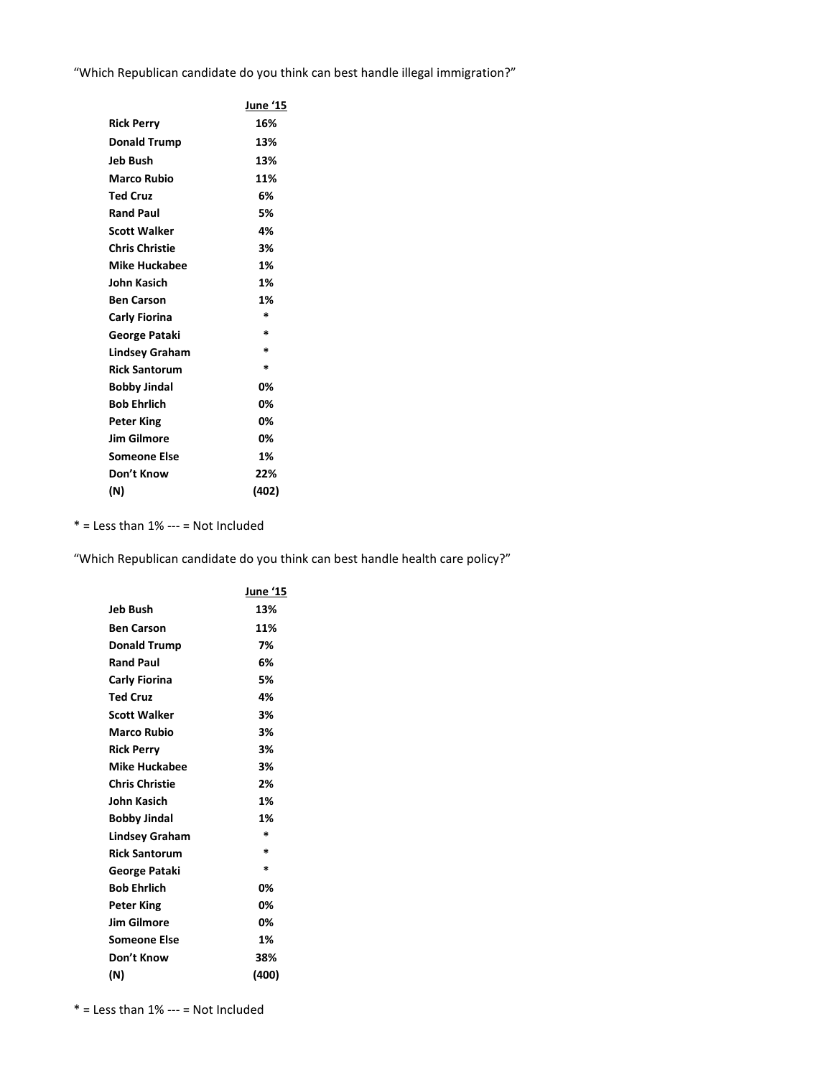"Which Republican candidate do you think can best handle illegal immigration?"

|                       | June '15 |
|-----------------------|----------|
| <b>Rick Perry</b>     | 16%      |
| <b>Donald Trump</b>   | 13%      |
| Jeb Bush              | 13%      |
| <b>Marco Rubio</b>    | 11%      |
| <b>Ted Cruz</b>       | 6%       |
| <b>Rand Paul</b>      | 5%       |
| <b>Scott Walker</b>   | 4%       |
| <b>Chris Christie</b> | 3%       |
| <b>Mike Huckabee</b>  | 1%       |
| John Kasich           | 1%       |
| <b>Ben Carson</b>     | 1%       |
| Carly Fiorina         | $\ast$   |
| George Pataki         | $\ast$   |
| <b>Lindsey Graham</b> | $\ast$   |
| <b>Rick Santorum</b>  | *        |
| <b>Bobby Jindal</b>   | 0%       |
| <b>Bob Ehrlich</b>    | 0%       |
| <b>Peter King</b>     | 0%       |
| <b>Jim Gilmore</b>    | 0%       |
| <b>Someone Else</b>   | 1%       |
| Don't Know            | 22%      |
| (N)                   | (402)    |

 $*$  = Less than 1% --- = Not Included

"Which Republican candidate do you think can best handle health care policy?"

|                      | June '15 |
|----------------------|----------|
| Jeb Bush             | 13%      |
| Ben Carson           | 11%      |
| <b>Donald Trump</b>  | 7%       |
| Rand Paul            | 6%       |
| Carly Fiorina        | 5%       |
| Ted Cruz             | 4%       |
| Scott Walker         | 3%       |
| Marco Rubio          | 3%       |
| Rick Perry           | 3%       |
| Mike Huckabee        | 3%       |
| Chris Christie       | 2%       |
| John Kasich          | 1%       |
| Bobby Jindal         | 1%       |
| Lindsey Graham       | $\ast$   |
| <b>Rick Santorum</b> | $\ast$   |
| George Pataki        | *        |
| Bob Ehrlich          | 0%       |
| Peter King           | 0%       |
| Jim Gilmore          | 0%       |
| Someone Else         | 1%       |
| Don't Know           | 38%      |
| (N)                  | (400)    |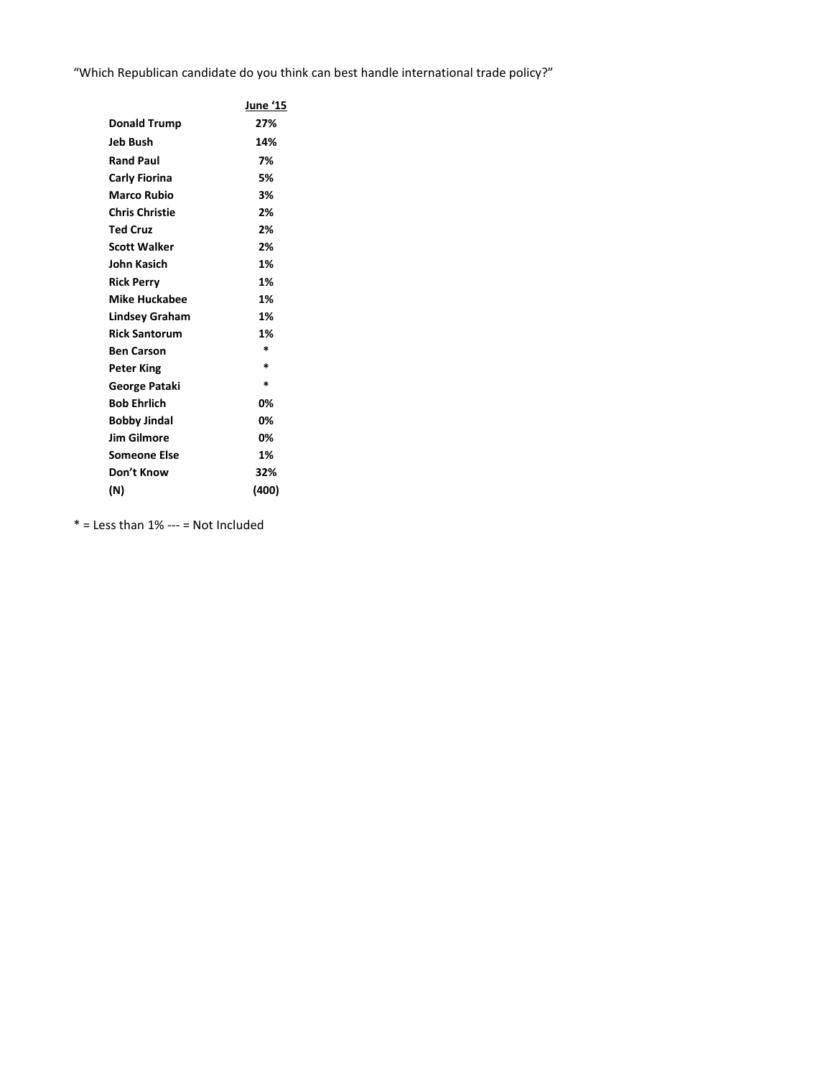"Which Republican candidate do you think can best handle international trade policy?"

|                       | June '15 |
|-----------------------|----------|
| <b>Donald Trump</b>   | 27%      |
| Jeb Bush              | 14%      |
| <b>Rand Paul</b>      | 7%       |
| Carly Fiorina         | 5%       |
| <b>Marco Rubio</b>    | 3%       |
| <b>Chris Christie</b> | 2%       |
| <b>Ted Cruz</b>       | 2%       |
| <b>Scott Walker</b>   | 2%       |
| John Kasich           | 1%       |
| <b>Rick Perry</b>     | 1%       |
| <b>Mike Huckabee</b>  | 1%       |
| Lindsey Graham        | 1%       |
| <b>Rick Santorum</b>  | 1%       |
| <b>Ben Carson</b>     | $\ast$   |
| <b>Peter King</b>     | $\ast$   |
| George Pataki         | $\ast$   |
| <b>Bob Ehrlich</b>    | 0%       |
| <b>Bobby Jindal</b>   | 0%       |
| <b>Jim Gilmore</b>    | 0%       |
| <b>Someone Else</b>   | 1%       |
| Don't Know            | 32%      |
| (N)                   | (400)    |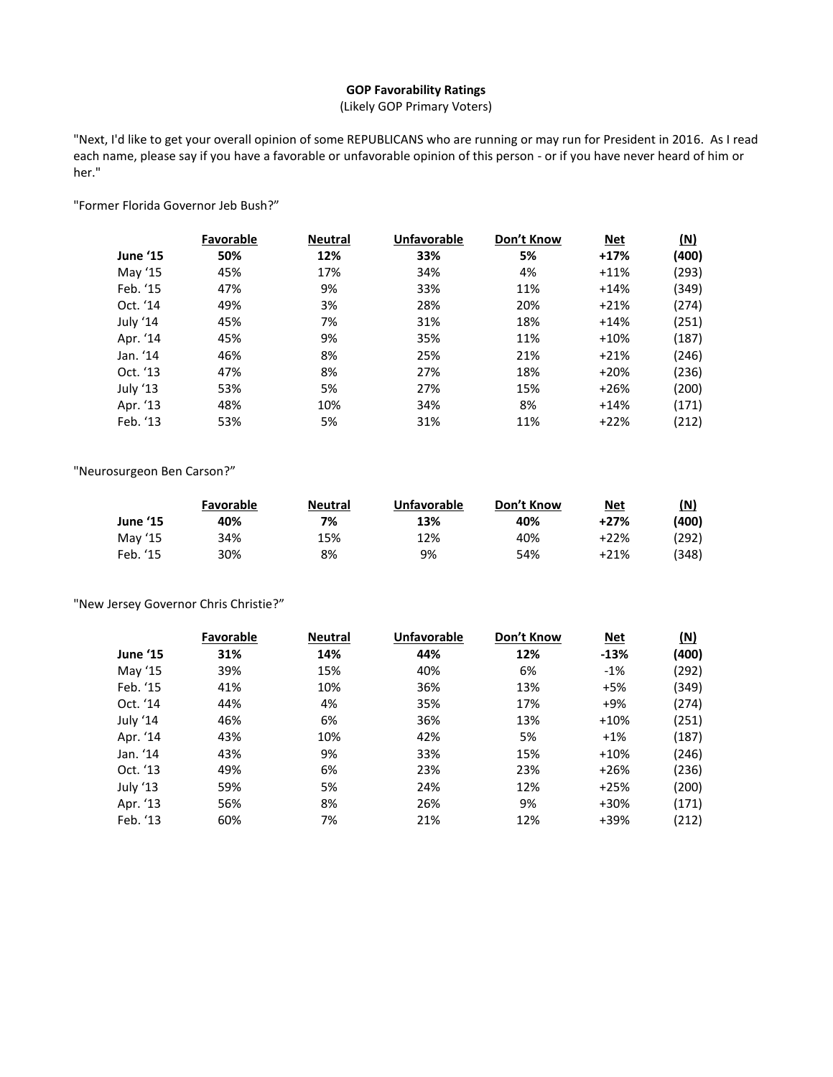# **GOP Favorability Ratings**

(Likely GOP Primary Voters)

"Next, I'd like to get your overall opinion of some REPUBLICANS who are running or may run for President in 2016. As I read each name, please say if you have a favorable or unfavorable opinion of this person - or if you have never heard of him or her."

"Former Florida Governor Jeb Bush?"

|          | Favorable | <b>Neutral</b> | <b>Unfavorable</b> | Don't Know | <b>Net</b> | (N)   |
|----------|-----------|----------------|--------------------|------------|------------|-------|
| June '15 | 50%       | 12%            | 33%                | 5%         | $+17%$     | (400) |
| May '15  | 45%       | 17%            | 34%                | 4%         | $+11%$     | (293) |
| Feb. '15 | 47%       | 9%             | 33%                | 11%        | $+14%$     | (349) |
| Oct. '14 | 49%       | 3%             | 28%                | 20%        | $+21%$     | (274) |
| July '14 | 45%       | 7%             | 31%                | 18%        | $+14%$     | (251) |
| Apr. '14 | 45%       | 9%             | 35%                | 11%        | $+10%$     | (187) |
| Jan. '14 | 46%       | 8%             | 25%                | 21%        | $+21%$     | (246) |
| Oct. '13 | 47%       | 8%             | 27%                | 18%        | $+20%$     | (236) |
| July '13 | 53%       | 5%             | 27%                | 15%        | $+26%$     | (200) |
| Apr. '13 | 48%       | 10%            | 34%                | 8%         | $+14%$     | (171) |
| Feb. '13 | 53%       | 5%             | 31%                | 11%        | $+22%$     | (212) |

"Neurosurgeon Ben Carson?"

|          | <b>Favorable</b> | Neutral | Unfavorable | Don't Know | <b>Net</b> | (N)    |
|----------|------------------|---------|-------------|------------|------------|--------|
| June '15 | 40%              | 7%      | 13%         | 40%        | $+27%$     | (400)  |
| May '15  | 34%              | 15%     | 12%         | 40%        | +22%       | '292). |
| Feb. '15 | 30%              | 8%      | 9%          | 54%        | +21%       | '348)  |

"New Jersey Governor Chris Christie?"

|                 | Favorable | <b>Neutral</b> | <b>Unfavorable</b> | Don't Know | <b>Net</b> | $(\underline{N})$ |
|-----------------|-----------|----------------|--------------------|------------|------------|-------------------|
| <b>June '15</b> | 31%       | 14%            | 44%                | 12%        | $-13%$     | (400)             |
| May '15         | 39%       | 15%            | 40%                | 6%         | $-1%$      | (292)             |
| Feb. '15        | 41%       | 10%            | 36%                | 13%        | $+5%$      | (349)             |
| Oct. '14        | 44%       | 4%             | 35%                | 17%        | $+9%$      | (274)             |
| July '14        | 46%       | 6%             | 36%                | 13%        | $+10%$     | (251)             |
| Apr. '14        | 43%       | 10%            | 42%                | 5%         | $+1%$      | (187)             |
| Jan. '14        | 43%       | 9%             | 33%                | 15%        | $+10%$     | (246)             |
| Oct. '13        | 49%       | 6%             | 23%                | 23%        | $+26%$     | (236)             |
| July '13        | 59%       | 5%             | 24%                | 12%        | $+25%$     | (200)             |
| Apr. '13        | 56%       | 8%             | 26%                | 9%         | $+30%$     | (171)             |
| Feb. '13        | 60%       | 7%             | 21%                | 12%        | +39%       | (212)             |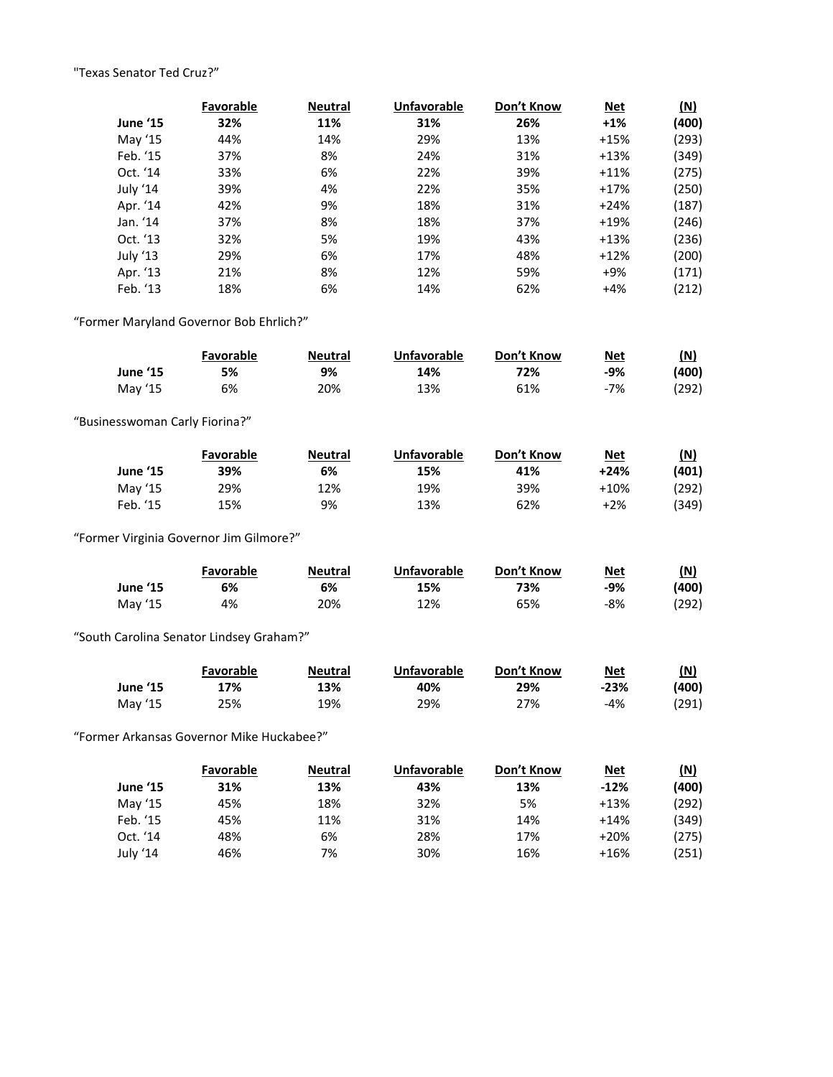# "Texas Senator Ted Cruz?"

|          | Favorable | <b>Neutral</b> | <b>Unfavorable</b> | Don't Know | <b>Net</b> | (N)   |
|----------|-----------|----------------|--------------------|------------|------------|-------|
| June '15 | 32%       | 11%            | 31%                | 26%        | $+1%$      | (400) |
| May '15  | 44%       | 14%            | 29%                | 13%        | $+15%$     | (293) |
| Feb. '15 | 37%       | 8%             | 24%                | 31%        | $+13%$     | (349) |
| Oct. '14 | 33%       | 6%             | 22%                | 39%        | $+11%$     | (275) |
| July '14 | 39%       | 4%             | 22%                | 35%        | $+17%$     | (250) |
| Apr. '14 | 42%       | 9%             | 18%                | 31%        | $+24%$     | (187) |
| Jan. '14 | 37%       | 8%             | 18%                | 37%        | $+19%$     | (246) |
| Oct. '13 | 32%       | 5%             | 19%                | 43%        | $+13%$     | (236) |
| July '13 | 29%       | 6%             | 17%                | 48%        | $+12%$     | (200) |
| Apr. '13 | 21%       | 8%             | 12%                | 59%        | $+9%$      | (171) |
| Feb. '13 | 18%       | 6%             | 14%                | 62%        | $+4%$      | (212) |

"Former Maryland Governor Bob Ehrlich?"

|                 | Favorable | <b>Neutral</b> | <b>Unfavorable</b> | Don't Know | <b>Net</b> | (N)   |
|-----------------|-----------|----------------|--------------------|------------|------------|-------|
| <b>June '15</b> | 5%        | 9%             | 14%                | 72%        | -9%        | (400) |
| May '15         | 6%        | 20%            | 13%                | 61%        | -7%        | (292) |

"Businesswoman Carly Fiorina?"

|                 | Favorable | <b>Neutral</b> | Unfavorable | Don't Know | <b>Net</b> | (N)   |
|-----------------|-----------|----------------|-------------|------------|------------|-------|
| <b>June '15</b> | 39%       | 6%             | 15%         | 41%        | $+24%$     | (401) |
| May '15         | 29%       | 12%            | 19%         | 39%        | $+10%$     | (292) |
| Feb. '15        | 15%       | 9%             | 13%         | 62%        | $+2%$      | (349) |

"Former Virginia Governor Jim Gilmore?"

|                 | Favorable | <b>Neutral</b> | <b>Unfavorable</b> | Don't Know | <b>Net</b> | (N)   |
|-----------------|-----------|----------------|--------------------|------------|------------|-------|
| <b>June '15</b> | 6%        | 6%             | 15%                | 73%        | -9%        | (400) |
| May '15         | 4%        | 20%            | 12%                | 65%        | -8%        | (292) |

"South Carolina Senator Lindsey Graham?"

|                 | <b>Favorable</b> | <b>Neutral</b> | Unfavorable | Don't Know | <b>Net</b> | (N)    |
|-----------------|------------------|----------------|-------------|------------|------------|--------|
| <b>June '15</b> | 17%              | 13%            | 40%         | 29%        | $-23%$     | (400)  |
| May '15         | 25%              | 19%            | 29%         | 27%        | -4%        | (291). |

"Former Arkansas Governor Mike Huckabee?"

|                 | <b>Favorable</b> | <b>Neutral</b> | Unfavorable | Don't Know | <u>Net</u> | (N)   |
|-----------------|------------------|----------------|-------------|------------|------------|-------|
| <b>June '15</b> | 31%              | 13%            | 43%         | 13%        | $-12%$     | (400) |
| May '15         | 45%              | 18%            | 32%         | 5%         | $+13%$     | (292) |
| Feb. '15        | 45%              | 11%            | 31%         | 14%        | $+14%$     | (349) |
| Oct. '14        | 48%              | 6%             | 28%         | 17%        | $+20%$     | (275) |
| July '14        | 46%              | 7%             | 30%         | 16%        | $+16%$     | 251)  |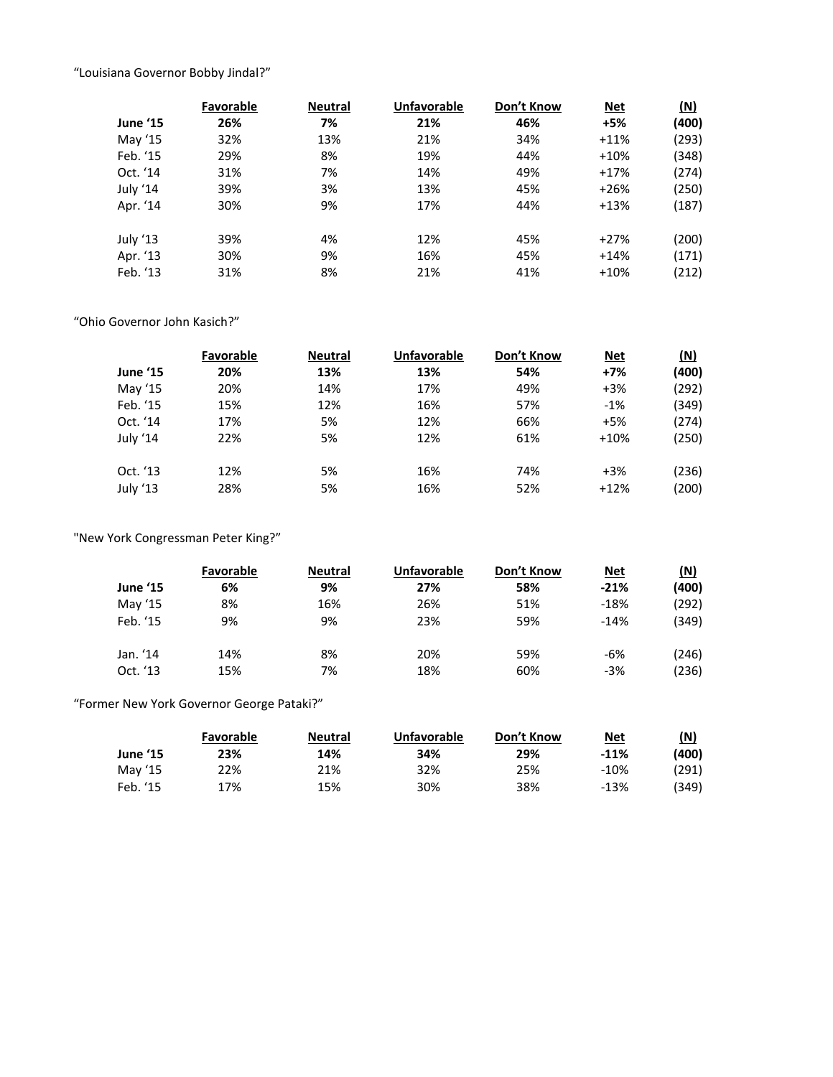"Louisiana Governor Bobby Jindal?"

|          | Favorable | <b>Neutral</b> | <b>Unfavorable</b> | Don't Know | <u>Net</u> | (N)   |
|----------|-----------|----------------|--------------------|------------|------------|-------|
| June '15 | 26%       | 7%             | 21%                | 46%        | $+5%$      | (400) |
| May '15  | 32%       | 13%            | 21%                | 34%        | $+11%$     | (293) |
| Feb. '15 | 29%       | 8%             | 19%                | 44%        | $+10%$     | (348) |
| Oct. '14 | 31%       | 7%             | 14%                | 49%        | $+17%$     | (274) |
| July '14 | 39%       | 3%             | 13%                | 45%        | $+26%$     | (250) |
| Apr. '14 | 30%       | 9%             | 17%                | 44%        | $+13%$     | (187) |
| July '13 | 39%       | 4%             | 12%                | 45%        | $+27%$     | (200) |
| Apr. '13 | 30%       | 9%             | 16%                | 45%        | $+14%$     | (171) |
| Feb. '13 | 31%       | 8%             | 21%                | 41%        | $+10%$     | (212) |

"Ohio Governor John Kasich?"

|          | Favorable | <b>Neutral</b> | <b>Unfavorable</b> | Don't Know | <u>Net</u> | (N)   |
|----------|-----------|----------------|--------------------|------------|------------|-------|
| June '15 | 20%       | 13%            | 13%                | 54%        | $+7%$      | (400) |
| May '15  | 20%       | 14%            | 17%                | 49%        | $+3%$      | (292) |
| Feb. '15 | 15%       | 12%            | 16%                | 57%        | $-1%$      | (349) |
| Oct. '14 | 17%       | 5%             | 12%                | 66%        | $+5%$      | (274) |
| July '14 | 22%       | 5%             | 12%                | 61%        | $+10%$     | (250) |
|          |           |                |                    |            |            |       |
| Oct. '13 | 12%       | 5%             | 16%                | 74%        | $+3%$      | (236) |
| July '13 | 28%       | 5%             | 16%                | 52%        | $+12%$     | (200) |

"New York Congressman Peter King?"

|          | Favorable | <b>Neutral</b> | <b>Unfavorable</b> | Don't Know | <u>Net</u> | (N)   |
|----------|-----------|----------------|--------------------|------------|------------|-------|
| June '15 | 6%        | 9%             | 27%                | 58%        | $-21%$     | (400) |
| May '15  | 8%        | 16%            | 26%                | 51%        | $-18%$     | (292) |
| Feb. '15 | 9%        | 9%             | 23%                | 59%        | $-14%$     | (349) |
| Jan. '14 | 14%       | 8%             | 20%                | 59%        | -6%        | (246) |
| Oct. '13 | 15%       | 7%             | 18%                | 60%        | $-3%$      | (236) |

"Former New York Governor George Pataki?"

|                 | Favorable | <b>Neutral</b> | Unfavorable | Don't Know | <b>Net</b> | (N)   |
|-----------------|-----------|----------------|-------------|------------|------------|-------|
| <b>June '15</b> | 23%       | 14%            | 34%         | 29%        | $-11%$     | (400) |
| May '15         | 22%       | 21%            | 32%         | 25%        | -10%       | (291) |
| Feb. '15        | 17%       | 15%            | 30%         | 38%        | $-13%$     | (349) |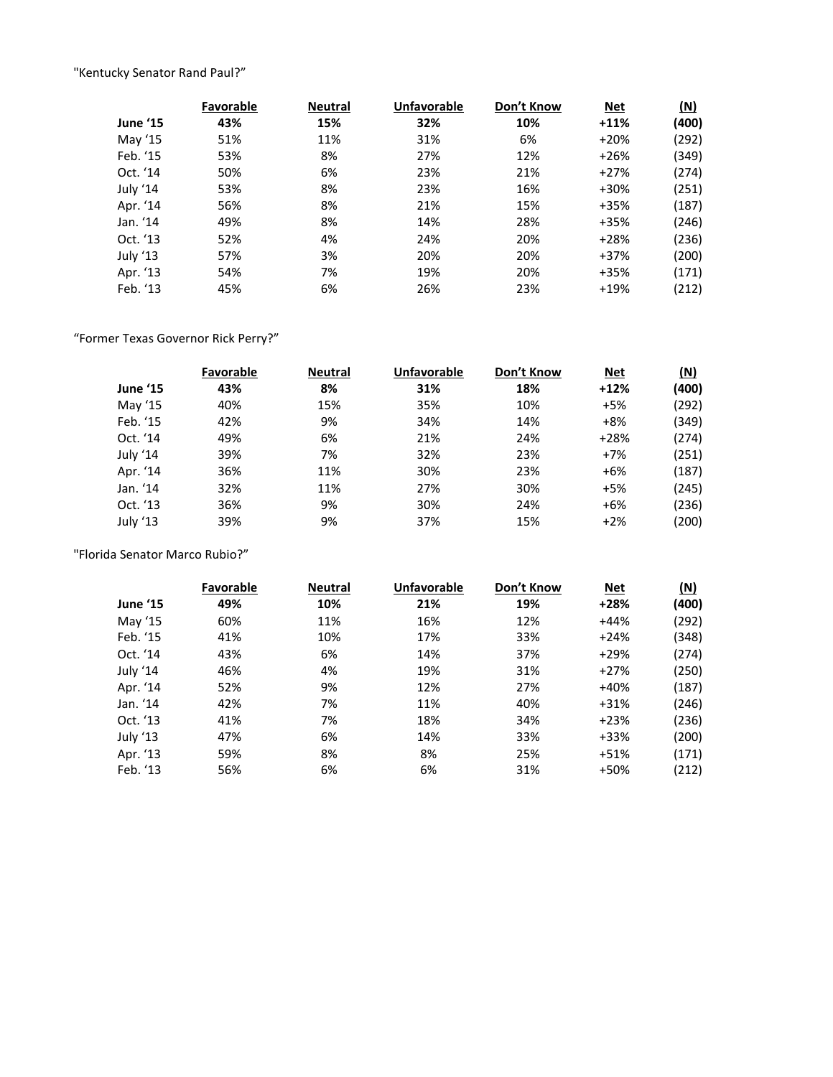"Kentucky Senator Rand Paul?"

|          | Favorable | <b>Neutral</b> | <b>Unfavorable</b> | Don't Know | <u>Net</u> | (N)   |
|----------|-----------|----------------|--------------------|------------|------------|-------|
| June '15 | 43%       | 15%            | 32%                | 10%        | $+11%$     | (400) |
| May '15  | 51%       | 11%            | 31%                | 6%         | $+20%$     | (292) |
| Feb. '15 | 53%       | 8%             | 27%                | 12%        | $+26%$     | (349) |
| Oct. '14 | 50%       | 6%             | 23%                | 21%        | $+27%$     | (274) |
| July '14 | 53%       | 8%             | 23%                | 16%        | $+30%$     | (251) |
| Apr. '14 | 56%       | 8%             | 21%                | 15%        | $+35%$     | (187) |
| Jan. '14 | 49%       | 8%             | 14%                | 28%        | $+35%$     | (246) |
| Oct. '13 | 52%       | 4%             | 24%                | 20%        | $+28%$     | (236) |
| July '13 | 57%       | 3%             | 20%                | 20%        | $+37%$     | (200) |
| Apr. '13 | 54%       | 7%             | 19%                | 20%        | $+35%$     | (171) |
| Feb. '13 | 45%       | 6%             | 26%                | 23%        | $+19%$     | (212) |

"Former Texas Governor Rick Perry?"

|          | Favorable | <b>Neutral</b> | <b>Unfavorable</b> | Don't Know | <b>Net</b> | (N)   |
|----------|-----------|----------------|--------------------|------------|------------|-------|
| June '15 | 43%       | 8%             | 31%                | 18%        | $+12%$     | (400) |
| May '15  | 40%       | 15%            | 35%                | 10%        | $+5%$      | (292) |
| Feb. '15 | 42%       | 9%             | 34%                | 14%        | $+8%$      | (349) |
| Oct. '14 | 49%       | 6%             | 21%                | 24%        | $+28%$     | (274) |
| July '14 | 39%       | 7%             | 32%                | 23%        | $+7%$      | (251) |
| Apr. '14 | 36%       | 11%            | 30%                | 23%        | $+6%$      | (187) |
| Jan. '14 | 32%       | 11%            | 27%                | 30%        | $+5%$      | (245) |
| Oct. '13 | 36%       | 9%             | 30%                | 24%        | $+6%$      | (236) |
| July '13 | 39%       | 9%             | 37%                | 15%        | $+2%$      | (200) |

"Florida Senator Marco Rubio?"

|          | Favorable | <b>Neutral</b> | <b>Unfavorable</b> | Don't Know | <b>Net</b> | (N)   |
|----------|-----------|----------------|--------------------|------------|------------|-------|
| June '15 | 49%       | 10%            | 21%                | 19%        | $+28%$     | (400) |
| May '15  | 60%       | 11%            | 16%                | 12%        | $+44%$     | (292) |
| Feb. '15 | 41%       | 10%            | 17%                | 33%        | $+24%$     | (348) |
| Oct. '14 | 43%       | 6%             | 14%                | 37%        | $+29%$     | (274) |
| July '14 | 46%       | 4%             | 19%                | 31%        | $+27%$     | (250) |
| Apr. '14 | 52%       | 9%             | 12%                | 27%        | $+40%$     | (187) |
| Jan. '14 | 42%       | 7%             | 11%                | 40%        | $+31%$     | (246) |
| Oct. '13 | 41%       | 7%             | 18%                | 34%        | $+23%$     | (236) |
| July '13 | 47%       | 6%             | 14%                | 33%        | $+33%$     | (200) |
| Apr. '13 | 59%       | 8%             | 8%                 | 25%        | $+51%$     | (171) |
| Feb. '13 | 56%       | 6%             | 6%                 | 31%        | +50%       | (212) |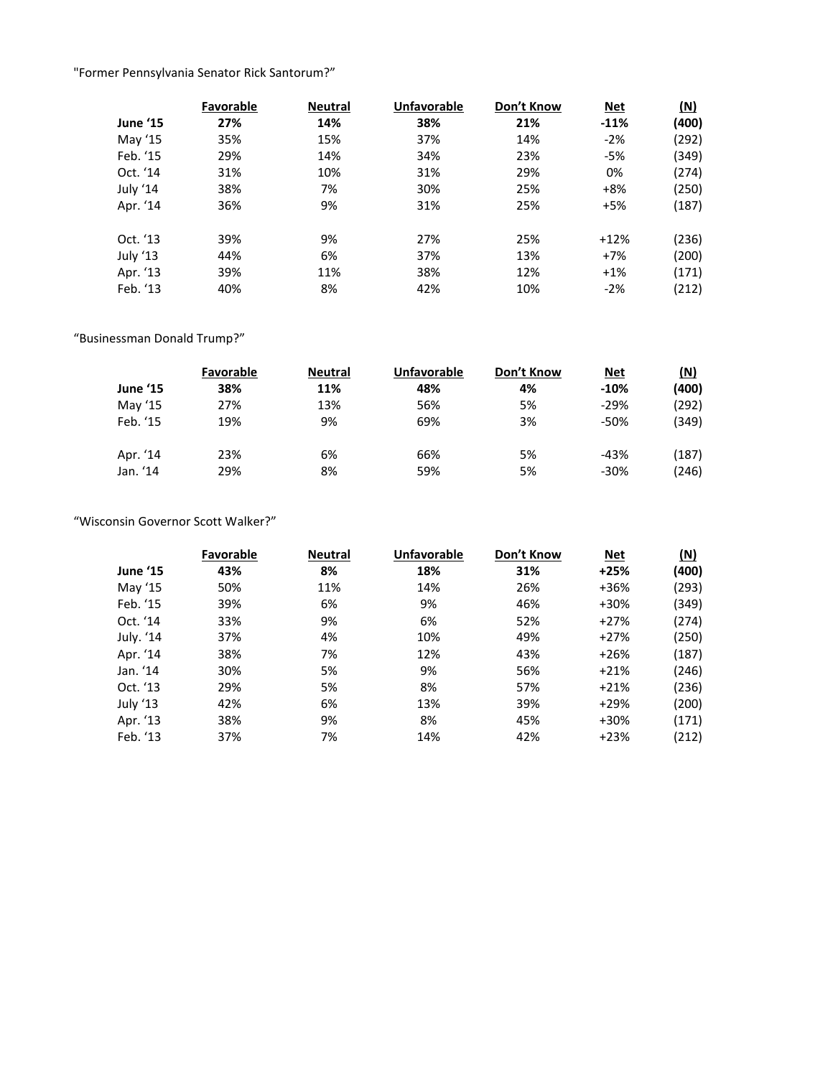"Former Pennsylvania Senator Rick Santorum?"

|                 | Favorable | <b>Neutral</b> | <b>Unfavorable</b> | Don't Know | <b>Net</b> | (N)   |
|-----------------|-----------|----------------|--------------------|------------|------------|-------|
| <b>June '15</b> | 27%       | 14%            | 38%                | 21%        | $-11%$     | (400) |
| May '15         | 35%       | 15%            | 37%                | 14%        | $-2%$      | (292) |
| Feb. '15        | 29%       | 14%            | 34%                | 23%        | $-5%$      | (349) |
| Oct. '14        | 31%       | 10%            | 31%                | 29%        | 0%         | (274) |
| July '14        | 38%       | 7%             | 30%                | 25%        | $+8%$      | (250) |
| Apr. '14        | 36%       | 9%             | 31%                | 25%        | $+5%$      | (187) |
| Oct. '13        | 39%       | 9%             | 27%                | 25%        | $+12%$     | (236) |
| July '13        | 44%       | 6%             | 37%                | 13%        | $+7%$      | (200) |
| Apr. '13        | 39%       | 11%            | 38%                | 12%        | $+1%$      | (171) |
| Feb. '13        | 40%       | 8%             | 42%                | 10%        | $-2%$      | (212) |

# "Businessman Donald Trump?"

|          | <b>Favorable</b> | <b>Neutral</b> | <b>Unfavorable</b> | Don't Know | <u>Net</u> | (N)   |
|----------|------------------|----------------|--------------------|------------|------------|-------|
| June '15 | 38%              | 11%            | 48%                | 4%         | $-10%$     | (400) |
| May '15  | 27%              | 13%            | 56%                | 5%         | $-29%$     | (292) |
| Feb. '15 | 19%              | 9%             | 69%                | 3%         | $-50%$     | (349) |
| Apr. '14 | 23%              | 6%             | 66%                | 5%         | $-43%$     | (187) |
| Jan. '14 | 29%              | 8%             | 59%                | 5%         | $-30%$     | (246) |

# "Wisconsin Governor Scott Walker?"

|                 | <b>Favorable</b> | <b>Neutral</b> | <b>Unfavorable</b> | Don't Know | <b>Net</b> | $(\underline{N})$ |
|-----------------|------------------|----------------|--------------------|------------|------------|-------------------|
| <b>June '15</b> | 43%              | 8%             | 18%                | 31%        | $+25%$     | (400)             |
| May '15         | 50%              | 11%            | 14%                | 26%        | $+36%$     | (293)             |
| Feb. '15        | 39%              | 6%             | 9%                 | 46%        | +30%       | (349)             |
| Oct. '14        | 33%              | 9%             | 6%                 | 52%        | $+27%$     | (274)             |
| July. '14       | 37%              | 4%             | 10%                | 49%        | $+27%$     | (250)             |
| Apr. '14        | 38%              | 7%             | 12%                | 43%        | $+26%$     | (187)             |
| Jan. '14        | 30%              | 5%             | 9%                 | 56%        | $+21%$     | (246)             |
| Oct. '13        | 29%              | 5%             | 8%                 | 57%        | $+21%$     | (236)             |
| July '13        | 42%              | 6%             | 13%                | 39%        | $+29%$     | (200)             |
| Apr. '13        | 38%              | 9%             | 8%                 | 45%        | +30%       | (171)             |
| Feb. '13        | 37%              | 7%             | 14%                | 42%        | $+23%$     | (212)             |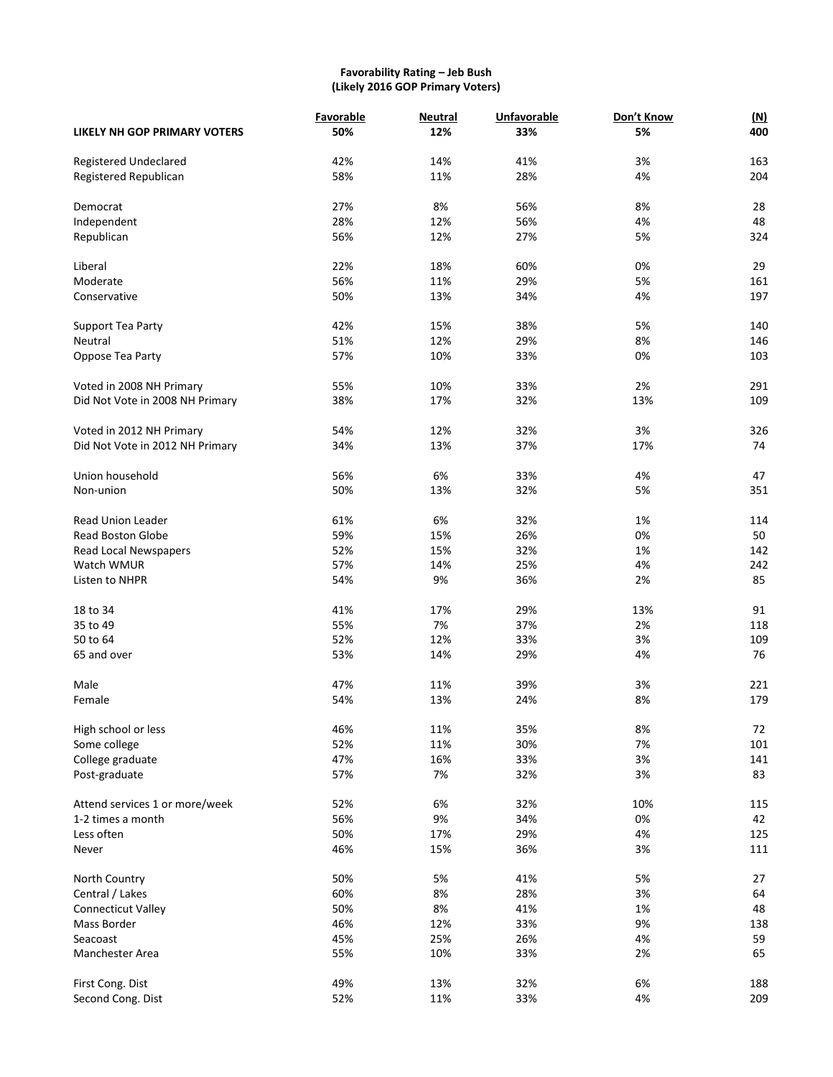# **Favorability Rating – Jeb Bush (Likely 2016 GOP Primary Voters)**

|                                     | Favorable  | <b>Neutral</b> | <b>Unfavorable</b> | Don't Know | <u>(N)</u> |
|-------------------------------------|------------|----------------|--------------------|------------|------------|
| LIKELY NH GOP PRIMARY VOTERS        | 50%        | 12%            | 33%                | 5%         | 400        |
| Registered Undeclared               | 42%        | 14%            | 41%                | 3%         | 163        |
| Registered Republican               | 58%        | 11%            | 28%                | 4%         | 204        |
|                                     |            |                |                    |            |            |
| Democrat                            | 27%        | 8%             | 56%                | 8%         | 28         |
| Independent                         | 28%        | 12%            | 56%                | 4%         | 48         |
| Republican                          | 56%        | 12%            | 27%                | 5%         | 324        |
|                                     |            |                |                    |            |            |
| Liberal                             | 22%        | 18%            | 60%                | 0%         | 29         |
| Moderate                            | 56%        | 11%            | 29%                | 5%         | 161        |
| Conservative                        | 50%        | 13%            | 34%                | 4%         | 197        |
|                                     | 42%        |                | 38%                |            | 140        |
| Support Tea Party<br>Neutral        | 51%        | 15%<br>12%     | 29%                | 5%<br>8%   | 146        |
|                                     | 57%        | 10%            | 33%                | 0%         | 103        |
| Oppose Tea Party                    |            |                |                    |            |            |
| Voted in 2008 NH Primary            | 55%        | 10%            | 33%                | 2%         | 291        |
| Did Not Vote in 2008 NH Primary     | 38%        | 17%            | 32%                | 13%        | 109        |
|                                     |            |                |                    |            |            |
| Voted in 2012 NH Primary            | 54%        | 12%            | 32%                | 3%         | 326        |
| Did Not Vote in 2012 NH Primary     | 34%        | 13%            | 37%                | 17%        | 74         |
|                                     |            |                |                    |            |            |
| Union household                     | 56%        | 6%             | 33%                | 4%         | 47         |
| Non-union                           | 50%        | 13%            | 32%                | 5%         | 351        |
| <b>Read Union Leader</b>            |            |                |                    |            | 114        |
|                                     | 61%        | 6%             | 32%<br>26%         | 1%<br>0%   | 50         |
| <b>Read Boston Globe</b>            | 59%<br>52% | 15%<br>15%     | 32%                | 1%         | 142        |
| Read Local Newspapers<br>Watch WMUR | 57%        | 14%            | 25%                | 4%         | 242        |
|                                     | 54%        | 9%             | 36%                | 2%         | 85         |
| Listen to NHPR                      |            |                |                    |            |            |
| 18 to 34                            | 41%        | 17%            | 29%                | 13%        | 91         |
| 35 to 49                            | 55%        | 7%             | 37%                | 2%         | 118        |
| 50 to 64                            | 52%        | 12%            | 33%                | 3%         | 109        |
| 65 and over                         | 53%        | 14%            | 29%                | 4%         | 76         |
|                                     |            |                |                    |            |            |
| Male                                | 47%        | 11%            | 39%                | 3%         | 221        |
| Female                              | 54%        | 13%            | 24%                | 8%         | 179        |
|                                     |            |                |                    |            |            |
| High school or less                 | 46%        | 11%            | 35%                | 8%         | 72         |
| Some college                        | 52%        | 11%            | 30%                | 7%         | 101        |
| College graduate                    | 47%        | 16%            | 33%                | 3%         | 141        |
| Post-graduate                       | 57%        | 7%             | 32%                | 3%         | 83         |
| Attend services 1 or more/week      | 52%        | 6%             | 32%                | 10%        | 115        |
| 1-2 times a month                   | 56%        | 9%             | 34%                | 0%         | 42         |
| Less often                          | 50%        | 17%            | 29%                | 4%         | 125        |
| Never                               | 46%        | 15%            | 36%                | 3%         | 111        |
|                                     |            |                |                    |            |            |
| North Country                       | 50%        | 5%             | 41%                | 5%         | 27         |
| Central / Lakes                     | 60%        | 8%             | 28%                | 3%         | 64         |
| Connecticut Valley                  | 50%        | 8%             | 41%                | 1%         | 48         |
| Mass Border                         | 46%        | 12%            | 33%                | 9%         | 138        |
| Seacoast                            | 45%        | 25%            | 26%                | 4%         | 59         |
| Manchester Area                     | 55%        | 10%            | 33%                | 2%         | 65         |
|                                     |            |                |                    |            |            |
| First Cong. Dist                    | 49%        | 13%            | 32%                | 6%         | 188        |
| Second Cong. Dist                   | 52%        | 11%            | 33%                | 4%         | 209        |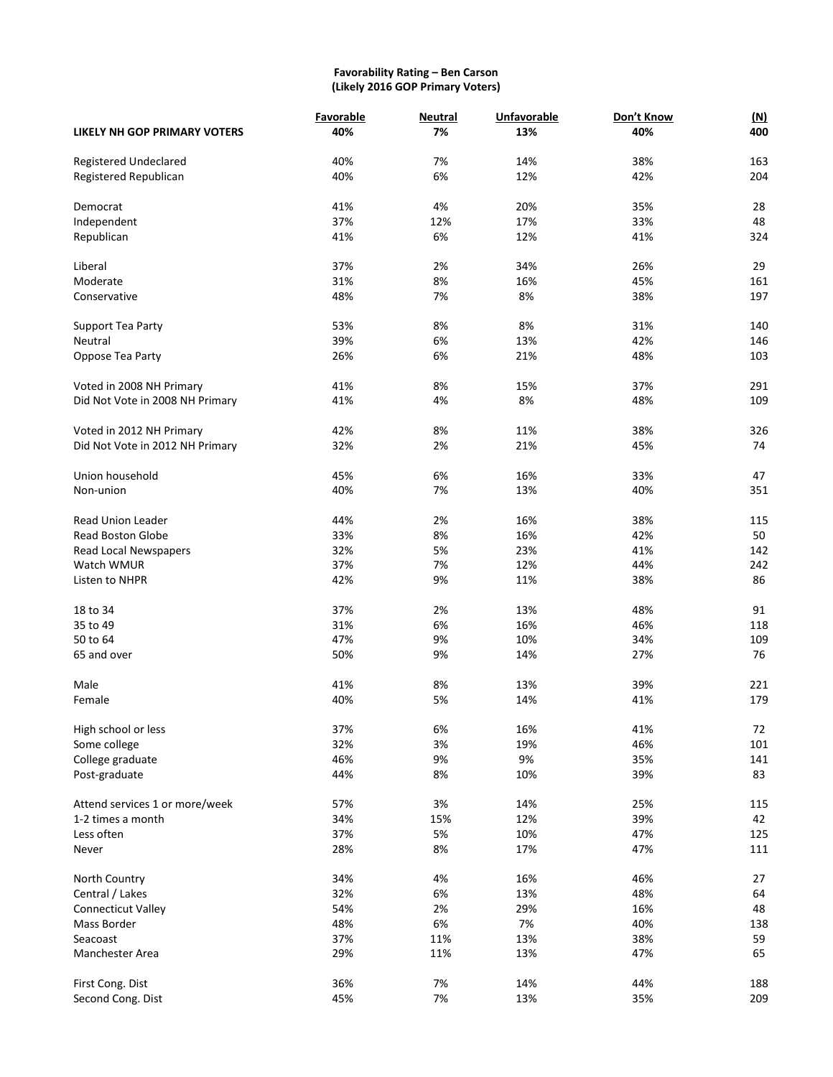# **Favorability Rating – Ben Carson (Likely 2016 GOP Primary Voters)**

|                                 | Favorable  | <b>Neutral</b> | <b>Unfavorable</b> | Don't Know | (M) |
|---------------------------------|------------|----------------|--------------------|------------|-----|
| LIKELY NH GOP PRIMARY VOTERS    | 40%        | 7%             | 13%                | 40%        | 400 |
| <b>Registered Undeclared</b>    | 40%        | 7%             | 14%                | 38%        | 163 |
| Registered Republican           | 40%        | 6%             | 12%                | 42%        | 204 |
|                                 |            |                |                    |            |     |
| Democrat                        | 41%        | 4%             | 20%                | 35%        | 28  |
| Independent                     | 37%        | 12%            | 17%                | 33%        | 48  |
| Republican                      | 41%        | 6%             | 12%                | 41%        | 324 |
|                                 |            |                |                    |            | 29  |
| Liberal<br>Moderate             | 37%<br>31% | 2%<br>8%       | 34%<br>16%         | 26%        | 161 |
| Conservative                    | 48%        | 7%             | 8%                 | 45%<br>38% | 197 |
|                                 |            |                |                    |            |     |
| Support Tea Party               | 53%        | 8%             | 8%                 | 31%        | 140 |
| Neutral                         | 39%        | 6%             | 13%                | 42%        | 146 |
| Oppose Tea Party                | 26%        | 6%             | 21%                | 48%        | 103 |
|                                 |            |                |                    |            |     |
| Voted in 2008 NH Primary        | 41%        | 8%             | 15%                | 37%        | 291 |
| Did Not Vote in 2008 NH Primary | 41%        | 4%             | 8%                 | 48%        | 109 |
| Voted in 2012 NH Primary        | 42%        | 8%             | 11%                | 38%        | 326 |
| Did Not Vote in 2012 NH Primary | 32%        | 2%             | 21%                | 45%        | 74  |
|                                 |            |                |                    |            |     |
| Union household                 | 45%        | 6%             | 16%                | 33%        | 47  |
| Non-union                       | 40%        | 7%             | 13%                | 40%        | 351 |
| <b>Read Union Leader</b>        | 44%        | 2%             | 16%                | 38%        | 115 |
| <b>Read Boston Globe</b>        |            | 8%             |                    |            | 50  |
|                                 | 33%<br>32% | 5%             | 16%<br>23%         | 42%        | 142 |
| Read Local Newspapers           |            |                |                    | 41%        |     |
| Watch WMUR                      | 37%        | 7%             | 12%                | 44%        | 242 |
| Listen to NHPR                  | 42%        | 9%             | 11%                | 38%        | 86  |
| 18 to 34                        | 37%        | 2%             | 13%                | 48%        | 91  |
| 35 to 49                        | 31%        | 6%             | 16%                | 46%        | 118 |
| 50 to 64                        | 47%        | 9%             | 10%                | 34%        | 109 |
| 65 and over                     | 50%        | 9%             | 14%                | 27%        | 76  |
|                                 |            |                |                    |            |     |
| Male                            | 41%        | 8%             | 13%                | 39%        | 221 |
| Female                          | 40%        | 5%             | 14%                | 41%        | 179 |
| High school or less             | 37%        | 6%             | 16%                | 41%        | 72  |
| Some college                    | 32%        | 3%             | 19%                | 46%        | 101 |
| College graduate                | 46%        | 9%             | 9%                 | 35%        | 141 |
|                                 | 44%        |                |                    |            | 83  |
| Post-graduate                   |            | 8%             | 10%                | 39%        |     |
| Attend services 1 or more/week  | 57%        | 3%             | 14%                | 25%        | 115 |
| 1-2 times a month               | 34%        | 15%            | 12%                | 39%        | 42  |
| Less often                      | 37%        | 5%             | 10%                | 47%        | 125 |
| Never                           | 28%        | 8%             | 17%                | 47%        | 111 |
|                                 |            |                |                    |            |     |
| North Country                   | 34%        | 4%             | 16%                | 46%        | 27  |
| Central / Lakes                 | 32%        | 6%             | 13%                | 48%        | 64  |
| <b>Connecticut Valley</b>       | 54%        | 2%             | 29%                | 16%        | 48  |
| Mass Border                     | 48%        | 6%             | 7%                 | 40%        | 138 |
| Seacoast                        | 37%        | 11%            | 13%                | 38%        | 59  |
| Manchester Area                 | 29%        | 11%            | 13%                | 47%        | 65  |
| First Cong. Dist                | 36%        | 7%             | 14%                | 44%        | 188 |
| Second Cong. Dist               | 45%        | $7%$           | 13%                | 35%        | 209 |
|                                 |            |                |                    |            |     |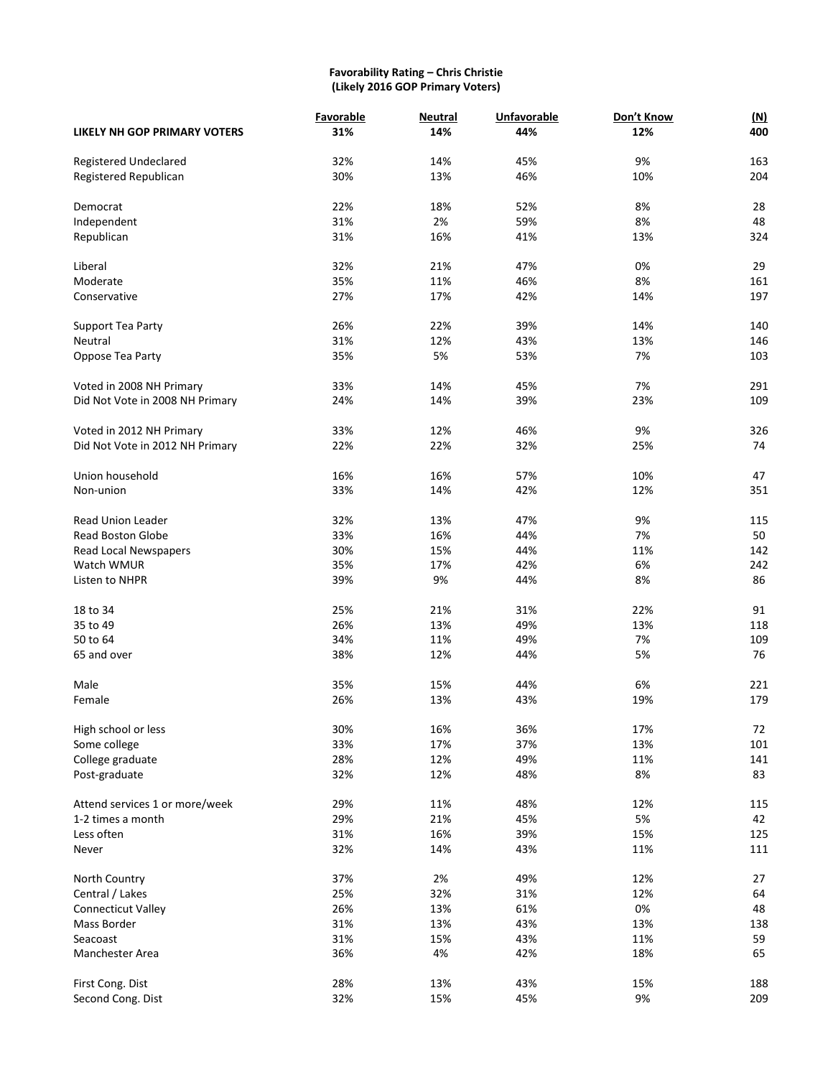#### **Favorability Rating – Chris Christie (Likely 2016 GOP Primary Voters)**

|                                 | Favorable | <b>Neutral</b> | <b>Unfavorable</b> | Don't Know | (M) |
|---------------------------------|-----------|----------------|--------------------|------------|-----|
| LIKELY NH GOP PRIMARY VOTERS    | 31%       | 14%            | 44%                | 12%        | 400 |
| <b>Registered Undeclared</b>    | 32%       | 14%            | 45%                | 9%         | 163 |
|                                 |           |                |                    |            |     |
| Registered Republican           | 30%       | 13%            | 46%                | 10%        | 204 |
| Democrat                        | 22%       | 18%            | 52%                | 8%         | 28  |
| Independent                     | 31%       | 2%             | 59%                | 8%         | 48  |
| Republican                      | 31%       | 16%            | 41%                | 13%        | 324 |
|                                 |           |                |                    |            |     |
| Liberal                         | 32%       | 21%            | 47%                | 0%         | 29  |
| Moderate                        | 35%       | 11%            | 46%                | 8%         | 161 |
| Conservative                    | 27%       | 17%            | 42%                | 14%        | 197 |
| Support Tea Party               | 26%       | 22%            | 39%                | 14%        | 140 |
| Neutral                         | 31%       | 12%            | 43%                | 13%        | 146 |
| Oppose Tea Party                | 35%       | 5%             | 53%                | 7%         | 103 |
|                                 |           |                |                    |            |     |
| Voted in 2008 NH Primary        | 33%       | 14%            | 45%                | 7%         | 291 |
| Did Not Vote in 2008 NH Primary | 24%       | 14%            | 39%                | 23%        | 109 |
|                                 |           |                |                    |            |     |
| Voted in 2012 NH Primary        | 33%       | 12%            | 46%                | 9%         | 326 |
| Did Not Vote in 2012 NH Primary | 22%       | 22%            | 32%                | 25%        | 74  |
|                                 |           |                |                    |            |     |
| Union household                 | 16%       | 16%            | 57%                | 10%        | 47  |
| Non-union                       | 33%       | 14%            | 42%                | 12%        | 351 |
| <b>Read Union Leader</b>        | 32%       | 13%            | 47%                | 9%         | 115 |
| <b>Read Boston Globe</b>        | 33%       | 16%            | 44%                | 7%         | 50  |
| Read Local Newspapers           | 30%       | 15%            | 44%                | 11%        | 142 |
|                                 |           | 17%            | 42%                | 6%         | 242 |
| Watch WMUR                      | 35%       |                |                    |            |     |
| Listen to NHPR                  | 39%       | 9%             | 44%                | 8%         | 86  |
| 18 to 34                        | 25%       | 21%            | 31%                | 22%        | 91  |
| 35 to 49                        | 26%       | 13%            | 49%                | 13%        | 118 |
| 50 to 64                        | 34%       | 11%            | 49%                | 7%         | 109 |
| 65 and over                     | 38%       | 12%            | 44%                | 5%         | 76  |
|                                 |           |                |                    |            |     |
| Male                            | 35%       | 15%            | 44%                | 6%         | 221 |
| Female                          | 26%       | 13%            | 43%                | 19%        | 179 |
| High school or less             | 30%       | 16%            | 36%                |            | 72  |
|                                 |           |                |                    | 17%        |     |
| Some college                    | 33%       | 17%            | 37%                | 13%        | 101 |
| College graduate                | 28%       | 12%            | 49%                | 11%        | 141 |
| Post-graduate                   | 32%       | 12%            | 48%                | 8%         | 83  |
| Attend services 1 or more/week  | 29%       | 11%            | 48%                | 12%        | 115 |
| 1-2 times a month               | 29%       | 21%            | 45%                | 5%         | 42  |
| Less often                      | 31%       | 16%            | 39%                | 15%        | 125 |
| Never                           | 32%       | 14%            | 43%                | 11%        | 111 |
|                                 |           |                |                    |            |     |
| North Country                   | 37%       | 2%             | 49%                | 12%        | 27  |
| Central / Lakes                 | 25%       | 32%            | 31%                | 12%        | 64  |
| Connecticut Valley              | 26%       | 13%            | 61%                | 0%         | 48  |
| Mass Border                     | 31%       | 13%            | 43%                | 13%        | 138 |
| Seacoast                        | 31%       | 15%            | 43%                | 11%        | 59  |
| Manchester Area                 | 36%       | 4%             | 42%                | 18%        | 65  |
|                                 |           |                |                    |            |     |
| First Cong. Dist                | 28%       | 13%            | 43%                | 15%        | 188 |
| Second Cong. Dist               | 32%       | 15%            | 45%                | $9%$       | 209 |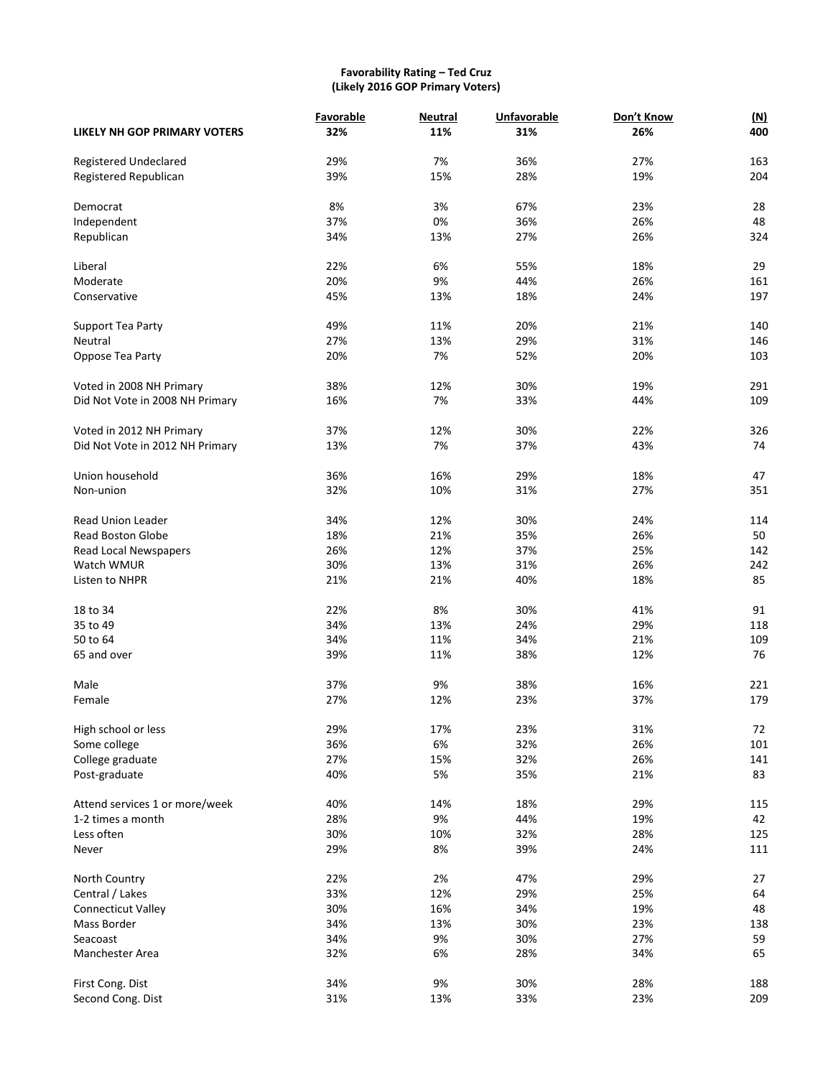# **Favorability Rating – Ted Cruz (Likely 2016 GOP Primary Voters)**

|                                     | Favorable | <b>Neutral</b> | <b>Unfavorable</b> | Don't Know | (M) |
|-------------------------------------|-----------|----------------|--------------------|------------|-----|
| <b>LIKELY NH GOP PRIMARY VOTERS</b> | 32%       | 11%            | 31%                | 26%        | 400 |
| <b>Registered Undeclared</b>        | 29%       | 7%             | 36%                | 27%        | 163 |
| Registered Republican               | 39%       | 15%            | 28%                | 19%        | 204 |
| Democrat                            | 8%        | 3%             | 67%                | 23%        | 28  |
| Independent                         | 37%       | 0%             | 36%                | 26%        | 48  |
| Republican                          | 34%       | 13%            | 27%                | 26%        | 324 |
| Liberal                             | 22%       | 6%             | 55%                | 18%        | 29  |
| Moderate                            | 20%       | 9%             | 44%                | 26%        | 161 |
| Conservative                        | 45%       | 13%            | 18%                | 24%        | 197 |
|                                     |           |                |                    |            |     |
| Support Tea Party                   | 49%       | 11%            | 20%                | 21%        | 140 |
| Neutral                             | 27%       | 13%            | 29%                | 31%        | 146 |
| Oppose Tea Party                    | 20%       | 7%             | 52%                | 20%        | 103 |
| Voted in 2008 NH Primary            | 38%       | 12%            | 30%                | 19%        | 291 |
| Did Not Vote in 2008 NH Primary     | 16%       | 7%             | 33%                | 44%        | 109 |
| Voted in 2012 NH Primary            | 37%       | 12%            | 30%                | 22%        | 326 |
| Did Not Vote in 2012 NH Primary     | 13%       | 7%             | 37%                | 43%        | 74  |
|                                     |           |                |                    |            |     |
| Union household                     | 36%       | 16%            | 29%                | 18%        | 47  |
| Non-union                           | 32%       | 10%            | 31%                | 27%        | 351 |
| <b>Read Union Leader</b>            | 34%       | 12%            | 30%                | 24%        | 114 |
| <b>Read Boston Globe</b>            | 18%       | 21%            | 35%                | 26%        | 50  |
| Read Local Newspapers               | 26%       | 12%            | 37%                | 25%        | 142 |
| Watch WMUR                          | 30%       | 13%            | 31%                | 26%        | 242 |
| Listen to NHPR                      | 21%       | 21%            | 40%                | 18%        | 85  |
| 18 to 34                            | 22%       | 8%             | 30%                | 41%        | 91  |
| 35 to 49                            | 34%       | 13%            | 24%                | 29%        | 118 |
| 50 to 64                            | 34%       | 11%            | 34%                | 21%        | 109 |
| 65 and over                         | 39%       | 11%            | 38%                | 12%        | 76  |
| Male                                | 37%       | 9%             | 38%                | 16%        | 221 |
| Female                              | 27%       | 12%            | 23%                | 37%        | 179 |
|                                     |           |                |                    |            |     |
| High school or less                 | 29%       | 17%            | 23%                | 31%        | 72  |
| Some college                        | 36%       | 6%             | 32%                | 26%        | 101 |
| College graduate                    | 27%       | 15%            | 32%                | 26%        | 141 |
| Post-graduate                       | 40%       | 5%             | 35%                | 21%        | 83  |
| Attend services 1 or more/week      | 40%       | 14%            | 18%                | 29%        | 115 |
| 1-2 times a month                   | 28%       | 9%             | 44%                | 19%        | 42  |
| Less often                          | 30%       | 10%            | 32%                | 28%        | 125 |
| Never                               | 29%       | 8%             | 39%                | 24%        | 111 |
| North Country                       | 22%       | 2%             | 47%                | 29%        | 27  |
| Central / Lakes                     | 33%       | 12%            | 29%                | 25%        | 64  |
| Connecticut Valley                  | 30%       | 16%            | 34%                | 19%        | 48  |
| Mass Border                         | 34%       | 13%            | 30%                | 23%        | 138 |
| Seacoast                            | 34%       | 9%             | 30%                | 27%        | 59  |
| Manchester Area                     | 32%       | 6%             | 28%                | 34%        | 65  |
|                                     |           |                |                    |            |     |
| First Cong. Dist                    | 34%       | 9%             | 30%                | 28%        | 188 |
| Second Cong. Dist                   | 31%       | 13%            | 33%                | 23%        | 209 |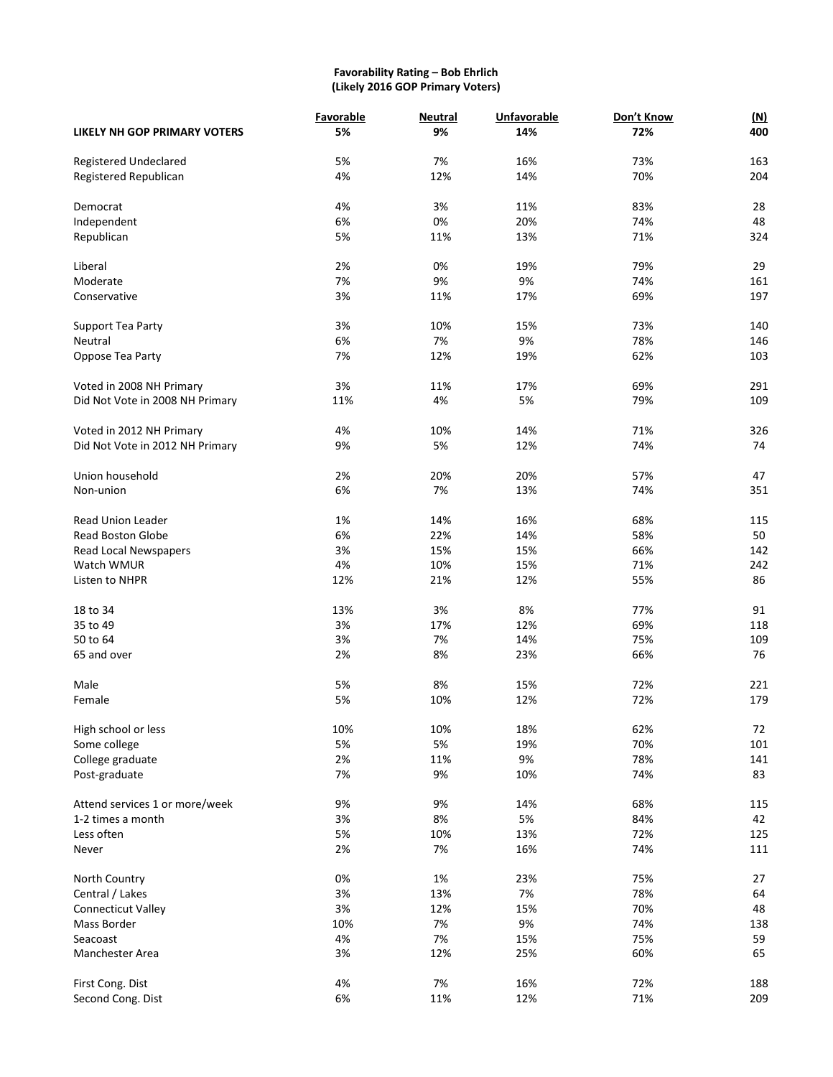# **Favorability Rating – Bob Ehrlich (Likely 2016 GOP Primary Voters)**

|                                 | Favorable | <b>Neutral</b> | <b>Unfavorable</b> | Don't Know | <u>(N)</u> |
|---------------------------------|-----------|----------------|--------------------|------------|------------|
| LIKELY NH GOP PRIMARY VOTERS    | 5%        | 9%             | 14%                | 72%        | 400        |
| Registered Undeclared           | 5%        | 7%             | 16%                | 73%        | 163        |
| Registered Republican           | 4%        | 12%            | 14%                | 70%        | 204        |
| Democrat                        | 4%        | 3%             | 11%                | 83%        | 28         |
| Independent                     | 6%        | 0%             | 20%                | 74%        | 48         |
|                                 |           |                |                    |            |            |
| Republican                      | 5%        | 11%            | 13%                | 71%        | 324        |
| Liberal                         | 2%        | 0%             | 19%                | 79%        | 29         |
| Moderate                        | 7%        | 9%             | 9%                 | 74%        | 161        |
| Conservative                    | 3%        | 11%            | 17%                | 69%        | 197        |
| Support Tea Party               | 3%        | 10%            | 15%                | 73%        | 140        |
| Neutral                         | 6%        | 7%             | 9%                 | 78%        | 146        |
| Oppose Tea Party                | 7%        | 12%            | 19%                | 62%        | 103        |
| Voted in 2008 NH Primary        | 3%        | 11%            | 17%                | 69%        | 291        |
|                                 |           |                |                    |            |            |
| Did Not Vote in 2008 NH Primary | 11%       | 4%             | 5%                 | 79%        | 109        |
| Voted in 2012 NH Primary        | 4%        | 10%            | 14%                | 71%        | 326        |
| Did Not Vote in 2012 NH Primary | 9%        | 5%             | 12%                | 74%        | 74         |
| Union household                 | 2%        | 20%            | 20%                | 57%        | 47         |
| Non-union                       | 6%        | 7%             | 13%                | 74%        | 351        |
| <b>Read Union Leader</b>        |           |                | 16%                |            |            |
|                                 | 1%        | 14%            |                    | 68%        | 115        |
| <b>Read Boston Globe</b>        | 6%        | 22%            | 14%                | 58%        | 50         |
| Read Local Newspapers           | 3%        | 15%            | 15%                | 66%        | 142        |
| Watch WMUR                      | 4%        | 10%            | 15%                | 71%        | 242        |
| Listen to NHPR                  | 12%       | 21%            | 12%                | 55%        | 86         |
| 18 to 34                        | 13%       | 3%             | 8%                 | 77%        | 91         |
| 35 to 49                        | 3%        | 17%            | 12%                | 69%        | 118        |
| 50 to 64                        | 3%        | 7%             | 14%                | 75%        | 109        |
| 65 and over                     | 2%        | 8%             | 23%                | 66%        | 76         |
| Male                            | 5%        | 8%             | 15%                | 72%        | 221        |
| Female                          | 5%        | 10%            | 12%                | 72%        | 179        |
|                                 |           |                |                    |            |            |
| High school or less             | 10%       | 10%            | 18%                | 62%        | 72         |
| Some college                    | 5%        | 5%             | 19%                | 70%        | 101        |
| College graduate                | 2%        | 11%            | 9%                 | 78%        | 141        |
| Post-graduate                   | 7%        | 9%             | 10%                | 74%        | 83         |
| Attend services 1 or more/week  | 9%        | 9%             | 14%                | 68%        | 115        |
| 1-2 times a month               | 3%        | 8%             | 5%                 | 84%        | 42         |
| Less often                      | 5%        | 10%            | 13%                | 72%        | 125        |
| Never                           | 2%        | 7%             | 16%                | 74%        | 111        |
| North Country                   | 0%        | 1%             | 23%                | 75%        | 27         |
| Central / Lakes                 | 3%        | 13%            | 7%                 | 78%        | 64         |
|                                 | 3%        | 12%            | 15%                | 70%        | 48         |
| Connecticut Valley              |           |                |                    |            |            |
| Mass Border                     | 10%       | 7%             | $9%$               | 74%        | 138        |
| Seacoast                        | 4%        | 7%             | 15%                | 75%        | 59         |
| Manchester Area                 | 3%        | 12%            | 25%                | 60%        | 65         |
| First Cong. Dist                | 4%        | 7%             | 16%                | 72%        | 188        |
| Second Cong. Dist               | 6%        | 11%            | 12%                | 71%        | 209        |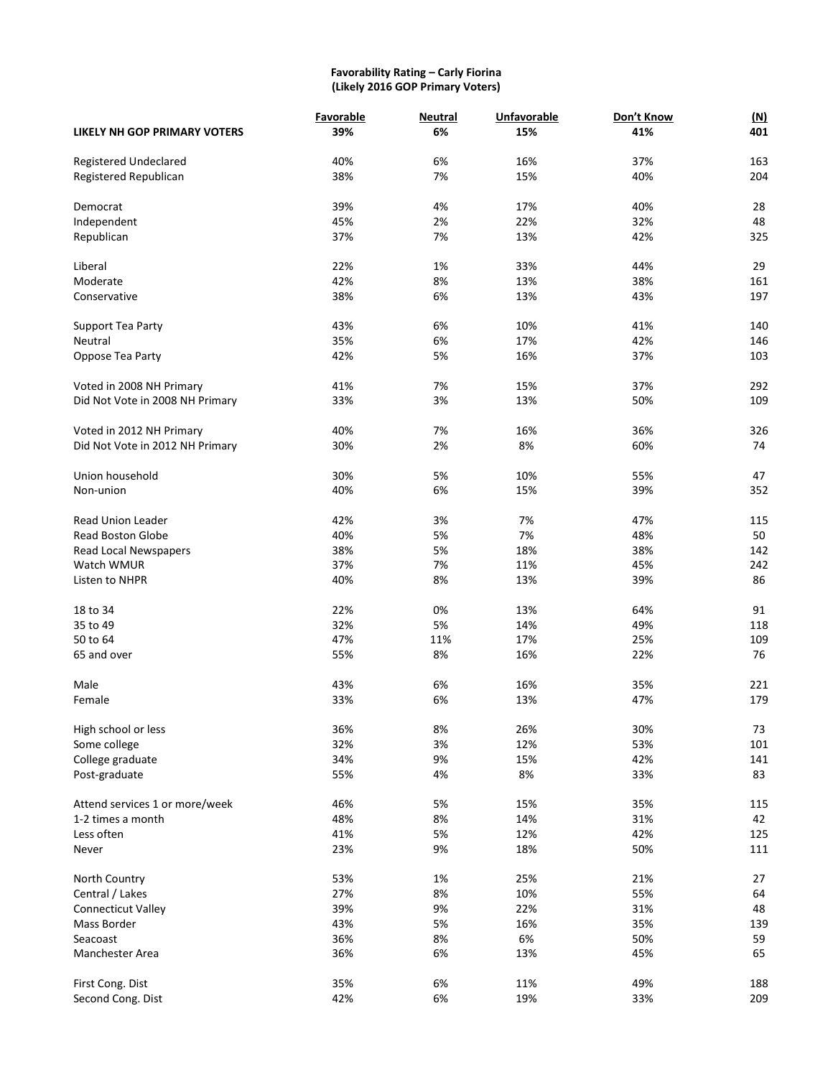#### **Favorability Rating – Carly Fiorina (Likely 2016 GOP Primary Voters)**

|                                 | Favorable | <b>Neutral</b> | <b>Unfavorable</b> | Don't Know | (M) |
|---------------------------------|-----------|----------------|--------------------|------------|-----|
| LIKELY NH GOP PRIMARY VOTERS    | 39%       | 6%             | 15%                | 41%        | 401 |
| Registered Undeclared           | 40%       | 6%             | 16%                | 37%        | 163 |
| Registered Republican           | 38%       | 7%             | 15%                | 40%        | 204 |
|                                 |           |                |                    |            |     |
| Democrat                        | 39%       | 4%             | 17%                | 40%        | 28  |
| Independent                     | 45%       | 2%             | 22%                | 32%        | 48  |
| Republican                      | 37%       | 7%             | 13%                | 42%        | 325 |
| Liberal                         | 22%       | 1%             | 33%                | 44%        | 29  |
| Moderate                        | 42%       | 8%             | 13%                | 38%        | 161 |
| Conservative                    | 38%       | 6%             | 13%                | 43%        | 197 |
|                                 |           |                |                    |            |     |
| Support Tea Party               | 43%       | 6%             | 10%                | 41%        | 140 |
| Neutral                         | 35%       | 6%             | 17%                | 42%        | 146 |
| Oppose Tea Party                | 42%       | 5%             | 16%                | 37%        | 103 |
| Voted in 2008 NH Primary        | 41%       | 7%             | 15%                | 37%        | 292 |
| Did Not Vote in 2008 NH Primary | 33%       | 3%             | 13%                | 50%        | 109 |
|                                 |           |                |                    |            |     |
| Voted in 2012 NH Primary        | 40%       | 7%             | 16%                | 36%        | 326 |
| Did Not Vote in 2012 NH Primary | 30%       | 2%             | 8%                 | 60%        | 74  |
|                                 |           |                |                    |            |     |
| Union household                 | 30%       | 5%             | 10%                | 55%        | 47  |
| Non-union                       | 40%       | 6%             | 15%                | 39%        | 352 |
| Read Union Leader               | 42%       | 3%             | 7%                 | 47%        | 115 |
| <b>Read Boston Globe</b>        | 40%       | 5%             | 7%                 | 48%        | 50  |
| Read Local Newspapers           | 38%       | 5%             | 18%                | 38%        | 142 |
| Watch WMUR                      | 37%       | 7%             | 11%                | 45%        | 242 |
| Listen to NHPR                  | 40%       | 8%             | 13%                | 39%        | 86  |
|                                 |           |                |                    |            |     |
| 18 to 34                        | 22%       | 0%             | 13%                | 64%        | 91  |
| 35 to 49                        | 32%       | 5%             | 14%                | 49%        | 118 |
| 50 to 64                        | 47%       | 11%            | 17%                | 25%        | 109 |
| 65 and over                     | 55%       | 8%             | 16%                | 22%        | 76  |
| Male                            | 43%       | 6%             | 16%                | 35%        | 221 |
| Female                          | 33%       | 6%             | 13%                | 47%        | 179 |
|                                 |           |                |                    |            |     |
| High school or less             | 36%       | 8%             | 26%                | 30%        | 73  |
| Some college                    | 32%       | 3%             | 12%                | 53%        | 101 |
| College graduate                | 34%       | 9%             | 15%                | 42%        | 141 |
| Post-graduate                   | 55%       | 4%             | 8%                 | 33%        | 83  |
| Attend services 1 or more/week  | 46%       | 5%             | 15%                | 35%        | 115 |
| 1-2 times a month               | 48%       | 8%             | 14%                | 31%        | 42  |
| Less often                      | 41%       | 5%             | 12%                | 42%        | 125 |
| Never                           | 23%       | 9%             | 18%                | 50%        | 111 |
|                                 |           |                |                    |            |     |
| North Country                   | 53%       | 1%             | 25%                | 21%        | 27  |
| Central / Lakes                 | 27%       | 8%             | 10%                | 55%        | 64  |
| Connecticut Valley              | 39%       | 9%             | 22%                | 31%        | 48  |
| Mass Border                     | 43%       | 5%             | 16%                | 35%        | 139 |
| Seacoast                        | 36%       | 8%             | 6%                 | 50%        | 59  |
| Manchester Area                 | 36%       | 6%             | 13%                | 45%        | 65  |
|                                 |           |                |                    |            |     |
| First Cong. Dist                | 35%       | 6%             | 11%                | 49%        | 188 |
| Second Cong. Dist               | 42%       | 6%             | 19%                | 33%        | 209 |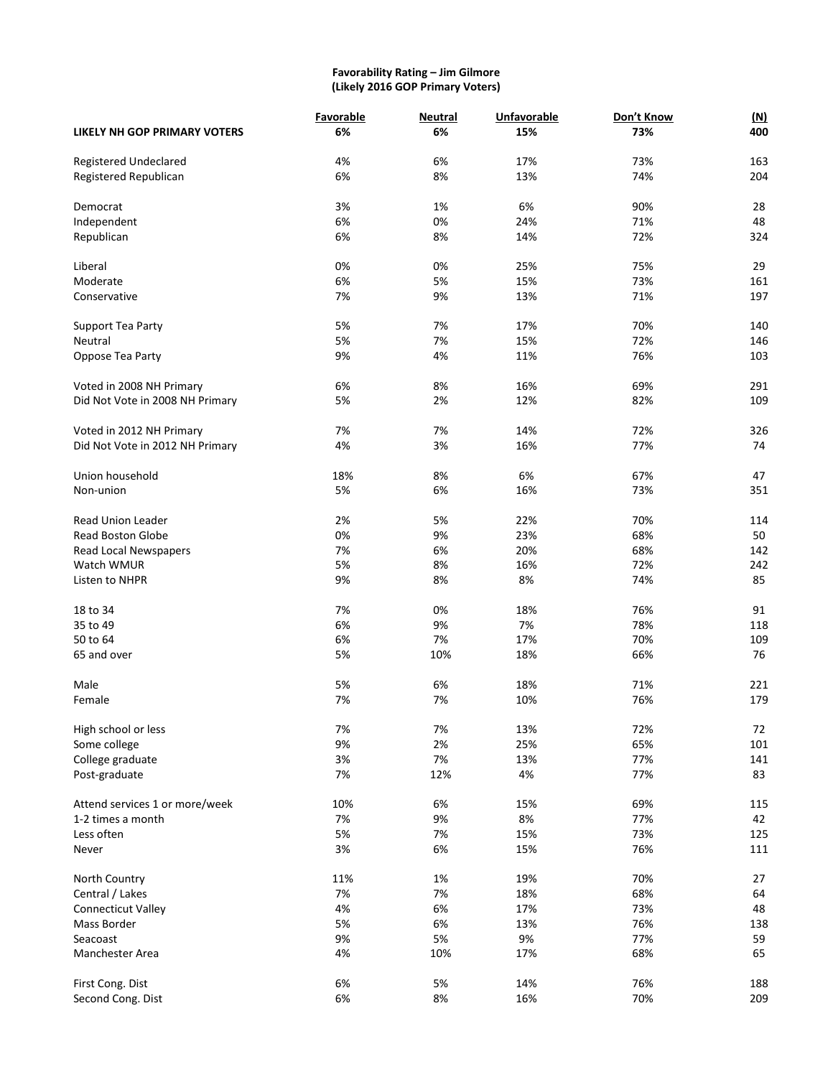#### **Favorability Rating – Jim Gilmore (Likely 2016 GOP Primary Voters)**

|                                     | <b>Favorable</b> | <b>Neutral</b> | <b>Unfavorable</b> | Don't Know | <u>(N)</u> |
|-------------------------------------|------------------|----------------|--------------------|------------|------------|
| <b>LIKELY NH GOP PRIMARY VOTERS</b> | 6%               | 6%             | 15%                | 73%        | 400        |
| Registered Undeclared               | 4%               | 6%             | 17%                | 73%        | 163        |
| Registered Republican               | 6%               | 8%             | 13%                | 74%        | 204        |
| Democrat                            | 3%               | 1%             | 6%                 | 90%        | 28         |
| Independent                         | 6%               | 0%             | 24%                | 71%        | 48         |
|                                     | 6%               |                |                    |            | 324        |
| Republican                          |                  | 8%             | 14%                | 72%        |            |
| Liberal                             | 0%               | 0%             | 25%                | 75%        | 29         |
| Moderate                            | 6%               | 5%             | 15%                | 73%        | 161        |
| Conservative                        | 7%               | 9%             | 13%                | 71%        | 197        |
| Support Tea Party                   | 5%               | 7%             | 17%                | 70%        | 140        |
| Neutral                             | 5%               | 7%             | 15%                | 72%        | 146        |
| Oppose Tea Party                    | 9%               | 4%             | 11%                | 76%        | 103        |
| Voted in 2008 NH Primary            | 6%               | 8%             | 16%                | 69%        | 291        |
|                                     | 5%               | 2%             |                    | 82%        | 109        |
| Did Not Vote in 2008 NH Primary     |                  |                | 12%                |            |            |
| Voted in 2012 NH Primary            | 7%               | 7%             | 14%                | 72%        | 326        |
| Did Not Vote in 2012 NH Primary     | 4%               | 3%             | 16%                | 77%        | 74         |
| Union household                     | 18%              | 8%             | 6%                 | 67%        | 47         |
| Non-union                           | 5%               | 6%             | 16%                | 73%        | 351        |
|                                     |                  |                |                    |            |            |
| <b>Read Union Leader</b>            | 2%               | 5%             | 22%                | 70%        | 114        |
| <b>Read Boston Globe</b>            | 0%               | 9%             | 23%                | 68%        | 50         |
| Read Local Newspapers               | 7%               | 6%             | 20%                | 68%        | 142        |
| Watch WMUR                          | 5%               | 8%             | 16%                | 72%        | 242        |
| Listen to NHPR                      | 9%               | 8%             | 8%                 | 74%        | 85         |
| 18 to 34                            | 7%               | 0%             | 18%                | 76%        | 91         |
| 35 to 49                            | 6%               | 9%             | 7%                 | 78%        | 118        |
| 50 to 64                            | 6%               | 7%             | 17%                | 70%        | 109        |
|                                     |                  |                |                    |            | 76         |
| 65 and over                         | 5%               | 10%            | 18%                | 66%        |            |
| Male                                | 5%               | 6%             | 18%                | 71%        | 221        |
| Female                              | 7%               | 7%             | 10%                | 76%        | 179        |
| High school or less                 | 7%               | 7%             | 13%                | 72%        | 72         |
| Some college                        | 9%               | 2%             | 25%                | 65%        | 101        |
| College graduate                    | 3%               | 7%             | 13%                | 77%        | 141        |
| Post-graduate                       | 7%               | 12%            | 4%                 | 77%        | 83         |
| Attend services 1 or more/week      | 10%              | 6%             | 15%                | 69%        | 115        |
| 1-2 times a month                   | 7%               | 9%             | 8%                 | 77%        | 42         |
| Less often                          | 5%               | 7%             | 15%                | 73%        | 125        |
| Never                               | 3%               | 6%             | 15%                | 76%        | 111        |
|                                     |                  |                |                    |            |            |
| North Country                       | 11%              | 1%             | 19%                | 70%        | 27         |
| Central / Lakes                     | 7%               | 7%             | 18%                | 68%        | 64         |
| Connecticut Valley                  | 4%               | 6%             | 17%                | 73%        | 48         |
| Mass Border                         | 5%               | 6%             | 13%                | 76%        | 138        |
| Seacoast                            | 9%               | 5%             | 9%                 | 77%        | 59         |
| Manchester Area                     | 4%               | 10%            | 17%                | 68%        | 65         |
| First Cong. Dist                    | 6%               | 5%             | 14%                | 76%        | 188        |
| Second Cong. Dist                   | 6%               | $8\%$          | 16%                | 70%        | 209        |
|                                     |                  |                |                    |            |            |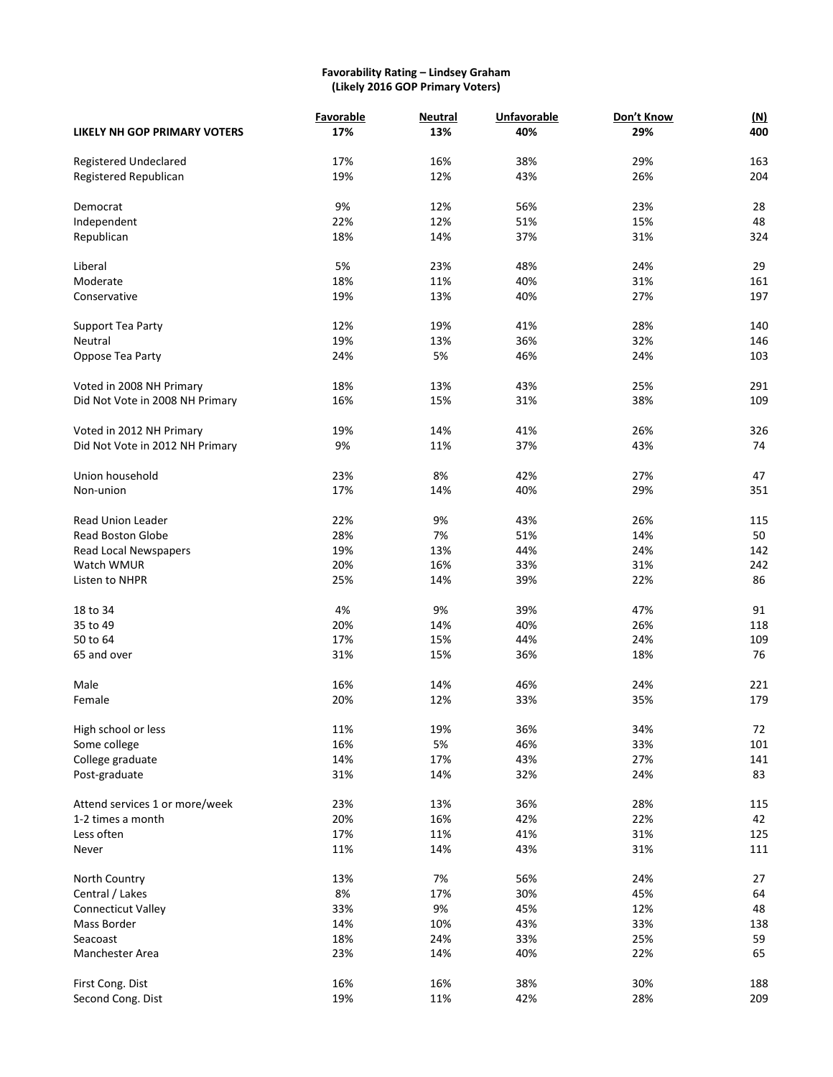#### **Favorability Rating – Lindsey Graham (Likely 2016 GOP Primary Voters)**

|                                       | Favorable  | <b>Neutral</b> | Unfavorable | Don't Know | <u>(N)</u> |
|---------------------------------------|------------|----------------|-------------|------------|------------|
| LIKELY NH GOP PRIMARY VOTERS          | 17%        | 13%            | 40%         | 29%        | 400        |
| Registered Undeclared                 | 17%        | 16%            | 38%         | 29%        | 163        |
| Registered Republican                 | 19%        | 12%            | 43%         | 26%        | 204        |
|                                       |            |                |             |            |            |
| Democrat                              | 9%         | 12%            | 56%         | 23%        | 28         |
| Independent                           | 22%        | 12%            | 51%         | 15%        | 48         |
| Republican                            | 18%        | 14%            | 37%         | 31%        | 324        |
| Liberal                               | 5%         | 23%            | 48%         | 24%        | 29         |
| Moderate                              | 18%        | 11%            | 40%         | 31%        | 161        |
| Conservative                          | 19%        | 13%            | 40%         | 27%        | 197        |
| Support Tea Party                     | 12%        | 19%            | 41%         | 28%        | 140        |
| Neutral                               | 19%        | 13%            | 36%         | 32%        | 146        |
| Oppose Tea Party                      | 24%        | 5%             | 46%         | 24%        | 103        |
|                                       |            |                |             |            |            |
| Voted in 2008 NH Primary              | 18%        | 13%            | 43%         | 25%        | 291        |
| Did Not Vote in 2008 NH Primary       | 16%        | 15%            | 31%         | 38%        | 109        |
|                                       |            |                |             |            |            |
| Voted in 2012 NH Primary              | 19%        | 14%            | 41%         | 26%        | 326        |
| Did Not Vote in 2012 NH Primary       | 9%         | 11%            | 37%         | 43%        | 74         |
| Union household                       | 23%        | 8%             | 42%         | 27%        | 47         |
| Non-union                             | 17%        | 14%            | 40%         | 29%        | 351        |
| <b>Read Union Leader</b>              | 22%        | 9%             | 43%         | 26%        | 115        |
| <b>Read Boston Globe</b>              | 28%        | 7%             | 51%         | 14%        | 50         |
| Read Local Newspapers                 | 19%        | 13%            | 44%         | 24%        | 142        |
| Watch WMUR                            | 20%        | 16%            | 33%         | 31%        | 242        |
| Listen to NHPR                        | 25%        | 14%            | 39%         | 22%        | 86         |
| 18 to 34                              | 4%         | 9%             | 39%         | 47%        | 91         |
| 35 to 49                              | 20%        | 14%            | 40%         | 26%        | 118        |
| 50 to 64                              | 17%        | 15%            | 44%         | 24%        | 109        |
| 65 and over                           | 31%        | 15%            | 36%         | 18%        | 76         |
|                                       |            |                |             |            |            |
| Male                                  | 16%        | 14%            | 46%         | 24%        | 221        |
| Female                                | 20%        | 12%            | 33%         | 35%        | 179        |
| High school or less                   | 11%        | 19%            | 36%         | 34%        | 72         |
| Some college                          | 16%        | 5%             | 46%         | 33%        | 101        |
| College graduate                      | 14%        | 17%            | 43%         | 27%        | 141        |
| Post-graduate                         | 31%        | 14%            | 32%         | 24%        | 83         |
| Attend services 1 or more/week        | 23%        | 13%            | 36%         | 28%        | 115        |
| 1-2 times a month                     | 20%        | 16%            | 42%         | 22%        | 42         |
| Less often                            | 17%        | 11%            | 41%         | 31%        | 125        |
| Never                                 | 11%        | 14%            | 43%         | 31%        | 111        |
| North Country                         | 13%        | 7%             | 56%         | 24%        | 27         |
| Central / Lakes                       | 8%         | 17%            | 30%         | 45%        | 64         |
| Connecticut Valley                    | 33%        | 9%             | 45%         | 12%        | 48         |
| Mass Border                           | 14%        | 10%            | 43%         | 33%        | 138        |
| Seacoast                              | 18%        | 24%            | 33%         | 25%        | 59         |
| Manchester Area                       | 23%        | 14%            | 40%         | 22%        | 65         |
|                                       |            |                |             |            |            |
| First Cong. Dist<br>Second Cong. Dist | 16%<br>19% | 16%<br>11%     | 38%<br>42%  | 30%<br>28% | 188<br>209 |
|                                       |            |                |             |            |            |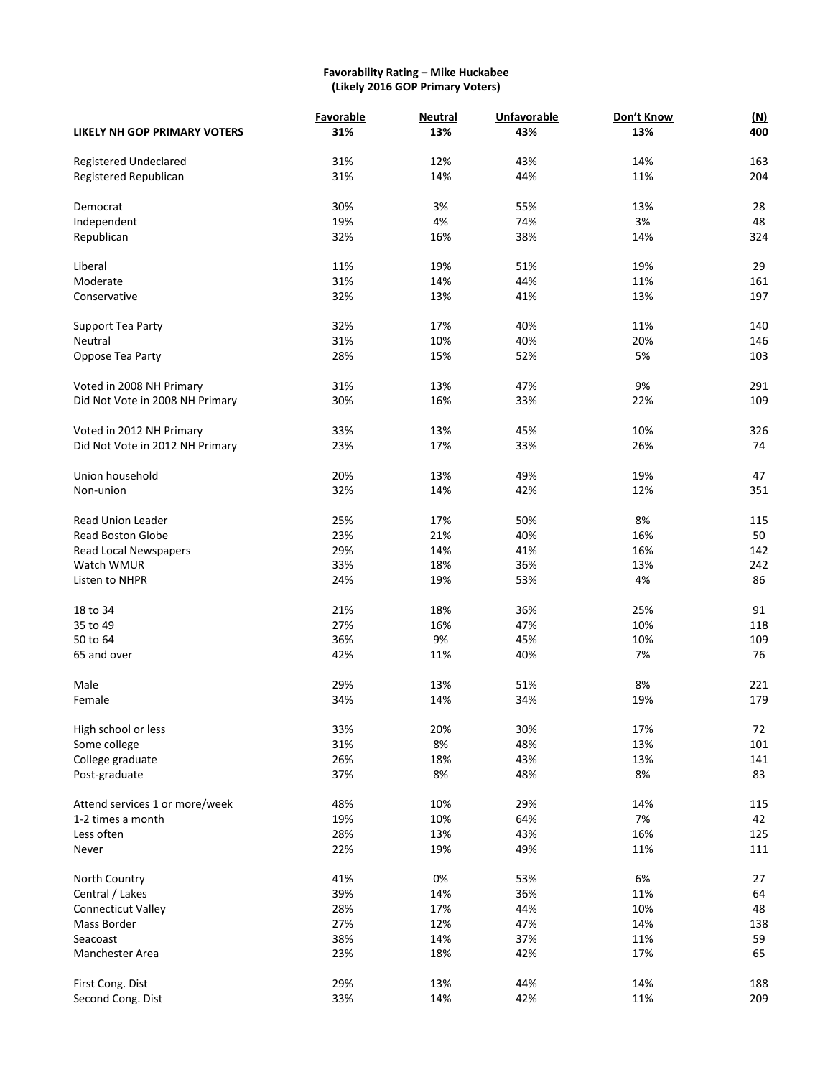#### **Favorability Rating – Mike Huckabee (Likely 2016 GOP Primary Voters)**

|                                     | Favorable | <b>Neutral</b> | <b>Unfavorable</b> | Don't Know | <u>(N)</u> |
|-------------------------------------|-----------|----------------|--------------------|------------|------------|
| <b>LIKELY NH GOP PRIMARY VOTERS</b> | 31%       | 13%            | 43%                | 13%        | 400        |
|                                     |           |                |                    |            |            |
| Registered Undeclared               | 31%       | 12%            | 43%                | 14%        | 163        |
| Registered Republican               | 31%       | 14%            | 44%                | 11%        | 204        |
| Democrat                            | 30%       | 3%             | 55%                | 13%        | 28         |
| Independent                         | 19%       | 4%             | 74%                | 3%         | 48         |
| Republican                          | 32%       | 16%            | 38%                | 14%        | 324        |
|                                     |           |                |                    |            |            |
| Liberal                             | 11%       | 19%            | 51%                | 19%        | 29         |
| Moderate                            | 31%       | 14%            | 44%                | 11%        | 161        |
| Conservative                        | 32%       | 13%            | 41%                | 13%        | 197        |
|                                     |           |                |                    |            |            |
| Support Tea Party                   | 32%       | 17%            | 40%                | 11%        | 140        |
| Neutral                             | 31%       | 10%            | 40%                | 20%        | 146        |
| Oppose Tea Party                    | 28%       | 15%            | 52%                | 5%         | 103        |
| Voted in 2008 NH Primary            | 31%       | 13%            | 47%                | 9%         | 291        |
| Did Not Vote in 2008 NH Primary     | 30%       | 16%            | 33%                | 22%        | 109        |
|                                     |           |                |                    |            |            |
| Voted in 2012 NH Primary            | 33%       | 13%            | 45%                | 10%        | 326        |
| Did Not Vote in 2012 NH Primary     | 23%       | 17%            | 33%                | 26%        | 74         |
|                                     |           |                |                    |            |            |
| Union household                     | 20%       | 13%            | 49%                | 19%        | 47         |
| Non-union                           | 32%       | 14%            | 42%                | 12%        | 351        |
| <b>Read Union Leader</b>            | 25%       | 17%            | 50%                | 8%         | 115        |
| <b>Read Boston Globe</b>            | 23%       | 21%            | 40%                | 16%        | 50         |
| Read Local Newspapers               | 29%       | 14%            | 41%                | 16%        | 142        |
| Watch WMUR                          | 33%       | 18%            | 36%                | 13%        | 242        |
| Listen to NHPR                      | 24%       | 19%            | 53%                | 4%         | 86         |
|                                     |           |                |                    |            |            |
| 18 to 34                            | 21%       | 18%            | 36%                | 25%        | 91         |
| 35 to 49                            | 27%       | 16%            | 47%                | 10%        | 118        |
| 50 to 64                            | 36%       | 9%             | 45%                | 10%        | 109        |
| 65 and over                         | 42%       | 11%            | 40%                | 7%         | 76         |
| Male                                | 29%       | 13%            | 51%                | 8%         | 221        |
| Female                              | 34%       | 14%            | 34%                | 19%        | 179        |
|                                     |           |                |                    |            |            |
| High school or less                 | 33%       | 20%            | 30%                | 17%        | 72         |
| Some college                        | 31%       | 8%             | 48%                | 13%        | 101        |
| College graduate                    | 26%       | 18%            | 43%                | 13%        | 141        |
| Post-graduate                       | 37%       | 8%             | 48%                | 8%         | 83         |
|                                     |           |                |                    |            |            |
| Attend services 1 or more/week      | 48%       | 10%            | 29%                | 14%        | 115        |
| 1-2 times a month                   | 19%       | 10%            | 64%                | 7%         | 42         |
| Less often                          | 28%       | 13%            | 43%                | 16%        | 125        |
| Never                               | 22%       | 19%            | 49%                | 11%        | 111        |
| North Country                       | 41%       | 0%             | 53%                | 6%         | 27         |
| Central / Lakes                     | 39%       | 14%            | 36%                | 11%        | 64         |
| Connecticut Valley                  | 28%       | 17%            | 44%                | 10%        | 48         |
| Mass Border                         | 27%       | 12%            | 47%                | 14%        | 138        |
| Seacoast                            | 38%       | 14%            | 37%                | 11%        | 59         |
| Manchester Area                     | 23%       | 18%            | 42%                | 17%        | 65         |
|                                     |           |                |                    |            |            |
| First Cong. Dist                    | 29%       | 13%            | 44%                | 14%        | 188        |
| Second Cong. Dist                   | 33%       | 14%            | 42%                | 11%        | 209        |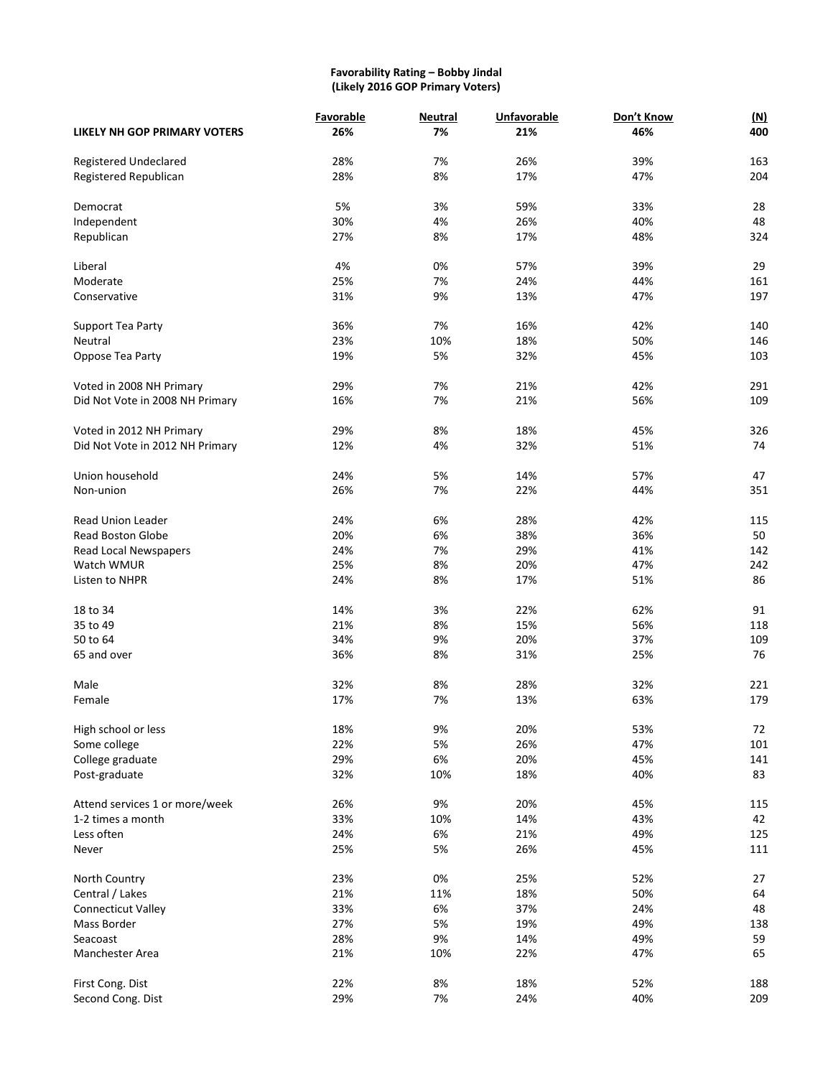#### **Favorability Rating – Bobby Jindal (Likely 2016 GOP Primary Voters)**

|                                 | Favorable | <b>Neutral</b> | <b>Unfavorable</b> | Don't Know | (M) |
|---------------------------------|-----------|----------------|--------------------|------------|-----|
| LIKELY NH GOP PRIMARY VOTERS    | 26%       | 7%             | 21%                | 46%        | 400 |
| <b>Registered Undeclared</b>    | 28%       | 7%             | 26%                | 39%        | 163 |
| Registered Republican           | 28%       | 8%             | 17%                | 47%        | 204 |
|                                 |           |                |                    |            |     |
| Democrat                        | 5%        | 3%             | 59%                | 33%        | 28  |
| Independent                     | 30%       | 4%             | 26%                | 40%        | 48  |
| Republican                      | 27%       | 8%             | 17%                | 48%        | 324 |
|                                 |           |                |                    |            |     |
| Liberal                         | 4%        | 0%             | 57%                | 39%        | 29  |
| Moderate                        | 25%       | 7%             | 24%                | 44%        | 161 |
| Conservative                    | 31%       | 9%             | 13%                | 47%        | 197 |
|                                 |           |                |                    |            |     |
| Support Tea Party               | 36%       | 7%             | 16%                | 42%        | 140 |
| Neutral                         | 23%       | 10%            | 18%                | 50%        | 146 |
| Oppose Tea Party                | 19%       | 5%             | 32%                | 45%        | 103 |
| Voted in 2008 NH Primary        | 29%       | 7%             | 21%                | 42%        | 291 |
| Did Not Vote in 2008 NH Primary | 16%       | 7%             | 21%                | 56%        | 109 |
|                                 |           |                |                    |            |     |
| Voted in 2012 NH Primary        | 29%       | 8%             | 18%                | 45%        | 326 |
| Did Not Vote in 2012 NH Primary | 12%       | 4%             | 32%                | 51%        | 74  |
|                                 |           |                |                    |            |     |
| Union household                 | 24%       | 5%             | 14%                | 57%        | 47  |
| Non-union                       | 26%       | 7%             | 22%                | 44%        | 351 |
|                                 |           |                |                    |            |     |
| <b>Read Union Leader</b>        | 24%       | 6%             | 28%                | 42%        | 115 |
| <b>Read Boston Globe</b>        | 20%       | 6%             | 38%                | 36%        | 50  |
| Read Local Newspapers           | 24%       | 7%             | 29%                | 41%        | 142 |
| Watch WMUR                      | 25%       | 8%             | 20%                | 47%        | 242 |
| Listen to NHPR                  | 24%       | 8%             | 17%                | 51%        | 86  |
| 18 to 34                        | 14%       | 3%             | 22%                | 62%        | 91  |
|                                 |           |                |                    |            |     |
| 35 to 49                        | 21%       | 8%             | 15%                | 56%        | 118 |
| 50 to 64                        | 34%       | 9%             | 20%                | 37%        | 109 |
| 65 and over                     | 36%       | 8%             | 31%                | 25%        | 76  |
| Male                            | 32%       | 8%             | 28%                | 32%        | 221 |
| Female                          | 17%       | 7%             | 13%                | 63%        | 179 |
|                                 |           |                |                    |            |     |
| High school or less             | 18%       | 9%             | 20%                | 53%        | 72  |
| Some college                    | 22%       | 5%             | 26%                | 47%        | 101 |
| College graduate                | 29%       | 6%             | 20%                | 45%        | 141 |
| Post-graduate                   | 32%       | 10%            | 18%                | 40%        | 83  |
|                                 |           |                |                    |            |     |
| Attend services 1 or more/week  | 26%       | 9%             | 20%                | 45%        | 115 |
| 1-2 times a month               | 33%       | 10%            | 14%                | 43%        | 42  |
| Less often                      | 24%       | 6%             | 21%                | 49%        | 125 |
| Never                           | 25%       | 5%             | 26%                | 45%        | 111 |
| North Country                   | 23%       | 0%             | 25%                | 52%        | 27  |
| Central / Lakes                 | 21%       | 11%            | 18%                | 50%        | 64  |
|                                 | 33%       | 6%             | 37%                | 24%        | 48  |
| <b>Connecticut Valley</b>       |           | 5%             |                    |            |     |
| Mass Border                     | 27%       |                | 19%                | 49%        | 138 |
| Seacoast                        | 28%       | 9%             | 14%                | 49%        | 59  |
| Manchester Area                 | 21%       | 10%            | 22%                | 47%        | 65  |
| First Cong. Dist                | 22%       | 8%             | 18%                | 52%        | 188 |
| Second Cong. Dist               | 29%       | $7%$           | 24%                | 40%        | 209 |
|                                 |           |                |                    |            |     |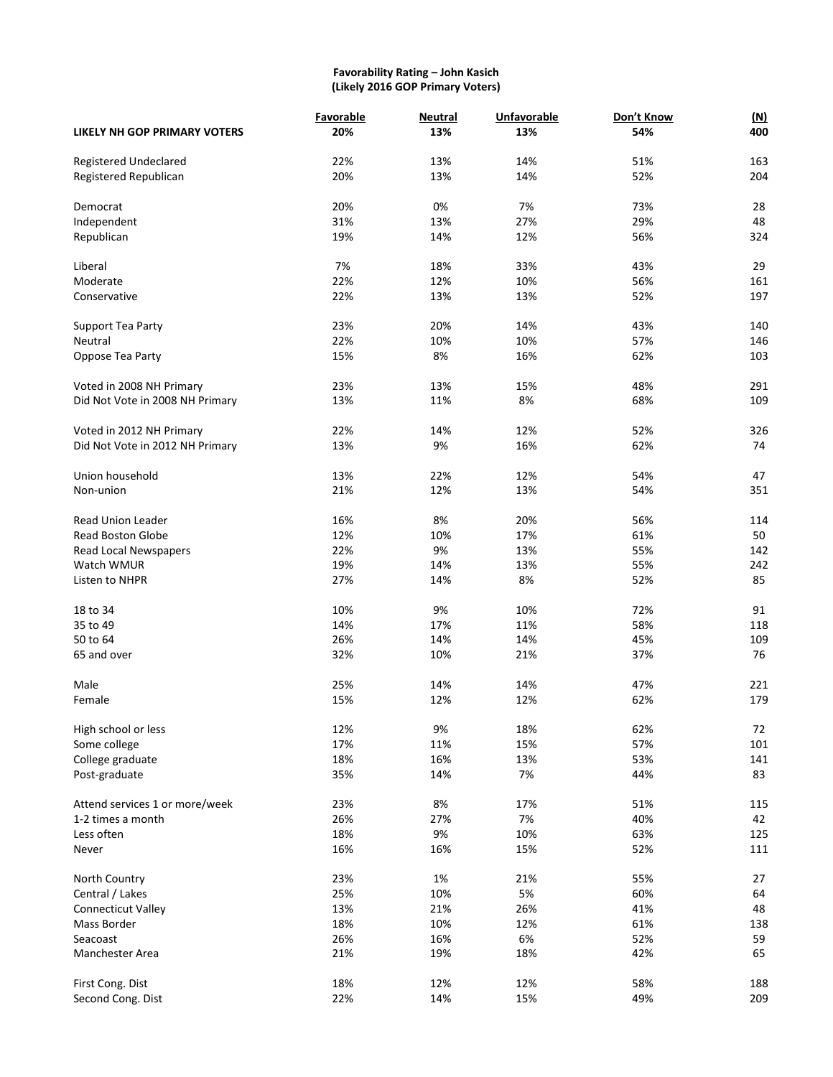#### **Favorability Rating – John Kasich (Likely 2016 GOP Primary Voters)**

|                                     | Favorable | <b>Neutral</b> | <b>Unfavorable</b> | Don't Know | (M) |
|-------------------------------------|-----------|----------------|--------------------|------------|-----|
| <b>LIKELY NH GOP PRIMARY VOTERS</b> | 20%       | 13%            | 13%                | 54%        | 400 |
| <b>Registered Undeclared</b>        | 22%       | 13%            | 14%                | 51%        | 163 |
| Registered Republican               | 20%       | 13%            | 14%                | 52%        | 204 |
| Democrat                            | 20%       | 0%             | 7%                 | 73%        | 28  |
| Independent                         | 31%       | 13%            | 27%                | 29%        | 48  |
| Republican                          | 19%       | 14%            | 12%                | 56%        | 324 |
| Liberal                             | 7%        | 18%            | 33%                | 43%        | 29  |
| Moderate                            | 22%       | 12%            | 10%                | 56%        | 161 |
|                                     |           |                |                    |            |     |
| Conservative                        | 22%       | 13%            | 13%                | 52%        | 197 |
| Support Tea Party                   | 23%       | 20%            | 14%                | 43%        | 140 |
| Neutral                             | 22%       | 10%            | 10%                | 57%        | 146 |
| Oppose Tea Party                    | 15%       | 8%             | 16%                | 62%        | 103 |
| Voted in 2008 NH Primary            | 23%       | 13%            | 15%                | 48%        | 291 |
| Did Not Vote in 2008 NH Primary     | 13%       | 11%            | 8%                 | 68%        | 109 |
|                                     |           |                |                    |            |     |
| Voted in 2012 NH Primary            | 22%       | 14%            | 12%                | 52%        | 326 |
| Did Not Vote in 2012 NH Primary     | 13%       | 9%             | 16%                | 62%        | 74  |
| Union household                     | 13%       | 22%            | 12%                | 54%        | 47  |
| Non-union                           | 21%       | 12%            | 13%                | 54%        | 351 |
| <b>Read Union Leader</b>            | 16%       | 8%             | 20%                | 56%        | 114 |
|                                     |           |                |                    |            |     |
| <b>Read Boston Globe</b>            | 12%       | 10%            | 17%                | 61%        | 50  |
| Read Local Newspapers               | 22%       | 9%             | 13%                | 55%        | 142 |
| Watch WMUR                          | 19%       | 14%            | 13%                | 55%        | 242 |
| Listen to NHPR                      | 27%       | 14%            | 8%                 | 52%        | 85  |
| 18 to 34                            | 10%       | 9%             | 10%                | 72%        | 91  |
| 35 to 49                            | 14%       | 17%            | 11%                | 58%        | 118 |
| 50 to 64                            | 26%       | 14%            | 14%                | 45%        | 109 |
| 65 and over                         | 32%       | 10%            | 21%                | 37%        | 76  |
| Male                                | 25%       | 14%            | 14%                | 47%        | 221 |
| Female                              | 15%       | 12%            | 12%                | 62%        | 179 |
|                                     |           |                |                    |            |     |
| High school or less                 | 12%       | 9%             | 18%                | 62%        | 72  |
| Some college                        | 17%       | 11%            | 15%                | 57%        | 101 |
| College graduate                    | 18%       | 16%            | 13%                | 53%        | 141 |
| Post-graduate                       | 35%       | 14%            | 7%                 | 44%        | 83  |
| Attend services 1 or more/week      | 23%       | 8%             | 17%                | 51%        | 115 |
| 1-2 times a month                   | 26%       | 27%            | 7%                 | 40%        | 42  |
| Less often                          | 18%       | 9%             | 10%                | 63%        | 125 |
| Never                               | 16%       | 16%            | 15%                | 52%        | 111 |
|                                     |           |                |                    |            |     |
| North Country                       | 23%       | 1%             | 21%                | 55%        | 27  |
| Central / Lakes                     | 25%       | 10%            | 5%                 | 60%        | 64  |
| Connecticut Valley                  | 13%       | 21%            | 26%                | 41%        | 48  |
| Mass Border                         | 18%       | 10%            | 12%                | 61%        | 138 |
| Seacoast                            | 26%       | 16%            | 6%                 | 52%        | 59  |
| Manchester Area                     | 21%       | 19%            | 18%                | 42%        | 65  |
| First Cong. Dist                    | 18%       | 12%            | 12%                | 58%        | 188 |
| Second Cong. Dist                   | 22%       | 14%            | 15%                | 49%        | 209 |
|                                     |           |                |                    |            |     |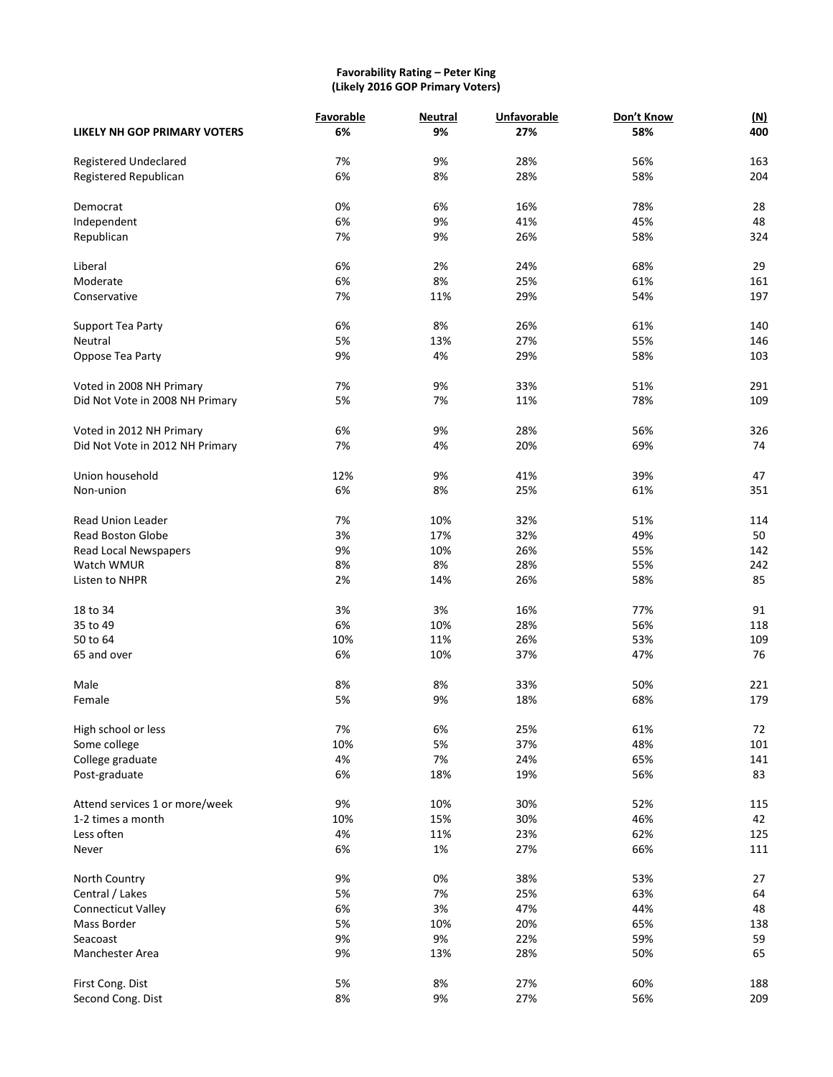# **Favorability Rating – Peter King (Likely 2016 GOP Primary Voters)**

|                                     | Favorable | <b>Neutral</b> | <b>Unfavorable</b> | Don't Know | (M) |
|-------------------------------------|-----------|----------------|--------------------|------------|-----|
| <b>LIKELY NH GOP PRIMARY VOTERS</b> | 6%        | 9%             | 27%                | 58%        | 400 |
| <b>Registered Undeclared</b>        | 7%        | 9%             | 28%                | 56%        | 163 |
| Registered Republican               | 6%        | 8%             | 28%                | 58%        | 204 |
| Democrat                            | 0%        | 6%             | 16%                | 78%        | 28  |
| Independent                         | 6%        | 9%             | 41%                | 45%        | 48  |
| Republican                          | 7%        | 9%             | 26%                | 58%        | 324 |
| Liberal                             | 6%        | 2%             | 24%                | 68%        | 29  |
| Moderate                            | 6%        | 8%             | 25%                | 61%        | 161 |
| Conservative                        | 7%        | 11%            | 29%                | 54%        | 197 |
|                                     | 6%        | 8%             | 26%                | 61%        | 140 |
| Support Tea Party<br>Neutral        | 5%        | 13%            | 27%                | 55%        | 146 |
|                                     |           |                |                    |            |     |
| Oppose Tea Party                    | 9%        | 4%             | 29%                | 58%        | 103 |
| Voted in 2008 NH Primary            | 7%        | 9%             | 33%                | 51%        | 291 |
| Did Not Vote in 2008 NH Primary     | 5%        | 7%             | 11%                | 78%        | 109 |
| Voted in 2012 NH Primary            | 6%        | 9%             | 28%                | 56%        | 326 |
| Did Not Vote in 2012 NH Primary     | 7%        | 4%             | 20%                | 69%        | 74  |
| Union household                     | 12%       | 9%             | 41%                | 39%        | 47  |
| Non-union                           | 6%        | 8%             | 25%                | 61%        | 351 |
| <b>Read Union Leader</b>            | 7%        | 10%            | 32%                | 51%        | 114 |
| <b>Read Boston Globe</b>            | 3%        | 17%            | 32%                | 49%        | 50  |
| Read Local Newspapers               | 9%        | 10%            | 26%                | 55%        | 142 |
| Watch WMUR                          | 8%        | 8%             | 28%                | 55%        | 242 |
| Listen to NHPR                      | 2%        | 14%            | 26%                | 58%        | 85  |
| 18 to 34                            | 3%        | 3%             | 16%                | 77%        | 91  |
| 35 to 49                            | 6%        | 10%            | 28%                | 56%        | 118 |
| 50 to 64                            |           |                | 26%                | 53%        |     |
|                                     | 10%       | 11%            |                    |            | 109 |
| 65 and over                         | 6%        | 10%            | 37%                | 47%        | 76  |
| Male                                | 8%        | 8%             | 33%                | 50%        | 221 |
| Female                              | 5%        | 9%             | 18%                | 68%        | 179 |
| High school or less                 | 7%        | 6%             | 25%                | 61%        | 72  |
| Some college                        | 10%       | 5%             | 37%                | 48%        | 101 |
| College graduate                    | 4%        | 7%             | 24%                | 65%        | 141 |
| Post-graduate                       | 6%        | 18%            | 19%                | 56%        | 83  |
| Attend services 1 or more/week      | 9%        | 10%            | 30%                | 52%        | 115 |
| 1-2 times a month                   | 10%       | 15%            | 30%                | 46%        | 42  |
| Less often                          | 4%        | 11%            | 23%                | 62%        | 125 |
| Never                               | 6%        | 1%             | 27%                | 66%        | 111 |
| North Country                       | 9%        | 0%             | 38%                | 53%        | 27  |
| Central / Lakes                     | 5%        | 7%             | 25%                | 63%        | 64  |
| Connecticut Valley                  | 6%        | 3%             | 47%                | 44%        | 48  |
| Mass Border                         | 5%        | 10%            | 20%                | 65%        | 138 |
| Seacoast                            | 9%        | 9%             | 22%                | 59%        | 59  |
| Manchester Area                     | 9%        | 13%            | 28%                | 50%        | 65  |
|                                     |           |                |                    |            |     |
| First Cong. Dist                    | 5%        | 8%             | 27%                | 60%        | 188 |
| Second Cong. Dist                   | 8%        | 9%             | 27%                | 56%        | 209 |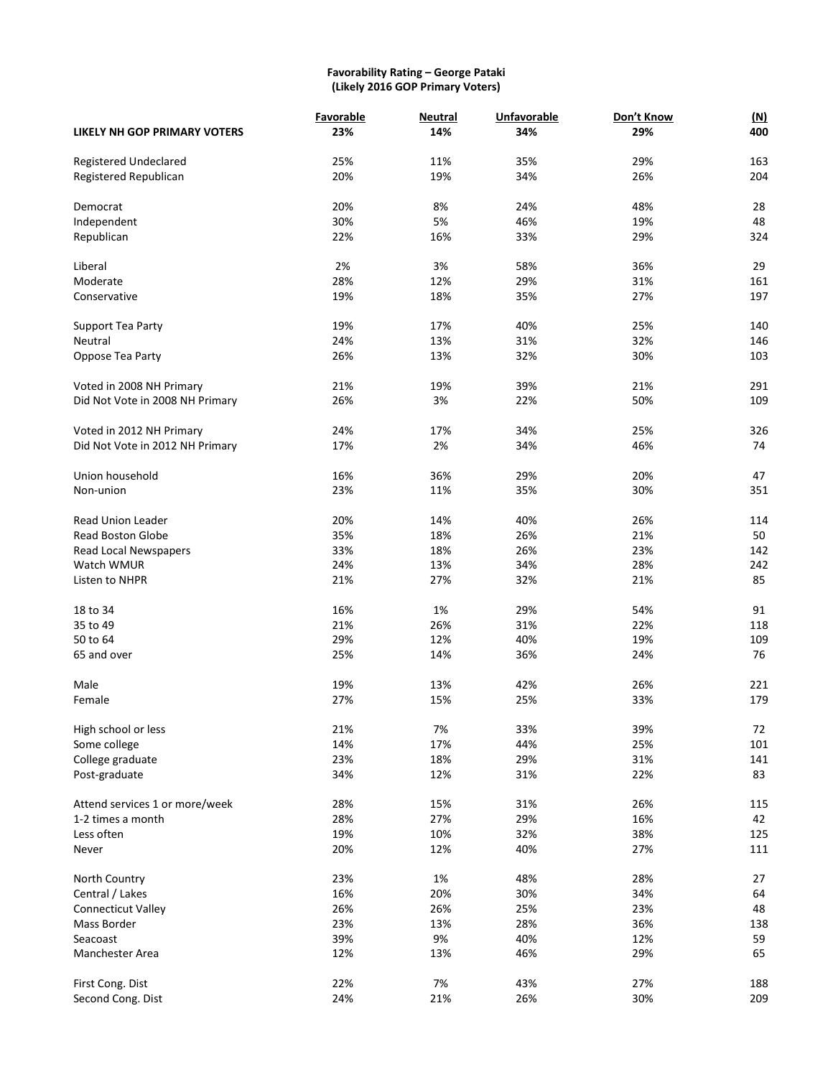# **Favorability Rating – George Pataki (Likely 2016 GOP Primary Voters)**

|                                     | Favorable | <b>Neutral</b> | <b>Unfavorable</b> | Don't Know | <u>(N)</u> |
|-------------------------------------|-----------|----------------|--------------------|------------|------------|
| <b>LIKELY NH GOP PRIMARY VOTERS</b> | 23%       | 14%            | 34%                | 29%        | 400        |
|                                     |           |                |                    |            |            |
| Registered Undeclared               | 25%       | 11%            | 35%                | 29%        | 163        |
| Registered Republican               | 20%       | 19%            | 34%                | 26%        | 204        |
| Democrat                            | 20%       | 8%             | 24%                | 48%        | 28         |
| Independent                         | 30%       | 5%             | 46%                | 19%        | 48         |
| Republican                          | 22%       | 16%            | 33%                | 29%        | 324        |
|                                     |           |                |                    |            |            |
| Liberal                             | 2%        | 3%             | 58%                | 36%        | 29         |
| Moderate                            | 28%       | 12%            | 29%                | 31%        | 161        |
| Conservative                        | 19%       | 18%            | 35%                | 27%        | 197        |
| Support Tea Party                   | 19%       | 17%            | 40%                | 25%        | 140        |
| Neutral                             | 24%       | 13%            | 31%                | 32%        | 146        |
| Oppose Tea Party                    | 26%       | 13%            | 32%                | 30%        | 103        |
|                                     |           |                |                    |            |            |
| Voted in 2008 NH Primary            | 21%       | 19%            | 39%                | 21%        | 291        |
| Did Not Vote in 2008 NH Primary     | 26%       | 3%             | 22%                | 50%        | 109        |
|                                     |           |                |                    |            |            |
| Voted in 2012 NH Primary            | 24%       | 17%            | 34%                | 25%        | 326        |
| Did Not Vote in 2012 NH Primary     | 17%       | 2%             | 34%                | 46%        | 74         |
| Union household                     | 16%       | 36%            | 29%                | 20%        | 47         |
| Non-union                           | 23%       | 11%            | 35%                | 30%        | 351        |
|                                     |           |                |                    |            |            |
| <b>Read Union Leader</b>            | 20%       | 14%            | 40%                | 26%        | 114        |
| <b>Read Boston Globe</b>            | 35%       | 18%            | 26%                | 21%        | 50         |
| Read Local Newspapers               | 33%       | 18%            | 26%                | 23%        | 142        |
| Watch WMUR                          | 24%       | 13%            | 34%                | 28%        | 242        |
| Listen to NHPR                      | 21%       | 27%            | 32%                | 21%        | 85         |
| 18 to 34                            | 16%       | 1%             | 29%                | 54%        | 91         |
| 35 to 49                            | 21%       | 26%            | 31%                | 22%        | 118        |
| 50 to 64                            | 29%       | 12%            | 40%                | 19%        | 109        |
| 65 and over                         | 25%       | 14%            | 36%                | 24%        | 76         |
|                                     |           |                |                    |            |            |
| Male                                | 19%       | 13%            | 42%                | 26%        | 221        |
| Female                              | 27%       | 15%            | 25%                | 33%        | 179        |
| High school or less                 | 21%       | 7%             | 33%                | 39%        | 72         |
| Some college                        | 14%       | 17%            | 44%                | 25%        | 101        |
| College graduate                    | 23%       | 18%            | 29%                | 31%        | 141        |
| Post-graduate                       | 34%       | 12%            | 31%                | 22%        | 83         |
|                                     |           |                |                    |            |            |
| Attend services 1 or more/week      | 28%       | 15%            | 31%                | 26%        | 115        |
| 1-2 times a month                   | 28%       | 27%            | 29%                | 16%        | 42         |
| Less often                          | 19%       | 10%            | 32%                | 38%        | 125        |
| Never                               | 20%       | 12%            | 40%                | 27%        | 111        |
| North Country                       | 23%       | 1%             | 48%                | 28%        | 27         |
| Central / Lakes                     | 16%       | 20%            | 30%                | 34%        | 64         |
| Connecticut Valley                  | 26%       | 26%            | 25%                | 23%        | 48         |
| Mass Border                         | 23%       | 13%            | 28%                | 36%        | 138        |
| Seacoast                            | 39%       | 9%             | 40%                | 12%        | 59         |
|                                     |           |                |                    |            |            |
| Manchester Area                     | 12%       | 13%            | 46%                | 29%        | 65         |
| First Cong. Dist                    | 22%       | 7%             | 43%                | 27%        | 188        |
| Second Cong. Dist                   | 24%       | 21%            | 26%                | 30%        | 209        |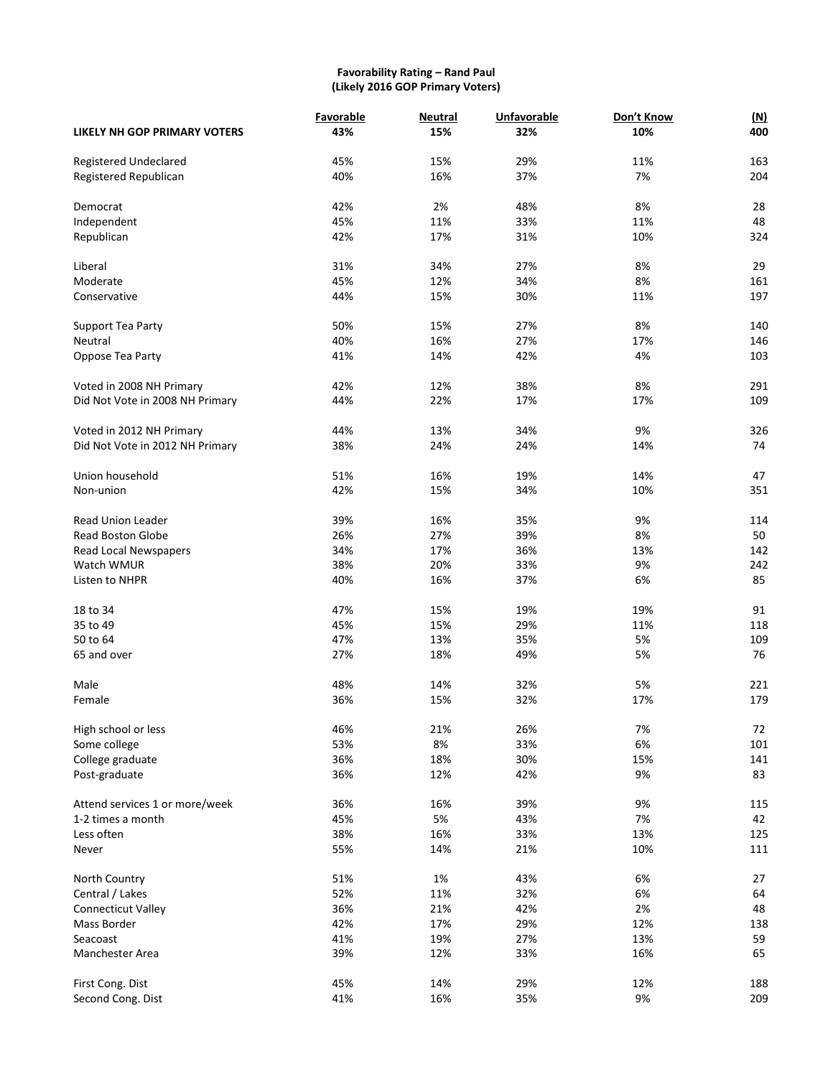#### **Favorability Rating – Rand Paul (Likely 2016 GOP Primary Voters)**

|                                     | Favorable  | <b>Neutral</b> | <b>Unfavorable</b> | Don't Know | (M)       |
|-------------------------------------|------------|----------------|--------------------|------------|-----------|
| <b>LIKELY NH GOP PRIMARY VOTERS</b> | 43%        | 15%            | 32%                | 10%        | 400       |
| <b>Registered Undeclared</b>        | 45%        | 15%            | 29%                | 11%        | 163       |
| Registered Republican               | 40%        | 16%            | 37%                | 7%         | 204       |
|                                     |            |                |                    |            |           |
| Democrat                            | 42%        | 2%             | 48%                | 8%         | 28        |
| Independent                         | 45%        | 11%            | 33%                | 11%        | 48        |
| Republican                          | 42%        | 17%            | 31%                | 10%        | 324       |
| Liberal                             | 31%        | 34%            | 27%                | 8%         | 29        |
| Moderate                            | 45%        | 12%            | 34%                | 8%         | 161       |
| Conservative                        | 44%        | 15%            | 30%                | 11%        | 197       |
| Support Tea Party                   | 50%        | 15%            | 27%                | 8%         | 140       |
| Neutral                             | 40%        | 16%            | 27%                | 17%        | 146       |
| Oppose Tea Party                    | 41%        | 14%            | 42%                | 4%         | 103       |
|                                     |            |                |                    |            |           |
| Voted in 2008 NH Primary            | 42%        | 12%            | 38%                | 8%         | 291       |
| Did Not Vote in 2008 NH Primary     | 44%        | 22%            | 17%                | 17%        | 109       |
| Voted in 2012 NH Primary            | 44%        | 13%            | 34%                | 9%         | 326       |
| Did Not Vote in 2012 NH Primary     | 38%        | 24%            | 24%                | 14%        | 74        |
|                                     |            |                |                    |            |           |
| Union household                     | 51%        | 16%            | 19%                | 14%        | 47        |
| Non-union                           | 42%        | 15%            | 34%                | 10%        | 351       |
| <b>Read Union Leader</b>            | 39%        | 16%            | 35%                | 9%         | 114       |
| <b>Read Boston Globe</b>            | 26%        | 27%            | 39%                | 8%         | 50        |
| Read Local Newspapers               | 34%        | 17%            | 36%                | 13%        | 142       |
| Watch WMUR                          | 38%        | 20%            | 33%                | 9%         | 242       |
| Listen to NHPR                      | 40%        | 16%            | 37%                | 6%         | 85        |
|                                     |            |                |                    | 19%        |           |
| 18 to 34<br>35 to 49                | 47%        | 15%            | 19%<br>29%         |            | 91<br>118 |
|                                     | 45%        | 15%            |                    | 11%        |           |
| 50 to 64                            | 47%        | 13%            | 35%                | 5%         | 109       |
| 65 and over                         | 27%        | 18%            | 49%                | 5%         | 76        |
| Male                                | 48%        | 14%            | 32%                | 5%         | 221       |
| Female                              | 36%        | 15%            | 32%                | 17%        | 179       |
| High school or less                 | 46%        | 21%            | 26%                | 7%         | 72        |
| Some college                        | 53%        | 8%             | 33%                | 6%         | 101       |
| College graduate                    | 36%        | 18%            | 30%                | 15%        | 141       |
| Post-graduate                       | 36%        | 12%            | 42%                | 9%         | 83        |
| Attend services 1 or more/week      |            | 16%            | 39%                | 9%         | 115       |
| 1-2 times a month                   | 36%<br>45% | 5%             | 43%                | 7%         | 42        |
| Less often                          | 38%        | 16%            | 33%                | 13%        | 125       |
| Never                               | 55%        | 14%            | 21%                | 10%        | 111       |
|                                     |            |                |                    |            |           |
| North Country                       | 51%        | 1%             | 43%                | 6%         | 27        |
| Central / Lakes                     | 52%        | 11%            | 32%                | 6%         | 64        |
| Connecticut Valley                  | 36%        | 21%            | 42%                | 2%         | 48        |
| Mass Border                         | 42%        | 17%            | 29%                | 12%        | 138       |
| Seacoast                            | 41%        | 19%            | 27%                | 13%        | 59        |
| Manchester Area                     | 39%        | 12%            | 33%                | 16%        | 65        |
| First Cong. Dist                    | 45%        | 14%            | 29%                | 12%        | 188       |
| Second Cong. Dist                   | 41%        | 16%            | 35%                | 9%         | 209       |
|                                     |            |                |                    |            |           |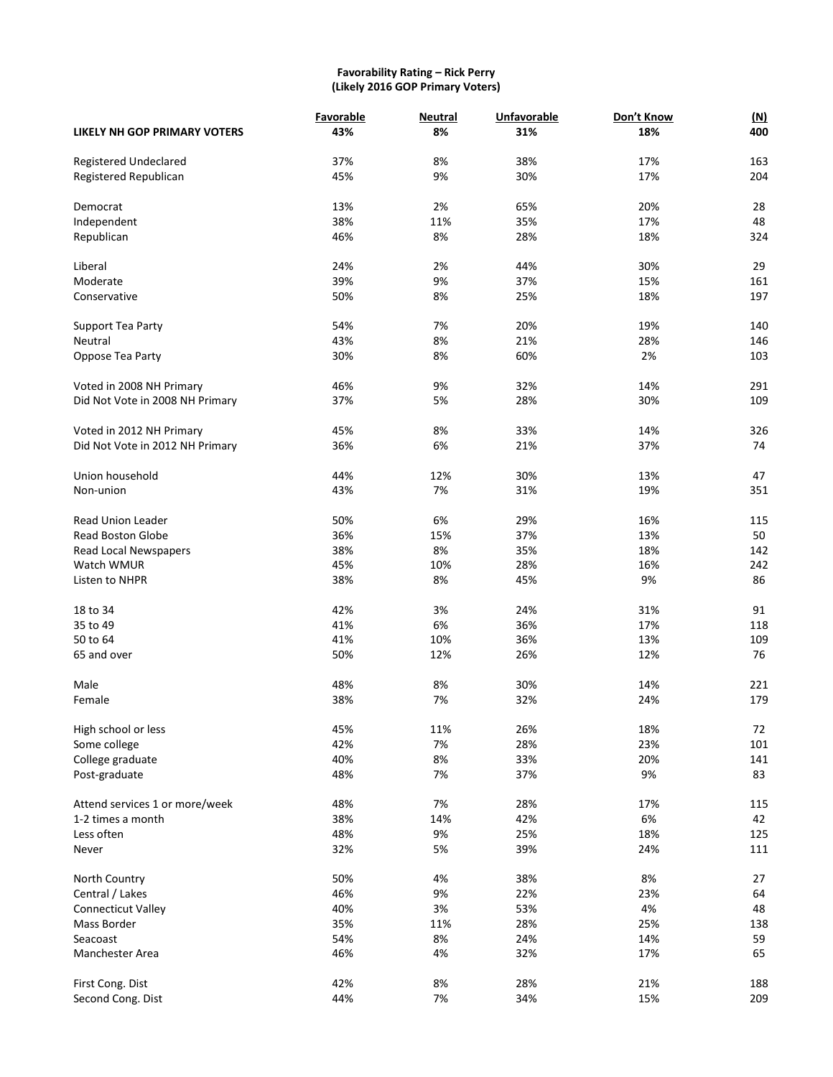#### **Favorability Rating – Rick Perry (Likely 2016 GOP Primary Voters)**

|                                     | Favorable | <b>Neutral</b> | <b>Unfavorable</b> | Don't Know | <u>(N)</u> |
|-------------------------------------|-----------|----------------|--------------------|------------|------------|
| <b>LIKELY NH GOP PRIMARY VOTERS</b> | 43%       | 8%             | 31%                | 18%        | 400        |
| Registered Undeclared               | 37%       | 8%             | 38%                | 17%        | 163        |
| Registered Republican               | 45%       | 9%             | 30%                | 17%        | 204        |
| Democrat                            | 13%       | 2%             | 65%                | 20%        | 28         |
| Independent                         | 38%       | 11%            | 35%                | 17%        | 48         |
| Republican                          | 46%       | 8%             | 28%                | 18%        | 324        |
|                                     |           |                |                    |            |            |
| Liberal                             | 24%       | 2%             | 44%                | 30%        | 29         |
| Moderate                            | 39%       | 9%             | 37%                | 15%        | 161        |
| Conservative                        | 50%       | 8%             | 25%                | 18%        | 197        |
| Support Tea Party                   | 54%       | 7%             | 20%                | 19%        | 140        |
| Neutral                             | 43%       | 8%             | 21%                | 28%        | 146        |
| Oppose Tea Party                    | 30%       | 8%             | 60%                | 2%         | 103        |
| Voted in 2008 NH Primary            | 46%       | 9%             | 32%                | 14%        | 291        |
|                                     | 37%       | 5%             | 28%                | 30%        | 109        |
| Did Not Vote in 2008 NH Primary     |           |                |                    |            |            |
| Voted in 2012 NH Primary            | 45%       | 8%             | 33%                | 14%        | 326        |
| Did Not Vote in 2012 NH Primary     | 36%       | 6%             | 21%                | 37%        | 74         |
| Union household                     | 44%       | 12%            | 30%                | 13%        | 47         |
| Non-union                           | 43%       | 7%             | 31%                | 19%        | 351        |
|                                     |           |                |                    |            |            |
| <b>Read Union Leader</b>            | 50%       | 6%             | 29%                | 16%        | 115        |
| <b>Read Boston Globe</b>            | 36%       | 15%            | 37%                | 13%        | 50         |
| Read Local Newspapers               | 38%       | 8%             | 35%                | 18%        | 142        |
| Watch WMUR                          | 45%       | 10%            | 28%                | 16%        | 242        |
| Listen to NHPR                      | 38%       | 8%             | 45%                | 9%         | 86         |
| 18 to 34                            | 42%       | 3%             | 24%                | 31%        | 91         |
| 35 to 49                            | 41%       | 6%             | 36%                | 17%        | 118        |
| 50 to 64                            | 41%       | 10%            | 36%                | 13%        | 109        |
| 65 and over                         | 50%       | 12%            | 26%                | 12%        | 76         |
| Male                                | 48%       | 8%             | 30%                | 14%        | 221        |
| Female                              | 38%       | 7%             | 32%                | 24%        | 179        |
|                                     |           |                |                    |            |            |
| High school or less                 | 45%       | 11%            | 26%                | 18%        | 72         |
| Some college                        | 42%       | 7%             | 28%                | 23%        | 101        |
| College graduate                    | 40%       | 8%             | 33%                | 20%        | 141        |
| Post-graduate                       | 48%       | 7%             | 37%                | 9%         | 83         |
| Attend services 1 or more/week      | 48%       | 7%             | 28%                | 17%        | 115        |
| 1-2 times a month                   | 38%       | 14%            | 42%                | 6%         | 42         |
| Less often                          | 48%       | 9%             | 25%                | 18%        | 125        |
| Never                               | 32%       | 5%             | 39%                | 24%        | 111        |
|                                     |           |                |                    |            |            |
| North Country                       | 50%       | 4%             | 38%                | 8%         | 27         |
| Central / Lakes                     | 46%       | 9%             | 22%                | 23%        | 64         |
| <b>Connecticut Valley</b>           | 40%       | 3%             | 53%                | 4%         | 48         |
| Mass Border                         | 35%       | 11%            | 28%                | 25%        | 138        |
| Seacoast                            | 54%       | 8%             | 24%                | 14%        | 59         |
| Manchester Area                     | 46%       | 4%             | 32%                | 17%        | 65         |
| First Cong. Dist                    | 42%       | 8%             | 28%                | 21%        | 188        |
| Second Cong. Dist                   | 44%       | 7%             | 34%                | 15%        | 209        |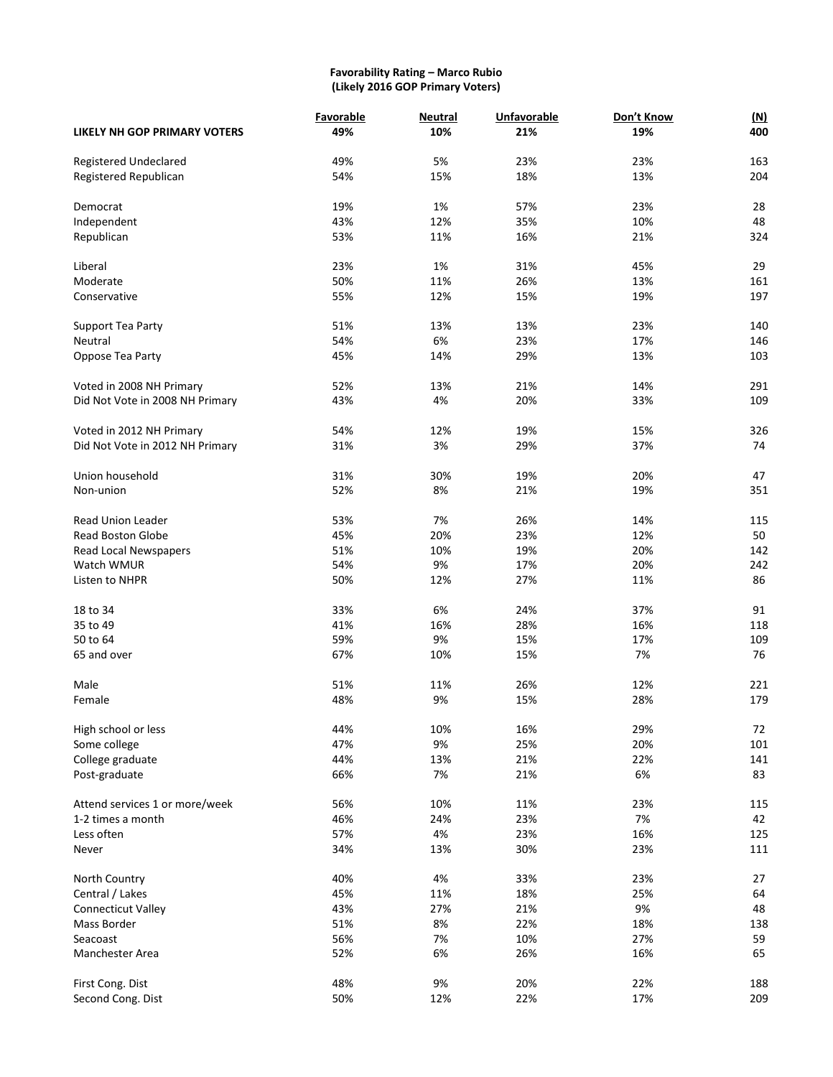#### **Favorability Rating – Marco Rubio (Likely 2016 GOP Primary Voters)**

|                                     | Favorable | <b>Neutral</b> | <b>Unfavorable</b> | Don't Know | <u>(N)</u> |
|-------------------------------------|-----------|----------------|--------------------|------------|------------|
| <b>LIKELY NH GOP PRIMARY VOTERS</b> | 49%       | 10%            | 21%                | 19%        | 400        |
|                                     |           |                |                    |            |            |
| Registered Undeclared               | 49%       | 5%             | 23%                | 23%        | 163        |
| Registered Republican               | 54%       | 15%            | 18%                | 13%        | 204        |
| Democrat                            | 19%       | 1%             | 57%                | 23%        | 28         |
| Independent                         | 43%       | 12%            | 35%                | 10%        | 48         |
| Republican                          | 53%       | 11%            | 16%                | 21%        | 324        |
|                                     |           |                |                    |            |            |
| Liberal                             | 23%       | 1%             | 31%                | 45%        | 29         |
| Moderate                            | 50%       | 11%            | 26%                | 13%        | 161        |
| Conservative                        | 55%       | 12%            | 15%                | 19%        | 197        |
|                                     | 51%       | 13%            | 13%                | 23%        | 140        |
| Support Tea Party                   |           |                |                    |            |            |
| Neutral                             | 54%       | 6%             | 23%                | 17%        | 146        |
| Oppose Tea Party                    | 45%       | 14%            | 29%                | 13%        | 103        |
| Voted in 2008 NH Primary            | 52%       | 13%            | 21%                | 14%        | 291        |
| Did Not Vote in 2008 NH Primary     | 43%       | 4%             | 20%                | 33%        | 109        |
|                                     |           |                |                    |            |            |
| Voted in 2012 NH Primary            | 54%       | 12%            | 19%                | 15%        | 326        |
| Did Not Vote in 2012 NH Primary     | 31%       | 3%             | 29%                | 37%        | 74         |
| Union household                     |           | 30%            | 19%                |            | 47         |
|                                     | 31%       |                |                    | 20%        |            |
| Non-union                           | 52%       | 8%             | 21%                | 19%        | 351        |
| <b>Read Union Leader</b>            | 53%       | 7%             | 26%                | 14%        | 115        |
| <b>Read Boston Globe</b>            | 45%       | 20%            | 23%                | 12%        | 50         |
| Read Local Newspapers               | 51%       | 10%            | 19%                | 20%        | 142        |
| Watch WMUR                          | 54%       | 9%             | 17%                | 20%        | 242        |
| Listen to NHPR                      | 50%       | 12%            | 27%                | 11%        | 86         |
| 18 to 34                            | 33%       | 6%             | 24%                | 37%        | 91         |
| 35 to 49                            | 41%       | 16%            | 28%                | 16%        | 118        |
| 50 to 64                            |           |                |                    |            |            |
|                                     | 59%       | 9%             | 15%                | 17%        | 109        |
| 65 and over                         | 67%       | 10%            | 15%                | 7%         | 76         |
| Male                                | 51%       | 11%            | 26%                | 12%        | 221        |
| Female                              | 48%       | 9%             | 15%                | 28%        | 179        |
|                                     |           |                |                    |            |            |
| High school or less                 | 44%       | 10%            | 16%                | 29%        | 72         |
| Some college                        | 47%       | 9%             | 25%                | 20%        | 101        |
| College graduate                    | 44%       | 13%            | 21%                | 22%        | 141        |
| Post-graduate                       | 66%       | 7%             | 21%                | 6%         | 83         |
| Attend services 1 or more/week      | 56%       | 10%            | 11%                | 23%        | 115        |
| 1-2 times a month                   | 46%       | 24%            | 23%                | 7%         | 42         |
| Less often                          | 57%       | 4%             | 23%                | 16%        | 125        |
| Never                               | 34%       | 13%            | 30%                | 23%        | 111        |
|                                     |           |                |                    |            |            |
| North Country                       | 40%       | 4%             | 33%                | 23%        | 27         |
| Central / Lakes                     | 45%       | 11%            | 18%                | 25%        | 64         |
| Connecticut Valley                  | 43%       | 27%            | 21%                | 9%         | 48         |
| Mass Border                         | 51%       | 8%             | 22%                | 18%        | 138        |
| Seacoast                            | 56%       | 7%             | 10%                | 27%        | 59         |
| Manchester Area                     | 52%       | 6%             | 26%                | 16%        | 65         |
|                                     |           |                |                    |            |            |
| First Cong. Dist                    | 48%       | 9%             | 20%                | 22%        | 188        |
| Second Cong. Dist                   | 50%       | 12%            | 22%                | 17%        | 209        |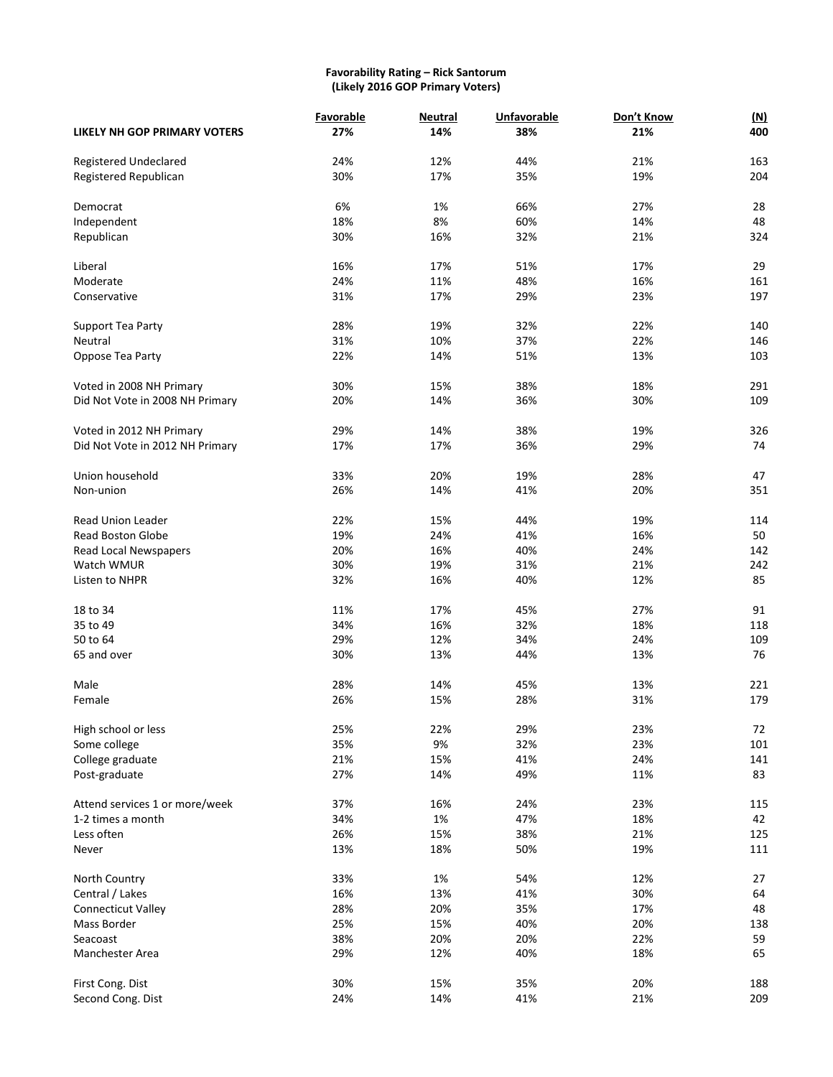#### **Favorability Rating – Rick Santorum (Likely 2016 GOP Primary Voters)**

|                                     | Favorable | <b>Neutral</b> | <b>Unfavorable</b> | Don't Know | <u>(N)</u> |
|-------------------------------------|-----------|----------------|--------------------|------------|------------|
| <b>LIKELY NH GOP PRIMARY VOTERS</b> | 27%       | 14%            | 38%                | 21%        | 400        |
|                                     |           |                |                    |            |            |
| Registered Undeclared               | 24%       | 12%            | 44%                | 21%        | 163        |
| Registered Republican               | 30%       | 17%            | 35%                | 19%        | 204        |
| Democrat                            | 6%        | 1%             | 66%                | 27%        | 28         |
| Independent                         | 18%       | 8%             | 60%                | 14%        | 48         |
| Republican                          | 30%       | 16%            | 32%                | 21%        | 324        |
|                                     |           |                |                    |            |            |
| Liberal                             | 16%       | 17%            | 51%                | 17%        | 29         |
| Moderate                            | 24%       | 11%            | 48%                | 16%        | 161        |
| Conservative                        | 31%       | 17%            | 29%                | 23%        | 197        |
| Support Tea Party                   | 28%       | 19%            | 32%                | 22%        | 140        |
| Neutral                             | 31%       | 10%            | 37%                | 22%        | 146        |
|                                     | 22%       | 14%            | 51%                | 13%        | 103        |
| Oppose Tea Party                    |           |                |                    |            |            |
| Voted in 2008 NH Primary            | 30%       | 15%            | 38%                | 18%        | 291        |
| Did Not Vote in 2008 NH Primary     | 20%       | 14%            | 36%                | 30%        | 109        |
|                                     |           |                |                    |            |            |
| Voted in 2012 NH Primary            | 29%       | 14%            | 38%                | 19%        | 326        |
| Did Not Vote in 2012 NH Primary     | 17%       | 17%            | 36%                | 29%        | 74         |
|                                     |           |                |                    |            |            |
| Union household                     | 33%       | 20%            | 19%                | 28%        | 47         |
| Non-union                           | 26%       | 14%            | 41%                | 20%        | 351        |
| <b>Read Union Leader</b>            | 22%       | 15%            | 44%                | 19%        | 114        |
| <b>Read Boston Globe</b>            | 19%       | 24%            | 41%                | 16%        | 50         |
| Read Local Newspapers               | 20%       | 16%            | 40%                | 24%        | 142        |
| Watch WMUR                          | 30%       | 19%            | 31%                | 21%        | 242        |
| Listen to NHPR                      | 32%       | 16%            | 40%                | 12%        | 85         |
|                                     |           |                |                    |            |            |
| 18 to 34                            | 11%       | 17%            | 45%                | 27%        | 91         |
| 35 to 49                            | 34%       | 16%            | 32%                | 18%        | 118        |
| 50 to 64                            | 29%       | 12%            | 34%                | 24%        | 109        |
| 65 and over                         | 30%       | 13%            | 44%                | 13%        | 76         |
|                                     |           |                |                    |            |            |
| Male                                | 28%       | 14%            | 45%                | 13%        | 221        |
| Female                              | 26%       | 15%            | 28%                | 31%        | 179        |
| High school or less                 | 25%       | 22%            | 29%                | 23%        | 72         |
| Some college                        | 35%       | 9%             | 32%                | 23%        | 101        |
| College graduate                    | 21%       | 15%            | 41%                | 24%        | 141        |
| Post-graduate                       | 27%       | 14%            | 49%                | 11%        | 83         |
|                                     |           |                |                    |            |            |
| Attend services 1 or more/week      | 37%       | 16%            | 24%                | 23%        | 115        |
| 1-2 times a month                   | 34%       | 1%             | 47%                | 18%        | 42         |
| Less often                          | 26%       | 15%            | 38%                | 21%        | 125        |
| Never                               | 13%       | 18%            | 50%                | 19%        | 111        |
| North Country                       | 33%       | 1%             | 54%                | 12%        | 27         |
| Central / Lakes                     | 16%       | 13%            | 41%                | 30%        | 64         |
| <b>Connecticut Valley</b>           | 28%       | 20%            | 35%                | 17%        | 48         |
| Mass Border                         | 25%       | 15%            | 40%                | 20%        | 138        |
| Seacoast                            | 38%       | 20%            | 20%                | 22%        | 59         |
|                                     |           |                |                    |            |            |
| Manchester Area                     | 29%       | 12%            | 40%                | 18%        | 65         |
| First Cong. Dist                    | 30%       | 15%            | 35%                | 20%        | 188        |
| Second Cong. Dist                   | 24%       | 14%            | 41%                | 21%        | 209        |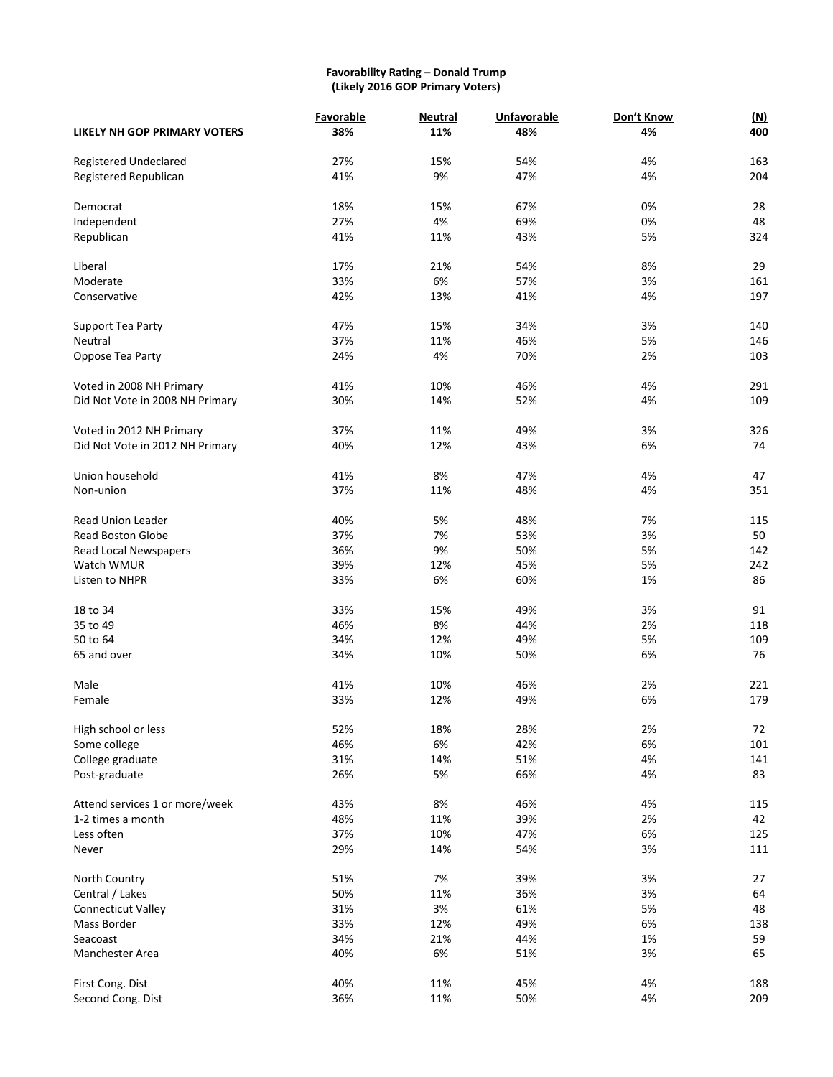#### **Favorability Rating – Donald Trump (Likely 2016 GOP Primary Voters)**

|                                 | Favorable | <b>Neutral</b> | Unfavorable | Don't Know | (M) |
|---------------------------------|-----------|----------------|-------------|------------|-----|
| LIKELY NH GOP PRIMARY VOTERS    | 38%       | 11%            | 48%         | 4%         | 400 |
| <b>Registered Undeclared</b>    | 27%       | 15%            | 54%         | 4%         | 163 |
| Registered Republican           | 41%       | 9%             | 47%         | 4%         | 204 |
| Democrat                        | 18%       | 15%            | 67%         | 0%         | 28  |
| Independent                     | 27%       | 4%             | 69%         | 0%         | 48  |
|                                 | 41%       | 11%            | 43%         | 5%         | 324 |
| Republican                      |           |                |             |            |     |
| Liberal                         | 17%       | 21%            | 54%         | 8%         | 29  |
| Moderate                        | 33%       | 6%             | 57%         | 3%         | 161 |
| Conservative                    | 42%       | 13%            | 41%         | 4%         | 197 |
| Support Tea Party               | 47%       | 15%            | 34%         | 3%         | 140 |
| Neutral                         | 37%       | 11%            | 46%         | 5%         | 146 |
| Oppose Tea Party                | 24%       | 4%             | 70%         | 2%         | 103 |
| Voted in 2008 NH Primary        | 41%       | 10%            | 46%         | 4%         | 291 |
|                                 |           |                |             | 4%         |     |
| Did Not Vote in 2008 NH Primary | 30%       | 14%            | 52%         |            | 109 |
| Voted in 2012 NH Primary        | 37%       | 11%            | 49%         | 3%         | 326 |
| Did Not Vote in 2012 NH Primary | 40%       | 12%            | 43%         | 6%         | 74  |
| Union household                 | 41%       | 8%             | 47%         | 4%         | 47  |
| Non-union                       | 37%       | 11%            | 48%         | 4%         | 351 |
|                                 |           |                |             |            |     |
| <b>Read Union Leader</b>        | 40%       | 5%             | 48%         | 7%         | 115 |
| <b>Read Boston Globe</b>        | 37%       | 7%             | 53%         | 3%         | 50  |
| Read Local Newspapers           | 36%       | 9%             | 50%         | 5%         | 142 |
| Watch WMUR                      | 39%       | 12%            | 45%         | 5%         | 242 |
| Listen to NHPR                  | 33%       | 6%             | 60%         | 1%         | 86  |
| 18 to 34                        | 33%       | 15%            | 49%         | 3%         | 91  |
| 35 to 49                        | 46%       | 8%             | 44%         | 2%         | 118 |
| 50 to 64                        | 34%       | 12%            | 49%         | 5%         | 109 |
| 65 and over                     | 34%       | 10%            | 50%         | 6%         | 76  |
| Male                            | 41%       | 10%            | 46%         | 2%         | 221 |
| Female                          | 33%       | 12%            | 49%         | 6%         | 179 |
|                                 |           |                |             |            |     |
| High school or less             | 52%       | 18%            | 28%         | 2%         | 72  |
| Some college                    | 46%       | 6%             | 42%         | 6%         | 101 |
| College graduate                | 31%       | 14%            | 51%         | 4%         | 141 |
| Post-graduate                   | 26%       | 5%             | 66%         | 4%         | 83  |
| Attend services 1 or more/week  | 43%       | 8%             | 46%         | 4%         | 115 |
| 1-2 times a month               | 48%       | 11%            | 39%         | 2%         | 42  |
| Less often                      | 37%       | 10%            | 47%         | 6%         | 125 |
| Never                           | 29%       | 14%            | 54%         | 3%         | 111 |
|                                 |           |                |             |            |     |
| North Country                   | 51%       | 7%             | 39%         | 3%         | 27  |
| Central / Lakes                 | 50%       | 11%            | 36%         | 3%         | 64  |
| Connecticut Valley              | 31%       | 3%             | 61%         | 5%         | 48  |
| Mass Border                     | 33%       | 12%            | 49%         | 6%         | 138 |
| Seacoast                        | 34%       | 21%            | 44%         | 1%         | 59  |
| Manchester Area                 | 40%       | 6%             | 51%         | 3%         | 65  |
| First Cong. Dist                | 40%       | 11%            | 45%         | 4%         | 188 |
| Second Cong. Dist               | 36%       | 11%            | 50%         | 4%         | 209 |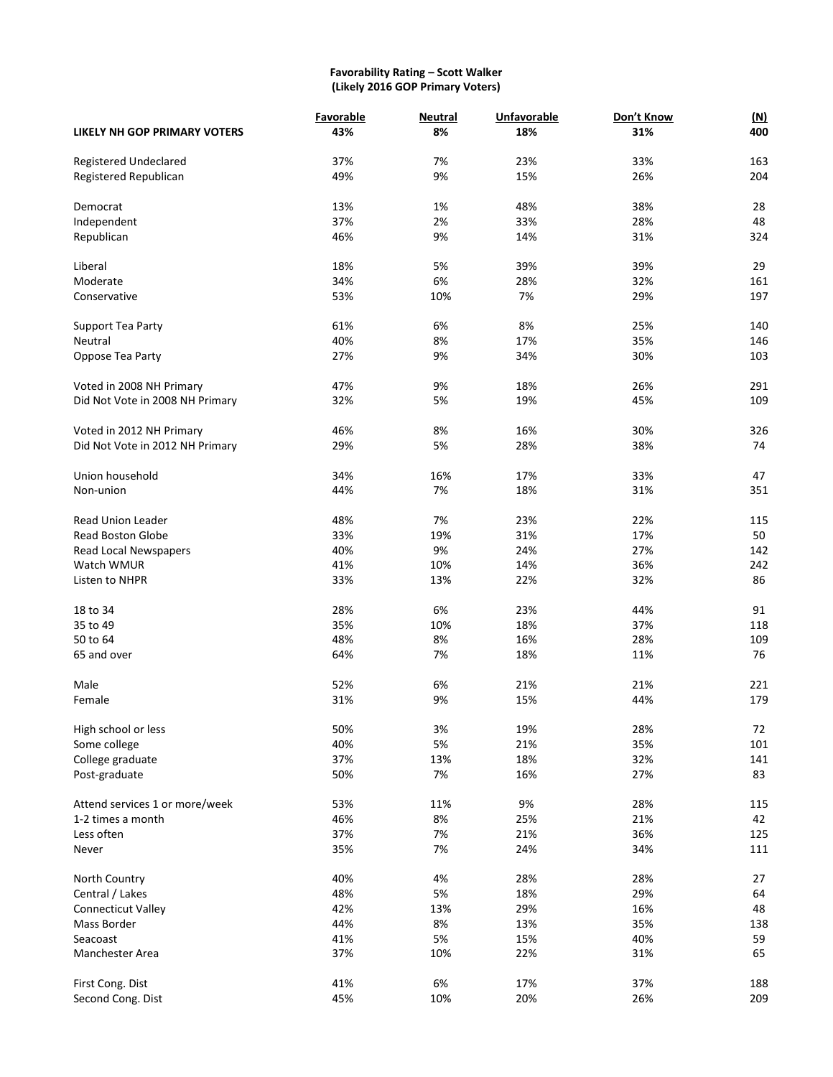#### **Favorability Rating – Scott Walker (Likely 2016 GOP Primary Voters)**

|                                     | Favorable | <b>Neutral</b> | <b>Unfavorable</b> | Don't Know | <u>(N)</u> |
|-------------------------------------|-----------|----------------|--------------------|------------|------------|
| <b>LIKELY NH GOP PRIMARY VOTERS</b> | 43%       | 8%             | 18%                | 31%        | 400        |
| Registered Undeclared               | 37%       | 7%             | 23%                | 33%        | 163        |
| Registered Republican               | 49%       | 9%             | 15%                | 26%        | 204        |
| Democrat                            | 13%       | 1%             | 48%                | 38%        | 28         |
| Independent                         | 37%       | 2%             | 33%                | 28%        | 48         |
|                                     |           |                |                    |            |            |
| Republican                          | 46%       | 9%             | 14%                | 31%        | 324        |
| Liberal                             | 18%       | 5%             | 39%                | 39%        | 29         |
| Moderate                            | 34%       | 6%             | 28%                | 32%        | 161        |
| Conservative                        | 53%       | 10%            | 7%                 | 29%        | 197        |
| Support Tea Party                   | 61%       | 6%             | 8%                 | 25%        | 140        |
| Neutral                             | 40%       | 8%             | 17%                | 35%        | 146        |
| Oppose Tea Party                    | 27%       | 9%             | 34%                | 30%        | 103        |
| Voted in 2008 NH Primary            | 47%       | 9%             | 18%                | 26%        | 291        |
| Did Not Vote in 2008 NH Primary     | 32%       | 5%             | 19%                | 45%        | 109        |
|                                     |           |                |                    |            |            |
| Voted in 2012 NH Primary            | 46%       | 8%             | 16%                | 30%        | 326        |
| Did Not Vote in 2012 NH Primary     | 29%       | 5%             | 28%                | 38%        | 74         |
| Union household                     | 34%       | 16%            | 17%                | 33%        | 47         |
| Non-union                           | 44%       | 7%             | 18%                | 31%        | 351        |
|                                     |           |                |                    |            |            |
| <b>Read Union Leader</b>            | 48%       | 7%             | 23%                | 22%        | 115        |
| <b>Read Boston Globe</b>            | 33%       | 19%            | 31%                | 17%        | 50         |
| Read Local Newspapers               | 40%       | 9%             | 24%                | 27%        | 142        |
| Watch WMUR                          | 41%       | 10%            | 14%                | 36%        | 242        |
| Listen to NHPR                      | 33%       | 13%            | 22%                | 32%        | 86         |
| 18 to 34                            | 28%       | 6%             | 23%                | 44%        | 91         |
| 35 to 49                            | 35%       | 10%            | 18%                | 37%        | 118        |
| 50 to 64                            | 48%       | 8%             | 16%                | 28%        | 109        |
| 65 and over                         | 64%       | 7%             | 18%                | 11%        | 76         |
| Male                                |           |                | 21%                |            |            |
|                                     | 52%       | 6%             |                    | 21%        | 221        |
| Female                              | 31%       | 9%             | 15%                | 44%        | 179        |
| High school or less                 | 50%       | 3%             | 19%                | 28%        | 72         |
| Some college                        | 40%       | 5%             | 21%                | 35%        | 101        |
| College graduate                    | 37%       | 13%            | 18%                | 32%        | 141        |
| Post-graduate                       | 50%       | 7%             | 16%                | 27%        | 83         |
| Attend services 1 or more/week      | 53%       | 11%            | 9%                 | 28%        | 115        |
| 1-2 times a month                   | 46%       | 8%             | 25%                | 21%        | 42         |
| Less often                          | 37%       | 7%             | 21%                | 36%        | 125        |
| Never                               | 35%       | 7%             | 24%                | 34%        | 111        |
| North Country                       | 40%       | 4%             | 28%                | 28%        | 27         |
| Central / Lakes                     | 48%       | 5%             | 18%                | 29%        | 64         |
| Connecticut Valley                  | 42%       | 13%            | 29%                | 16%        | 48         |
| Mass Border                         | 44%       | 8%             | 13%                | 35%        | 138        |
| Seacoast                            | 41%       | 5%             | 15%                | 40%        | 59         |
|                                     |           |                |                    |            |            |
| Manchester Area                     | 37%       | 10%            | 22%                | 31%        | 65         |
| First Cong. Dist                    | 41%       | 6%             | 17%                | 37%        | 188        |
| Second Cong. Dist                   | 45%       | 10%            | 20%                | 26%        | 209        |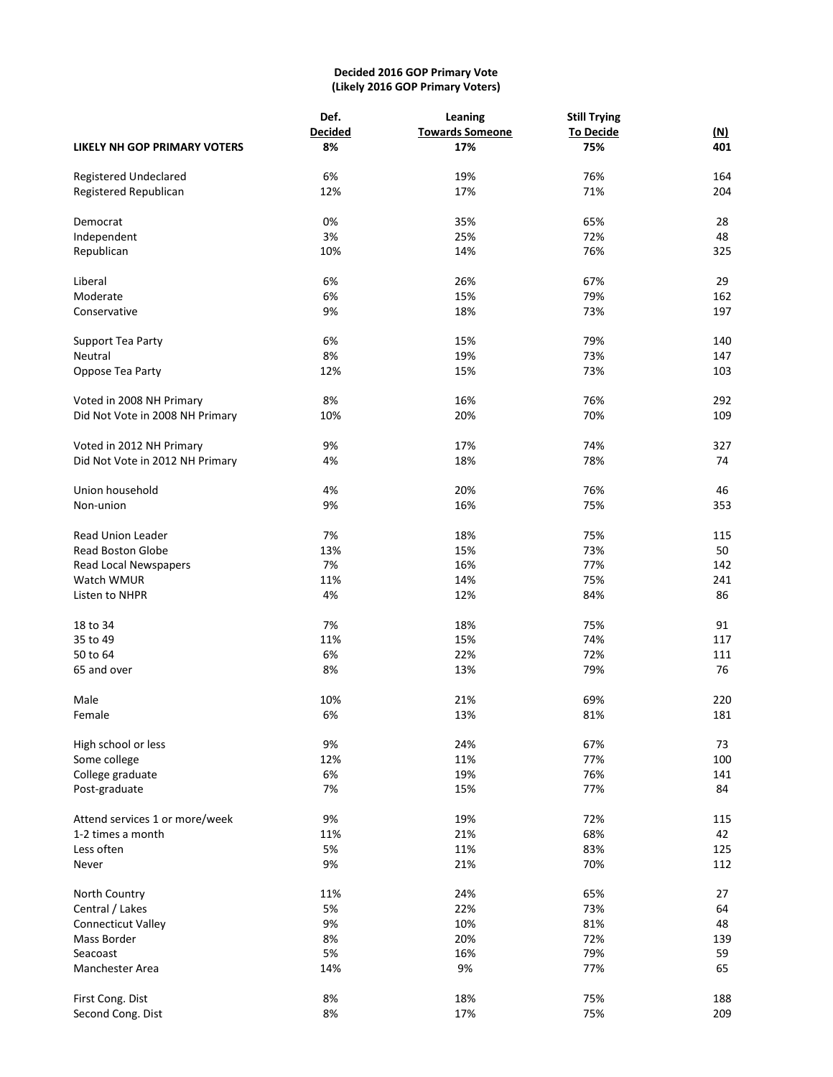# **Decided 2016 GOP Primary Vote (Likely 2016 GOP Primary Voters)**

|                                     | Def.           | Leaning                | <b>Still Trying</b> |            |  |  |
|-------------------------------------|----------------|------------------------|---------------------|------------|--|--|
|                                     | <b>Decided</b> | <b>Towards Someone</b> | <b>To Decide</b>    | <u>(N)</u> |  |  |
| <b>LIKELY NH GOP PRIMARY VOTERS</b> | 8%             | 17%                    | 75%                 | 401        |  |  |
| Registered Undeclared               | 6%             | 19%                    | 76%                 | 164        |  |  |
| Registered Republican               | 12%            | 17%                    | 71%                 | 204        |  |  |
| Democrat                            | 0%             | 35%                    | 65%                 | 28         |  |  |
| Independent                         | 3%             | 25%                    | 72%                 | 48         |  |  |
| Republican                          | 10%            | 14%                    | 76%                 | 325        |  |  |
| Liberal                             | 6%             | 26%                    | 67%                 | 29         |  |  |
| Moderate                            | 6%             | 15%                    | 79%                 | 162        |  |  |
| Conservative                        | 9%             | 18%                    | 73%                 | 197        |  |  |
| Support Tea Party                   | 6%             | 15%                    | 79%                 | 140        |  |  |
| Neutral                             | 8%             | 19%                    | 73%                 | 147        |  |  |
| Oppose Tea Party                    | 12%            | 15%                    | 73%                 | 103        |  |  |
| Voted in 2008 NH Primary            | 8%             | 16%                    | 76%                 | 292        |  |  |
| Did Not Vote in 2008 NH Primary     | 10%            | 20%                    | 70%                 | 109        |  |  |
| Voted in 2012 NH Primary            | 9%             | 17%                    | 74%                 | 327        |  |  |
| Did Not Vote in 2012 NH Primary     | 4%             | 18%                    | 78%                 | 74         |  |  |
| Union household                     | 4%             | 20%                    | 76%                 | 46         |  |  |
| Non-union                           | 9%             | 16%                    | 75%                 | 353        |  |  |
| <b>Read Union Leader</b>            | 7%             | 18%                    | 75%                 | 115        |  |  |
| <b>Read Boston Globe</b>            | 13%            | 15%                    | 73%                 | 50         |  |  |
| Read Local Newspapers               | 7%             | 16%                    | 77%                 | 142        |  |  |
| Watch WMUR                          | 11%            | 14%                    | 75%                 | 241        |  |  |
| Listen to NHPR                      | 4%             | 12%                    | 84%                 | 86         |  |  |
| 18 to 34                            | 7%             | 18%                    | 75%                 | 91         |  |  |
| 35 to 49                            | 11%            | 15%                    | 74%                 | 117        |  |  |
| 50 to 64                            | 6%             | 22%                    | 72%                 | 111        |  |  |
| 65 and over                         | 8%             | 13%                    | 79%                 | 76         |  |  |
| Male                                | 10%            | 21%                    | 69%                 | 220        |  |  |
| Female                              | 6%             | 13%                    | 81%                 | 181        |  |  |
| High school or less                 | 9%             | 24%                    | 67%                 | 73         |  |  |
| Some college                        | 12%            | 11%                    | 77%                 | 100        |  |  |
| College graduate                    | 6%             | 19%                    | 76%                 | 141        |  |  |
| Post-graduate                       | 7%             | 15%                    | 77%                 | 84         |  |  |
| Attend services 1 or more/week      | 9%             | 19%                    | 72%                 | 115        |  |  |
| 1-2 times a month                   | 11%            | 21%                    | 68%                 | 42         |  |  |
| Less often                          | 5%             | 11%                    | 83%                 | 125        |  |  |
| Never                               | 9%             | 21%                    | 70%                 | 112        |  |  |
| North Country                       | 11%            | 24%                    | 65%                 | 27         |  |  |
| Central / Lakes                     | 5%             | 22%                    | 73%                 | 64         |  |  |
| Connecticut Valley                  | 9%             | 10%                    | 81%                 | 48         |  |  |
| Mass Border                         | 8%             | 20%                    | 72%                 | 139        |  |  |
| Seacoast                            | 5%             | 16%                    | 79%                 | 59         |  |  |
| Manchester Area                     | 14%            | 9%                     | 77%                 | 65         |  |  |
| First Cong. Dist                    | 8%             | 18%                    | 75%                 | 188        |  |  |
| Second Cong. Dist                   | 8%             | 17%                    | 75%                 | 209        |  |  |
|                                     |                |                        |                     |            |  |  |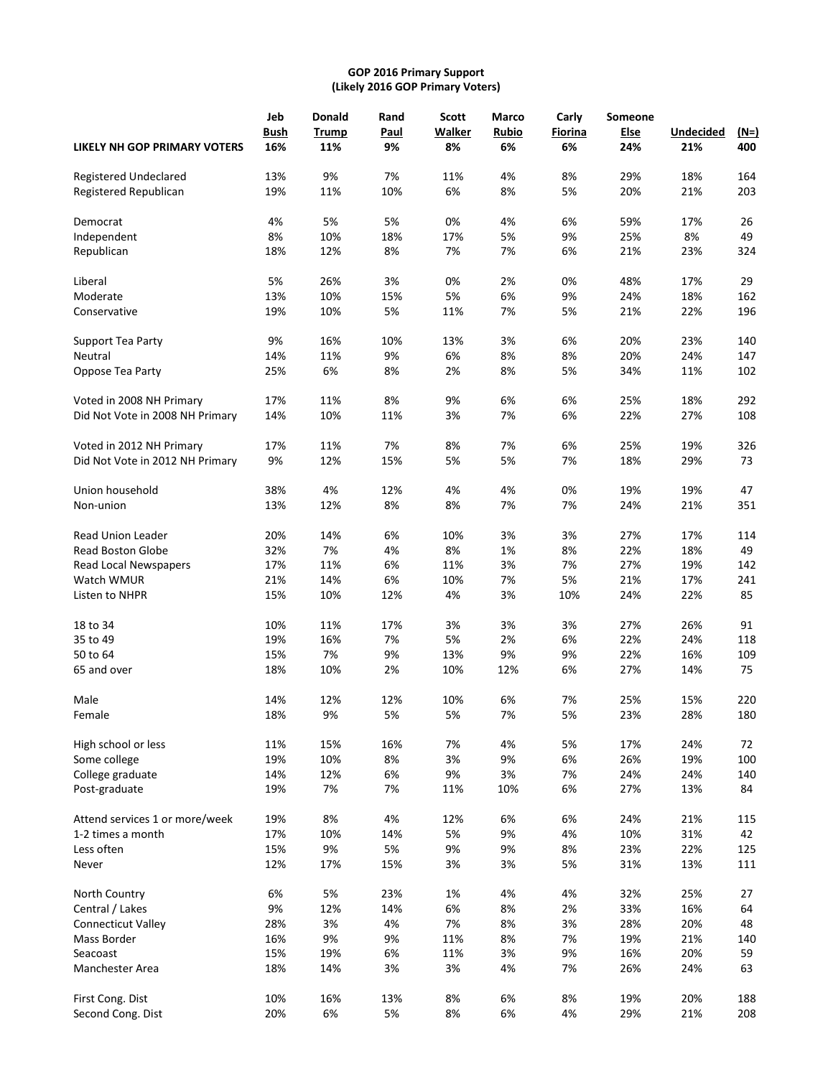# **GOP 2016 Primary Support (Likely 2016 GOP Primary Voters)**

|                                 | Jeb                | Donald              | Rand       | <b>Scott</b>        | <b>Marco</b> | Carly         | Someone     |                         |               |
|---------------------------------|--------------------|---------------------|------------|---------------------|--------------|---------------|-------------|-------------------------|---------------|
| LIKELY NH GOP PRIMARY VOTERS    | <b>Bush</b><br>16% | <b>Trump</b><br>11% | Paul<br>9% | <b>Walker</b><br>8% | Rubio<br>6%  | Fiorina<br>6% | Else<br>24% | <b>Undecided</b><br>21% | $(N=)$<br>400 |
|                                 |                    |                     |            |                     |              |               |             |                         |               |
| Registered Undeclared           | 13%                | 9%                  | 7%         | 11%                 | 4%           | 8%            | 29%         | 18%                     | 164           |
| Registered Republican           | 19%                | 11%                 | 10%        | 6%                  | 8%           | 5%            | 20%         | 21%                     | 203           |
| Democrat                        | 4%                 | 5%                  | 5%         | 0%                  | 4%           | 6%            | 59%         | 17%                     | 26            |
| Independent                     | 8%                 | 10%                 | 18%        | 17%                 | 5%           | 9%            | 25%         | 8%                      | 49            |
| Republican                      | 18%                | 12%                 | 8%         | 7%                  | 7%           | 6%            | 21%         | 23%                     | 324           |
| Liberal                         | 5%                 | 26%                 | 3%         | 0%                  | 2%           | 0%            | 48%         | 17%                     | 29            |
| Moderate                        | 13%                | 10%                 | 15%        | 5%                  | 6%           | 9%            | 24%         | 18%                     | 162           |
| Conservative                    | 19%                | 10%                 | 5%         | 11%                 | 7%           | 5%            | 21%         | 22%                     | 196           |
| Support Tea Party               | 9%                 | 16%                 | 10%        | 13%                 | 3%           | 6%            | 20%         | 23%                     | 140           |
| Neutral                         | 14%                | 11%                 | 9%         | 6%                  | 8%           | 8%            | 20%         | 24%                     | 147           |
| Oppose Tea Party                | 25%                | 6%                  | 8%         | 2%                  | 8%           | 5%            | 34%         | 11%                     | 102           |
| Voted in 2008 NH Primary        | 17%                | 11%                 | 8%         | 9%                  | 6%           | 6%            | 25%         | 18%                     | 292           |
| Did Not Vote in 2008 NH Primary | 14%                | 10%                 | 11%        | 3%                  | 7%           | 6%            | 22%         | 27%                     | 108           |
| Voted in 2012 NH Primary        | 17%                | 11%                 | 7%         | 8%                  | 7%           | 6%            | 25%         | 19%                     | 326           |
| Did Not Vote in 2012 NH Primary | 9%                 | 12%                 | 15%        | 5%                  | 5%           | 7%            | 18%         | 29%                     | 73            |
| Union household                 | 38%                | 4%                  | 12%        | 4%                  | 4%           | 0%            | 19%         | 19%                     | 47            |
| Non-union                       | 13%                | 12%                 | 8%         | 8%                  | 7%           | 7%            | 24%         | 21%                     | 351           |
|                                 |                    |                     |            |                     |              |               |             |                         |               |
| Read Union Leader               | 20%                | 14%                 | 6%         | 10%                 | 3%           | 3%            | 27%         | 17%                     | 114           |
| <b>Read Boston Globe</b>        | 32%                | 7%                  | 4%         | 8%                  | 1%           | 8%            | 22%         | 18%                     | 49            |
| Read Local Newspapers           | 17%                | 11%                 | 6%         | 11%                 | 3%           | 7%            | 27%         | 19%                     | 142           |
| Watch WMUR                      | 21%                | 14%                 | 6%         | 10%                 | 7%           | 5%            | 21%         | 17%                     | 241           |
| Listen to NHPR                  | 15%                | 10%                 | 12%        | 4%                  | 3%           | 10%           | 24%         | 22%                     | 85            |
| 18 to 34                        | 10%                | 11%                 | 17%        | 3%                  | 3%           | 3%            | 27%         | 26%                     | 91            |
| 35 to 49                        | 19%                | 16%                 | 7%         | 5%                  | 2%           | 6%            | 22%         | 24%                     | 118           |
| 50 to 64                        | 15%                | 7%                  | 9%         | 13%                 | 9%           | 9%            | 22%         | 16%                     | 109           |
| 65 and over                     | 18%                | 10%                 | 2%         | 10%                 | 12%          | 6%            | 27%         | 14%                     | 75            |
| Male                            | 14%                | 12%                 | 12%        | 10%                 | 6%           | 7%            | 25%         | 15%                     | 220           |
| Female                          | 18%                | 9%                  | 5%         | 5%                  | 7%           | 5%            | 23%         | 28%                     | 180           |
| High school or less             | 11%                | 15%                 | 16%        | 7%                  | 4%           | 5%            | 17%         | 24%                     | 72            |
| Some college                    | 19%                | 10%                 | 8%         | 3%                  | 9%           | 6%            | 26%         | 19%                     | 100           |
| College graduate                | 14%                | 12%                 | 6%         | 9%                  | 3%           | 7%            | 24%         | 24%                     | 140           |
| Post-graduate                   | 19%                | 7%                  | 7%         | 11%                 | 10%          | 6%            | 27%         | 13%                     | 84            |
| Attend services 1 or more/week  | 19%                | 8%                  | 4%         | 12%                 | 6%           | 6%            | 24%         | 21%                     | 115           |
| 1-2 times a month               | 17%                | 10%                 | 14%        | 5%                  | 9%           | 4%            | 10%         | 31%                     | 42            |
| Less often                      | 15%                | 9%                  | 5%         | 9%                  | 9%           | 8%            | 23%         | 22%                     | 125           |
| Never                           | 12%                | 17%                 | 15%        | 3%                  | 3%           | 5%            | 31%         | 13%                     | 111           |
| North Country                   | 6%                 | 5%                  | 23%        | 1%                  | 4%           | 4%            | 32%         | 25%                     | 27            |
| Central / Lakes                 | 9%                 | 12%                 | 14%        | 6%                  | 8%           | 2%            | 33%         | 16%                     | 64            |
| <b>Connecticut Valley</b>       | 28%                | 3%                  | 4%         | 7%                  | 8%           | 3%            | 28%         | 20%                     | 48            |
| Mass Border                     | 16%                | 9%                  | 9%         | 11%                 | 8%           | 7%            | 19%         | 21%                     | 140           |
| Seacoast                        | 15%                | 19%                 | 6%         | 11%                 | 3%           | 9%            | 16%         | 20%                     | 59            |
| Manchester Area                 | 18%                | 14%                 | 3%         | 3%                  | 4%           | 7%            | 26%         | 24%                     | 63            |
| First Cong. Dist                | 10%                | 16%                 | 13%        | 8%                  | 6%           | 8%            | 19%         | 20%                     | 188           |
| Second Cong. Dist               | 20%                | 6%                  | 5%         | 8%                  | 6%           | 4%            | 29%         | 21%                     | 208           |
|                                 |                    |                     |            |                     |              |               |             |                         |               |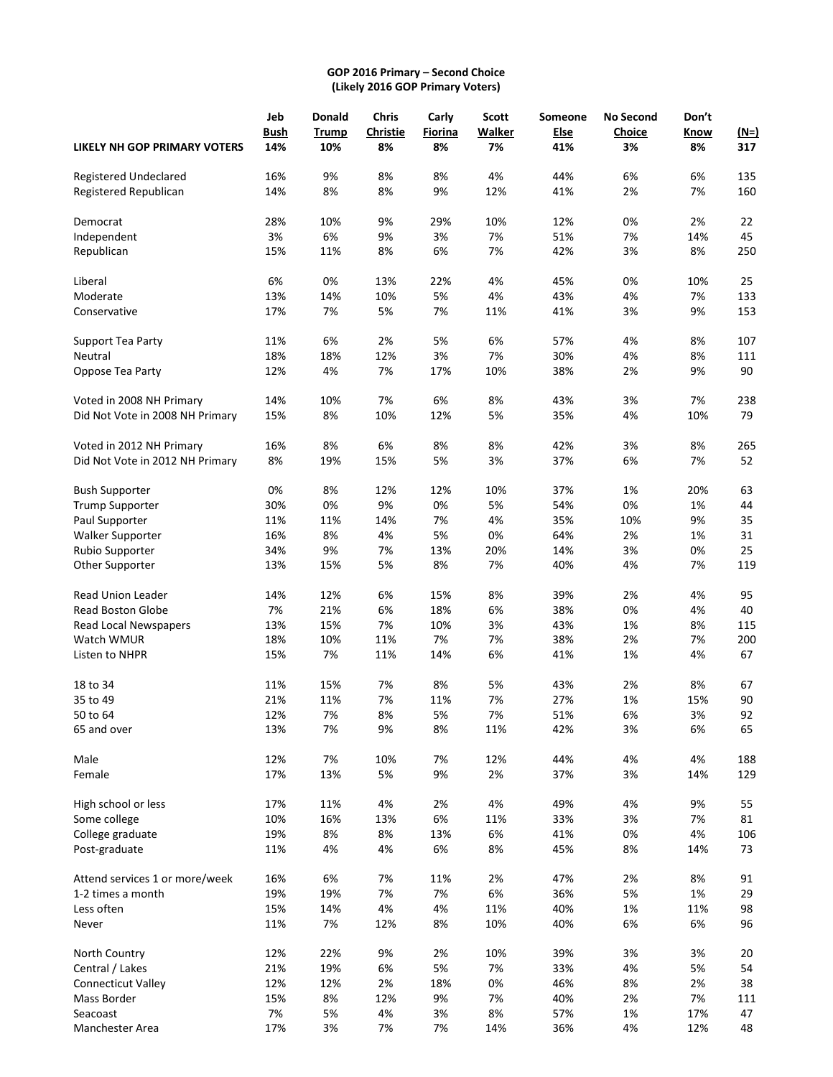# **GOP 2016 Primary – Second Choice (Likely 2016 GOP Primary Voters)**

|                                 | Jeb         | <b>Donald</b> | <b>Chris</b>          | Carly         | <b>Scott</b>        | Someone            | <b>No Second</b> | Don't      |                    |
|---------------------------------|-------------|---------------|-----------------------|---------------|---------------------|--------------------|------------------|------------|--------------------|
| LIKELY NH GOP PRIMARY VOTERS    | Bush<br>14% | Trump<br>10%  | <b>Christie</b><br>8% | Fiorina<br>8% | <b>Walker</b><br>7% | <b>Else</b><br>41% | Choice<br>3%     | Know<br>8% | <u>(N=)</u><br>317 |
| Registered Undeclared           | 16%         | 9%            | 8%                    | 8%            | 4%                  | 44%                | 6%               | 6%         | 135                |
| Registered Republican           | 14%         | 8%            | 8%                    | 9%            | 12%                 | 41%                | 2%               | 7%         | 160                |
| Democrat                        | 28%         | 10%           | 9%                    | 29%           | 10%                 | 12%                | 0%               | 2%         | 22                 |
| Independent                     | 3%          | 6%            | 9%                    | 3%            | 7%                  | 51%                | 7%               | 14%        | 45                 |
| Republican                      | 15%         | 11%           | 8%                    | 6%            | 7%                  | 42%                | 3%               | 8%         | 250                |
| Liberal                         | 6%          | 0%            | 13%                   | 22%           | 4%                  | 45%                | 0%               | 10%        | 25                 |
| Moderate                        | 13%         | 14%           | 10%                   | 5%            | 4%                  | 43%                | 4%               | 7%         | 133                |
| Conservative                    | 17%         | 7%            | 5%                    | 7%            | 11%                 | 41%                | 3%               | 9%         | 153                |
| Support Tea Party               | 11%         | 6%            | 2%                    | 5%            | 6%                  | 57%                | 4%               | 8%         | 107                |
| Neutral                         | 18%         | 18%           | 12%                   | 3%            | 7%                  | 30%                | 4%               | 8%         | 111                |
| Oppose Tea Party                | 12%         | 4%            | 7%                    | 17%           | 10%                 | 38%                | 2%               | 9%         | 90                 |
| Voted in 2008 NH Primary        | 14%         | 10%           | 7%                    | 6%            | 8%                  | 43%                | 3%               | 7%         | 238                |
| Did Not Vote in 2008 NH Primary | 15%         | 8%            | 10%                   | 12%           | 5%                  | 35%                | 4%               | 10%        | 79                 |
| Voted in 2012 NH Primary        | 16%         | 8%            | 6%                    | 8%            | 8%                  | 42%                | 3%               | 8%         | 265                |
| Did Not Vote in 2012 NH Primary | 8%          | 19%           | 15%                   | 5%            | 3%                  | 37%                | 6%               | 7%         | 52                 |
| <b>Bush Supporter</b>           | 0%          | 8%            | 12%                   | 12%           | 10%                 | 37%                | 1%               | 20%        | 63                 |
| <b>Trump Supporter</b>          | 30%         | 0%            | 9%                    | 0%            | 5%                  | 54%                | 0%               | 1%         | 44                 |
| Paul Supporter                  | 11%         | 11%           | 14%                   | 7%            | 4%                  | 35%                | 10%              | 9%         | 35                 |
| <b>Walker Supporter</b>         | 16%         | 8%            | 4%                    | 5%            | 0%                  | 64%                | 2%               | 1%         | 31                 |
| Rubio Supporter                 | 34%         | 9%            | 7%                    | 13%           | 20%                 | 14%                | 3%               | 0%         | 25                 |
| Other Supporter                 | 13%         | 15%           | 5%                    | 8%            | 7%                  | 40%                | 4%               | 7%         | 119                |
| Read Union Leader               | 14%         | 12%           | 6%                    | 15%           | 8%                  | 39%                | 2%               | 4%         | 95                 |
| <b>Read Boston Globe</b>        | 7%          | 21%           | 6%                    | 18%           | 6%                  | 38%                | 0%               | 4%         | 40                 |
| Read Local Newspapers           | 13%         | 15%           | 7%                    | 10%           | 3%                  | 43%                | 1%               | 8%         | 115                |
| Watch WMUR                      | 18%         | 10%           | 11%                   | 7%            | 7%                  | 38%                | 2%               | 7%         | 200                |
| Listen to NHPR                  | 15%         | 7%            | 11%                   | 14%           | 6%                  | 41%                | 1%               | 4%         | 67                 |
| 18 to 34                        | 11%         | 15%           | 7%                    | 8%            | 5%                  | 43%                | 2%               | 8%         | 67                 |
| 35 to 49                        | 21%         | 11%           | 7%                    | 11%           | 7%                  | 27%                | 1%               | 15%        | 90                 |
| 50 to 64                        | 12%         | 7%            | 8%                    | 5%            | 7%                  | 51%                | 6%               | 3%         | 92                 |
| 65 and over                     | 13%         | 7%            | 9%                    | 8%            | 11%                 | 42%                | 3%               | 6%         | 65                 |
| Male                            | 12%         | 7%            | 10%                   | 7%            | 12%                 | 44%                | 4%               | 4%         | 188                |
| Female                          | 17%         | 13%           | 5%                    | 9%            | 2%                  | 37%                | 3%               | 14%        | 129                |
| High school or less             | 17%         | 11%           | 4%                    | 2%            | 4%                  | 49%                | 4%               | 9%         | 55                 |
| Some college                    | 10%         | 16%           | 13%                   | 6%            | 11%                 | 33%                | 3%               | 7%         | 81                 |
| College graduate                | 19%         | 8%            | 8%                    | 13%           | 6%                  | 41%                | 0%               | 4%         | 106                |
| Post-graduate                   | 11%         | 4%            | 4%                    | 6%            | 8%                  | 45%                | 8%               | 14%        | 73                 |
| Attend services 1 or more/week  | 16%         | 6%            | 7%                    | 11%           | 2%                  | 47%                | 2%               | 8%         | 91                 |
| 1-2 times a month               | 19%         | 19%           | 7%                    | 7%            | 6%                  | 36%                | 5%               | 1%         | 29                 |
| Less often                      | 15%         | 14%           | 4%                    | 4%            | 11%                 | 40%                | 1%               | 11%        | 98                 |
| Never                           | 11%         | 7%            | 12%                   | 8%            | 10%                 | 40%                | 6%               | 6%         | 96                 |
| North Country                   | 12%         | 22%           | 9%                    | 2%            | 10%                 | 39%                | 3%               | 3%         | 20                 |
| Central / Lakes                 | 21%         | 19%           | 6%                    | 5%            | 7%                  | 33%                | 4%               | 5%         | 54                 |
| <b>Connecticut Valley</b>       | 12%         | 12%           | 2%                    | 18%           | 0%                  | 46%                | 8%               | 2%         | 38                 |
| Mass Border                     | 15%         | 8%            | 12%                   | 9%            | 7%                  | 40%                | 2%               | 7%         | 111                |
| Seacoast                        | 7%          | 5%            | 4%                    | 3%            | 8%                  | 57%                | 1%               | 17%        | 47                 |
| Manchester Area                 | 17%         | 3%            | 7%                    | 7%            | 14%                 | 36%                | 4%               | 12%        | 48                 |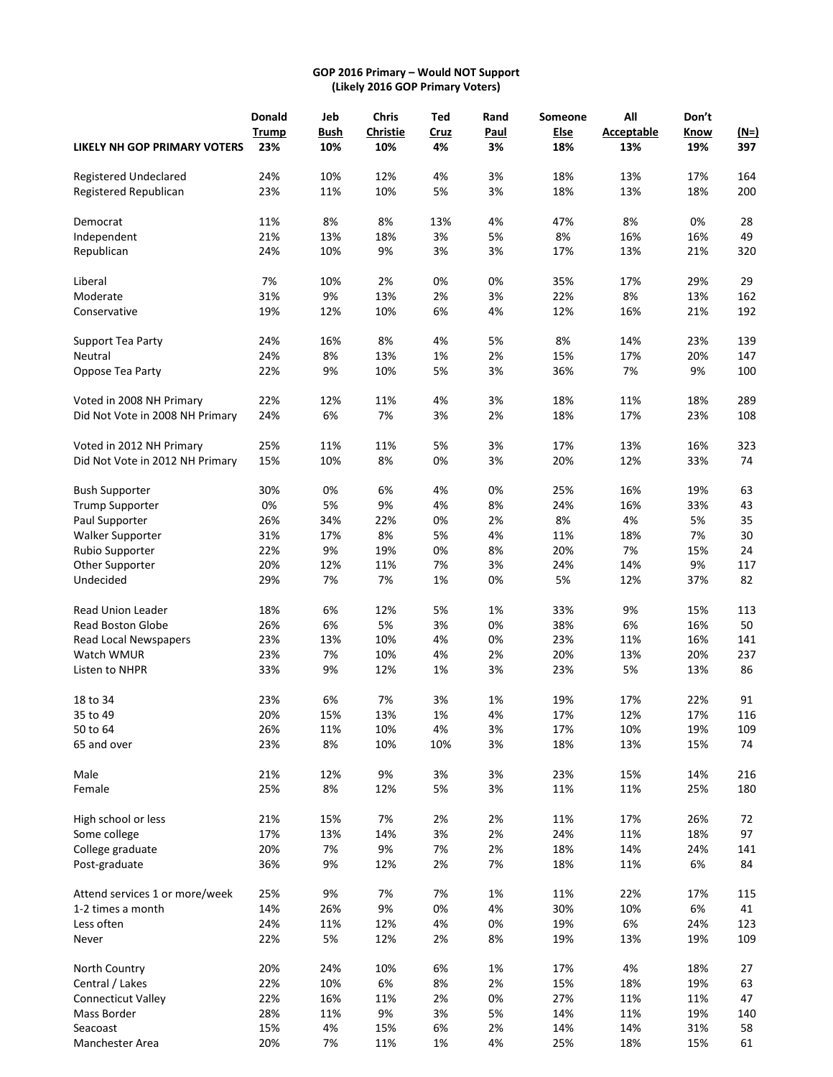# **GOP 2016 Primary – Would NOT Support (Likely 2016 GOP Primary Voters)**

|                                     | Donald       | Jeb         | <b>Chris</b>    | Ted         | Rand | Someone | All               | Don't |        |
|-------------------------------------|--------------|-------------|-----------------|-------------|------|---------|-------------------|-------|--------|
|                                     | <b>Trump</b> | <b>Bush</b> | <b>Christie</b> | <b>Cruz</b> | Paul | Else    | <b>Acceptable</b> | Know  | $(M=)$ |
| <b>LIKELY NH GOP PRIMARY VOTERS</b> | 23%          | 10%         | 10%             | 4%          | 3%   | 18%     | 13%               | 19%   | 397    |
| Registered Undeclared               | 24%          | 10%         | 12%             | 4%          | 3%   | 18%     | 13%               | 17%   | 164    |
| Registered Republican               | 23%          | 11%         | 10%             | 5%          | 3%   | 18%     | 13%               | 18%   | 200    |
| Democrat                            | 11%          | 8%          | 8%              | 13%         | 4%   | 47%     | 8%                | 0%    | 28     |
| Independent                         | 21%          | 13%         | 18%             | 3%          | 5%   | 8%      | 16%               | 16%   | 49     |
| Republican                          | 24%          | 10%         | 9%              | 3%          | 3%   | 17%     | 13%               | 21%   | 320    |
| Liberal                             | 7%           | 10%         | 2%              | 0%          | 0%   | 35%     | 17%               | 29%   | 29     |
| Moderate                            | 31%          | 9%          | 13%             | 2%          | 3%   | 22%     | 8%                | 13%   | 162    |
| Conservative                        | 19%          | 12%         | 10%             | 6%          | 4%   | 12%     | 16%               | 21%   | 192    |
| Support Tea Party                   | 24%          | 16%         | 8%              | 4%          | 5%   | 8%      | 14%               | 23%   | 139    |
| Neutral                             | 24%          | 8%          | 13%             | 1%          | 2%   | 15%     | 17%               | 20%   | 147    |
| Oppose Tea Party                    | 22%          | 9%          | 10%             | 5%          | 3%   | 36%     | 7%                | 9%    | 100    |
| Voted in 2008 NH Primary            | 22%          | 12%         | 11%             | 4%          | 3%   | 18%     | 11%               | 18%   | 289    |
| Did Not Vote in 2008 NH Primary     | 24%          | 6%          | 7%              | 3%          | 2%   | 18%     | 17%               | 23%   | 108    |
| Voted in 2012 NH Primary            | 25%          | 11%         | 11%             | 5%          | 3%   | 17%     | 13%               | 16%   | 323    |
| Did Not Vote in 2012 NH Primary     | 15%          | 10%         | 8%              | 0%          | 3%   | 20%     | 12%               | 33%   | 74     |
| <b>Bush Supporter</b>               | 30%          | 0%          | 6%              | 4%          | 0%   | 25%     | 16%               | 19%   | 63     |
| <b>Trump Supporter</b>              | 0%           | 5%          | 9%              | 4%          | 8%   | 24%     | 16%               | 33%   | 43     |
| Paul Supporter                      | 26%          | 34%         | 22%             | 0%          | 2%   | 8%      | 4%                | 5%    | 35     |
| <b>Walker Supporter</b>             | 31%          | 17%         | 8%              | 5%          | 4%   | 11%     | 18%               | 7%    | 30     |
| Rubio Supporter                     | 22%          | 9%          | 19%             | 0%          | 8%   | 20%     | 7%                | 15%   | 24     |
| Other Supporter                     | 20%          | 12%         | 11%             | 7%          | 3%   | 24%     | 14%               | 9%    | 117    |
| Undecided                           | 29%          | 7%          | 7%              | 1%          | 0%   | 5%      | 12%               | 37%   | 82     |
| <b>Read Union Leader</b>            | 18%          | 6%          | 12%             | 5%          | 1%   | 33%     | 9%                | 15%   | 113    |
| <b>Read Boston Globe</b>            | 26%          | 6%          | 5%              | 3%          | 0%   | 38%     | 6%                | 16%   | 50     |
| Read Local Newspapers               | 23%          | 13%         | 10%             | 4%          | 0%   | 23%     | 11%               | 16%   | 141    |
| Watch WMUR                          | 23%          | 7%          | 10%             | 4%          | 2%   | 20%     | 13%               | 20%   | 237    |
| Listen to NHPR                      | 33%          | 9%          | 12%             | 1%          | 3%   | 23%     | 5%                | 13%   | 86     |
| 18 to 34                            | 23%          | 6%          | 7%              | 3%          | 1%   | 19%     | 17%               | 22%   | 91     |
| 35 to 49                            | 20%          | 15%         | 13%             | 1%          | 4%   | 17%     | 12%               | 17%   | 116    |
| 50 to 64                            | 26%          | 11%         | 10%             | 4%          | 3%   | 17%     | 10%               | 19%   | 109    |
| 65 and over                         | 23%          | 8%          | 10%             | 10%         | 3%   | 18%     | 13%               | 15%   | 74     |
| Male                                | 21%          | 12%         | 9%              | 3%          | 3%   | 23%     | 15%               | 14%   | 216    |
| Female                              | 25%          | 8%          | 12%             | 5%          | 3%   | 11%     | 11%               | 25%   | 180    |
| High school or less                 | 21%          | 15%         | 7%              | 2%          | 2%   | 11%     | 17%               | 26%   | 72     |
| Some college                        | 17%          | 13%         | 14%             | 3%          | 2%   | 24%     | 11%               | 18%   | 97     |
| College graduate                    | 20%          | 7%          | 9%              | 7%          | 2%   | 18%     | 14%               | 24%   | 141    |
| Post-graduate                       | 36%          | 9%          | 12%             | 2%          | 7%   | 18%     | 11%               | 6%    | 84     |
| Attend services 1 or more/week      | 25%          | 9%          | 7%              | 7%          | 1%   | 11%     | 22%               | 17%   | 115    |
| 1-2 times a month                   | 14%          | 26%         | 9%              | 0%          | 4%   | 30%     | 10%               | 6%    | 41     |
| Less often                          | 24%          | 11%         | 12%             | 4%          | 0%   | 19%     | 6%                | 24%   | 123    |
| Never                               | 22%          | 5%          | 12%             | 2%          | 8%   | 19%     | 13%               | 19%   | 109    |
| North Country                       | 20%          | 24%         | 10%             | 6%          | 1%   | 17%     | 4%                | 18%   | 27     |
| Central / Lakes                     | 22%          | 10%         | 6%              | 8%          | 2%   | 15%     | 18%               | 19%   | 63     |
| <b>Connecticut Valley</b>           | 22%          | 16%         | 11%             | 2%          | 0%   | 27%     | 11%               | 11%   | 47     |
| Mass Border                         | 28%          | 11%         | 9%              | 3%          | 5%   | 14%     | 11%               | 19%   | 140    |
| Seacoast                            | 15%          | 4%          | 15%             | 6%          | 2%   | 14%     | 14%               | 31%   | 58     |
| Manchester Area                     | 20%          | 7%          | 11%             | 1%          | 4%   | 25%     | 18%               | 15%   | 61     |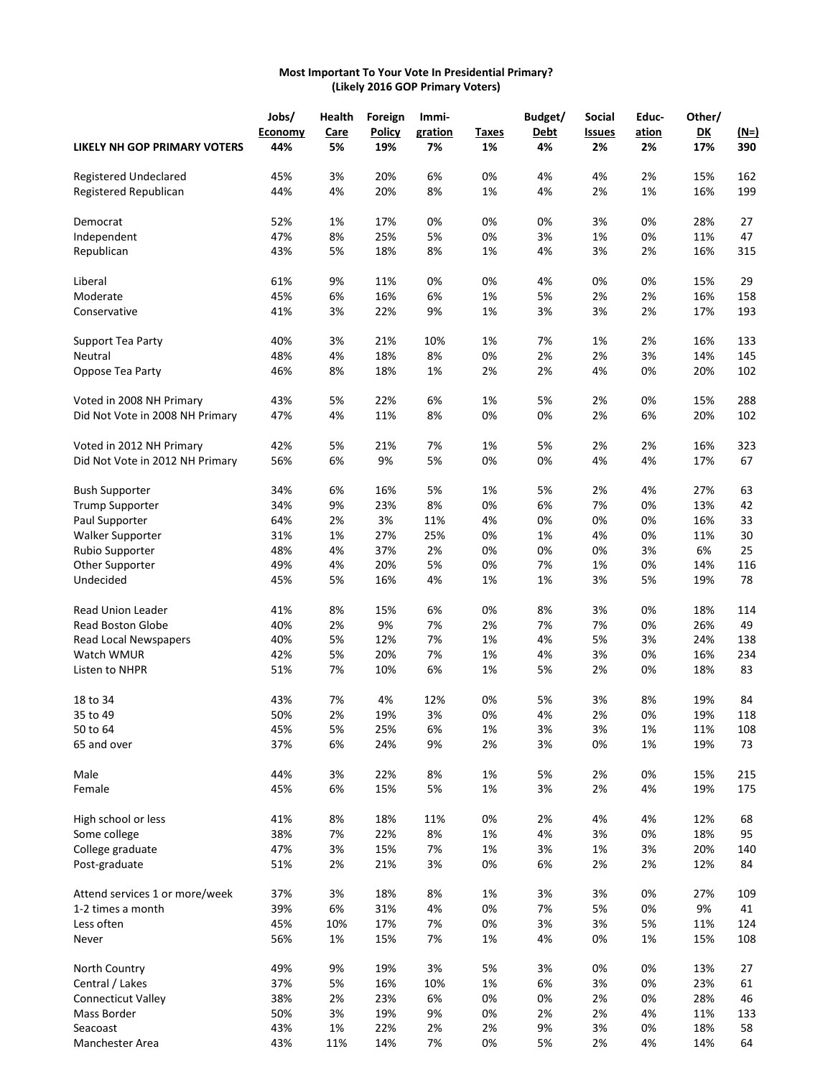#### **Most Important To Your Vote In Presidential Primary? (Likely 2016 GOP Primary Voters)**

|                                 | Jobs/   | Health | Foreign       | Immi-   |       | Budget/     | Social        | Educ- | Other/         |             |
|---------------------------------|---------|--------|---------------|---------|-------|-------------|---------------|-------|----------------|-------------|
|                                 | Economy | Care   | <b>Policy</b> | gration | Taxes | <b>Debt</b> | <b>Issues</b> | ation | D <sub>K</sub> | <u>(N=)</u> |
| LIKELY NH GOP PRIMARY VOTERS    | 44%     | 5%     | 19%           | 7%      | 1%    | 4%          | 2%            | 2%    | 17%            | 390         |
| Registered Undeclared           | 45%     | 3%     | 20%           | 6%      | 0%    | 4%          | 4%            | 2%    | 15%            | 162         |
| Registered Republican           | 44%     | 4%     | 20%           | 8%      | 1%    | 4%          | 2%            | 1%    | 16%            | 199         |
| Democrat                        | 52%     | 1%     | 17%           | 0%      | 0%    | 0%          | 3%            | 0%    | 28%            | 27          |
| Independent                     | 47%     | 8%     | 25%           | 5%      | 0%    | 3%          | 1%            | 0%    | 11%            | 47          |
| Republican                      | 43%     | 5%     | 18%           | 8%      | 1%    | 4%          | 3%            | 2%    | 16%            | 315         |
| Liberal                         | 61%     | 9%     | 11%           | 0%      | 0%    | 4%          | 0%            | 0%    | 15%            | 29          |
| Moderate                        | 45%     | 6%     | 16%           | 6%      | 1%    | 5%          | 2%            | 2%    | 16%            | 158         |
| Conservative                    | 41%     | 3%     | 22%           | 9%      | 1%    | 3%          | 3%            | 2%    | 17%            | 193         |
| Support Tea Party               | 40%     | 3%     | 21%           | 10%     | 1%    | 7%          | 1%            | 2%    | 16%            | 133         |
| Neutral                         | 48%     | 4%     | 18%           | 8%      | 0%    | 2%          | 2%            | 3%    | 14%            | 145         |
| Oppose Tea Party                | 46%     | 8%     | 18%           | 1%      | 2%    | 2%          | 4%            | 0%    | 20%            | 102         |
| Voted in 2008 NH Primary        | 43%     | 5%     | 22%           | 6%      | 1%    | 5%          | 2%            | 0%    | 15%            | 288         |
| Did Not Vote in 2008 NH Primary | 47%     | 4%     | 11%           | 8%      | 0%    | 0%          | 2%            | 6%    | 20%            | 102         |
| Voted in 2012 NH Primary        | 42%     | 5%     | 21%           | 7%      | 1%    | 5%          | 2%            | 2%    | 16%            | 323         |
| Did Not Vote in 2012 NH Primary | 56%     | 6%     | 9%            | 5%      | 0%    | 0%          | 4%            | 4%    | 17%            | 67          |
| <b>Bush Supporter</b>           | 34%     | 6%     | 16%           | 5%      | 1%    | 5%          | 2%            | 4%    | 27%            | 63          |
| <b>Trump Supporter</b>          | 34%     | 9%     | 23%           | 8%      | 0%    | 6%          | 7%            | 0%    | 13%            | 42          |
| Paul Supporter                  | 64%     | 2%     | 3%            | 11%     | 4%    | 0%          | 0%            | 0%    | 16%            | 33          |
| Walker Supporter                | 31%     | 1%     | 27%           | 25%     | 0%    | 1%          | 4%            | 0%    | 11%            | 30          |
| Rubio Supporter                 | 48%     | 4%     | 37%           | 2%      | 0%    | 0%          | 0%            | 3%    | 6%             | 25          |
| Other Supporter                 | 49%     | 4%     | 20%           | 5%      | 0%    | 7%          | 1%            | 0%    | 14%            | 116         |
| Undecided                       | 45%     | 5%     | 16%           | 4%      | 1%    | 1%          | 3%            | 5%    | 19%            | 78          |
| Read Union Leader               | 41%     | 8%     | 15%           | 6%      | 0%    | 8%          | 3%            | 0%    | 18%            | 114         |
| Read Boston Globe               | 40%     | 2%     | 9%            | 7%      | 2%    | 7%          | 7%            | 0%    | 26%            | 49          |
| <b>Read Local Newspapers</b>    | 40%     | 5%     | 12%           | 7%      | 1%    | 4%          | 5%            | 3%    | 24%            | 138         |
| Watch WMUR                      | 42%     | 5%     | 20%           | 7%      | 1%    | 4%          | 3%            | 0%    | 16%            | 234         |
| Listen to NHPR                  | 51%     | 7%     | 10%           | 6%      | 1%    | 5%          | 2%            | 0%    | 18%            | 83          |
| 18 to 34                        | 43%     | 7%     | 4%            | 12%     | 0%    | 5%          | 3%            | 8%    | 19%            | 84          |
| 35 to 49                        | 50%     | 2%     | 19%           | 3%      | 0%    | 4%          | 2%            | 0%    | 19%            | 118         |
| 50 to 64                        | 45%     | 5%     | 25%           | 6%      | $1\%$ | 3%          | 3%            | 1%    | 11%            | 108         |
| 65 and over                     | 37%     | 6%     | 24%           | 9%      | 2%    | 3%          | 0%            | 1%    | 19%            | 73          |
| Male                            | 44%     | 3%     | 22%           | 8%      | 1%    | 5%          | 2%            | 0%    | 15%            | 215         |
| Female                          | 45%     | 6%     | 15%           | 5%      | 1%    | 3%          | 2%            | 4%    | 19%            | 175         |
| High school or less             | 41%     | 8%     | 18%           | 11%     | 0%    | 2%          | 4%            | 4%    | 12%            | 68          |
| Some college                    | 38%     | 7%     | 22%           | 8%      | 1%    | 4%          | 3%            | 0%    | 18%            | 95          |
| College graduate                | 47%     | 3%     | 15%           | 7%      | $1\%$ | 3%          | 1%            | 3%    | 20%            | 140         |
| Post-graduate                   | 51%     | 2%     | 21%           | 3%      | 0%    | 6%          | 2%            | 2%    | 12%            | 84          |
| Attend services 1 or more/week  | 37%     | 3%     | 18%           | 8%      | 1%    | 3%          | 3%            | 0%    | 27%            | 109         |
| 1-2 times a month               | 39%     | 6%     | 31%           | 4%      | 0%    | 7%          | 5%            | 0%    | 9%             | 41          |
| Less often                      | 45%     | 10%    | 17%           | 7%      | 0%    | 3%          | 3%            | 5%    | 11%            | 124         |
| Never                           | 56%     | 1%     | 15%           | 7%      | 1%    | 4%          | 0%            | 1%    | 15%            | 108         |
| North Country                   | 49%     | 9%     | 19%           | 3%      | 5%    | 3%          | 0%            | 0%    | 13%            | 27          |
| Central / Lakes                 | 37%     | 5%     | 16%           | 10%     | 1%    | 6%          | 3%            | 0%    | 23%            | 61          |
| Connecticut Valley              | 38%     | 2%     | 23%           | 6%      | 0%    | 0%          | 2%            | 0%    | 28%            | 46          |
| Mass Border                     | 50%     | 3%     | 19%           | 9%      | 0%    | 2%          | 2%            | 4%    | 11%            | 133         |
| Seacoast                        | 43%     | 1%     | 22%           | 2%      | 2%    | 9%          | 3%            | 0%    | 18%            | 58          |
| Manchester Area                 | 43%     | 11%    | 14%           | 7%      | 0%    | 5%          | 2%            | 4%    | 14%            | 64          |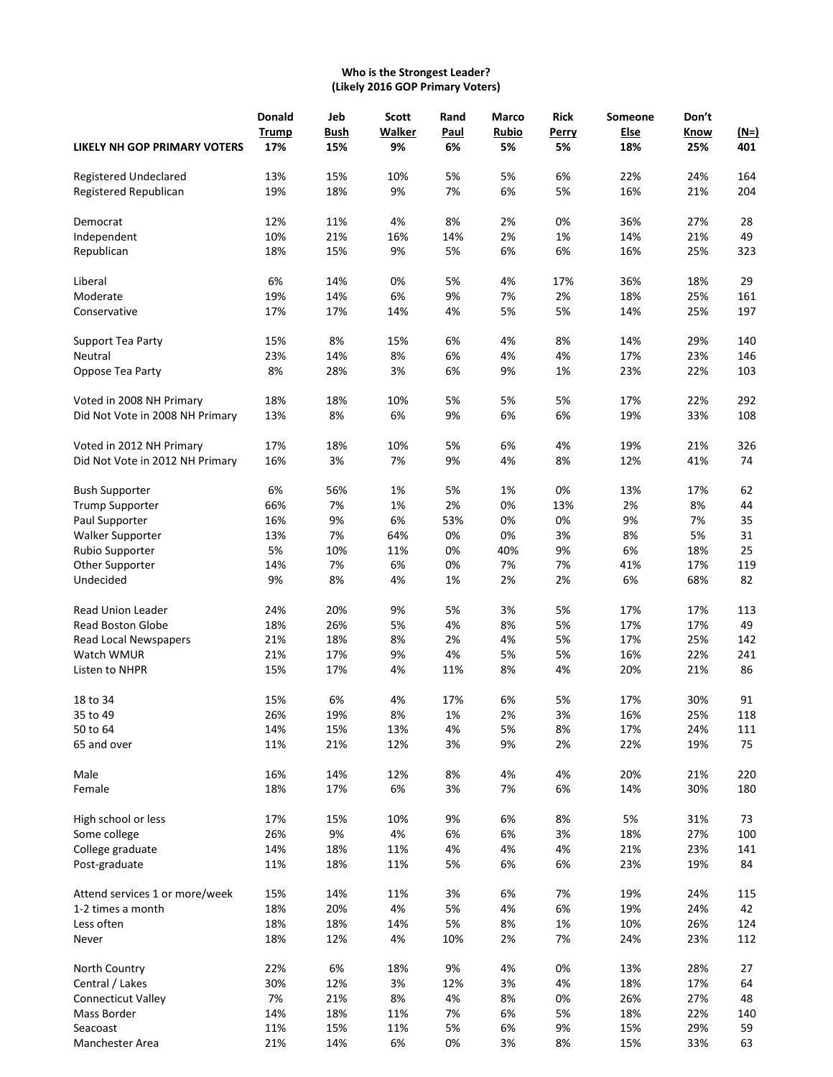# **Who is the Strongest Leader? (Likely 2016 GOP Primary Voters)**

|                                 | <b>Donald</b> | Jeb         | Scott<br>Rand<br><b>Walker</b><br>Paul | Marco<br>Rubio | <b>Rick</b> | Someone | Don't |      |             |
|---------------------------------|---------------|-------------|----------------------------------------|----------------|-------------|---------|-------|------|-------------|
|                                 | Trump         | <b>Bush</b> |                                        |                |             | Perry   | Else  | Know | <u>(N=)</u> |
| LIKELY NH GOP PRIMARY VOTERS    | 17%           | 15%         | 9%                                     | 6%             | 5%          | 5%      | 18%   | 25%  | 401         |
| Registered Undeclared           | 13%           | 15%         | 10%                                    | 5%             | 5%          | 6%      | 22%   | 24%  | 164         |
| Registered Republican           | 19%           | 18%         | 9%                                     | 7%             | 6%          | 5%      | 16%   | 21%  | 204         |
| Democrat                        | 12%           | 11%         | 4%                                     | 8%             | 2%          | 0%      | 36%   | 27%  | 28          |
| Independent                     | 10%           | 21%         | 16%                                    | 14%            | 2%          | 1%      | 14%   | 21%  | 49          |
| Republican                      | 18%           | 15%         | 9%                                     | 5%             | 6%          | 6%      | 16%   | 25%  | 323         |
| Liberal                         | 6%            | 14%         | 0%                                     | 5%             | 4%          | 17%     | 36%   | 18%  | 29          |
| Moderate                        | 19%           | 14%         | 6%                                     | 9%             | 7%          | 2%      | 18%   | 25%  | 161         |
| Conservative                    | 17%           | 17%         | 14%                                    | 4%             | 5%          | 5%      | 14%   | 25%  | 197         |
| Support Tea Party               | 15%           | 8%          | 15%                                    | 6%             | 4%          | 8%      | 14%   | 29%  | 140         |
| Neutral                         | 23%           | 14%         | 8%                                     | 6%             | 4%          | 4%      | 17%   | 23%  | 146         |
| Oppose Tea Party                | 8%            | 28%         | 3%                                     | 6%             | 9%          | 1%      | 23%   | 22%  | 103         |
| Voted in 2008 NH Primary        | 18%           | 18%         | 10%                                    | 5%             | 5%          | 5%      | 17%   | 22%  | 292         |
| Did Not Vote in 2008 NH Primary | 13%           | 8%          | 6%                                     | 9%             | 6%          | 6%      | 19%   | 33%  | 108         |
| Voted in 2012 NH Primary        | 17%           | 18%         | 10%                                    | 5%             | 6%          | 4%      | 19%   | 21%  | 326         |
| Did Not Vote in 2012 NH Primary | 16%           | 3%          | 7%                                     | 9%             | 4%          | 8%      | 12%   | 41%  | 74          |
| <b>Bush Supporter</b>           | 6%            | 56%         | 1%                                     | 5%             | 1%          | 0%      | 13%   | 17%  | 62          |
| <b>Trump Supporter</b>          | 66%           | 7%          | 1%                                     | 2%             | 0%          | 13%     | 2%    | 8%   | 44          |
| Paul Supporter                  | 16%           | 9%          | 6%                                     | 53%            | 0%          | 0%      | 9%    | 7%   | 35          |
| <b>Walker Supporter</b>         | 13%           | 7%          | 64%                                    | 0%             | 0%          | 3%      | 8%    | 5%   | 31          |
| Rubio Supporter                 | 5%            | 10%         | 11%                                    | 0%             | 40%         | 9%      | 6%    | 18%  | 25          |
| Other Supporter                 | 14%           | 7%          | 6%                                     | 0%             | 7%          | 7%      | 41%   | 17%  | 119         |
| Undecided                       | 9%            | 8%          | 4%                                     | 1%             | 2%          | 2%      | 6%    | 68%  | 82          |
| Read Union Leader               | 24%           | 20%         | 9%                                     | 5%             | 3%          | 5%      | 17%   | 17%  | 113         |
| Read Boston Globe               | 18%           | 26%         | 5%                                     | 4%             | 8%          | 5%      | 17%   | 17%  | 49          |
| <b>Read Local Newspapers</b>    | 21%           | 18%         | 8%                                     | 2%             | 4%          | 5%      | 17%   | 25%  | 142         |
| Watch WMUR                      | 21%           | 17%         | 9%                                     | 4%             | 5%          | 5%      | 16%   | 22%  | 241         |
| Listen to NHPR                  | 15%           | 17%         | 4%                                     | 11%            | 8%          | 4%      | 20%   | 21%  | 86          |
| 18 to 34                        | 15%           | 6%          | 4%                                     | 17%            | 6%          | 5%      | 17%   | 30%  | 91          |
| 35 to 49                        | 26%           | 19%         | 8%                                     | 1%             | 2%          | 3%      | 16%   | 25%  | 118         |
| 50 to 64                        | 14%           | 15%         | 13%                                    | 4%             | 5%          | 8%      | 17%   | 24%  | 111         |
| 65 and over                     | 11%           | 21%         | 12%                                    | 3%             | 9%          | 2%      | 22%   | 19%  | 75          |
| Male                            | 16%           | 14%         | 12%                                    | 8%             | 4%          | 4%      | 20%   | 21%  | 220         |
| Female                          | 18%           | 17%         | 6%                                     | 3%             | 7%          | 6%      | 14%   | 30%  | 180         |
| High school or less             | 17%           | 15%         | 10%                                    | 9%             | 6%          | 8%      | 5%    | 31%  | 73          |
| Some college                    | 26%           | 9%          | 4%                                     | 6%             | 6%          | 3%      | 18%   | 27%  | 100         |
| College graduate                | 14%           | 18%         | 11%                                    | 4%             | 4%          | 4%      | 21%   | 23%  | 141         |
| Post-graduate                   | 11%           | 18%         | 11%                                    | 5%             | 6%          | 6%      | 23%   | 19%  | 84          |
| Attend services 1 or more/week  | 15%           | 14%         | 11%                                    | 3%             | 6%          | 7%      | 19%   | 24%  | 115         |
| 1-2 times a month               | 18%           | 20%         | 4%                                     | 5%             | 4%          | 6%      | 19%   | 24%  | 42          |
| Less often                      | 18%           | 18%         | 14%                                    | 5%             | 8%          | 1%      | 10%   | 26%  | 124         |
| Never                           | 18%           | 12%         | 4%                                     | 10%            | 2%          | 7%      | 24%   | 23%  | 112         |
| North Country                   | 22%           | 6%          | 18%                                    | 9%             | 4%          | 0%      | 13%   | 28%  | 27          |
| Central / Lakes                 | 30%           | 12%         | 3%                                     | 12%            | 3%          | 4%      | 18%   | 17%  | 64          |
| Connecticut Valley              | 7%            | 21%         | 8%                                     | 4%             | 8%          | 0%      | 26%   | 27%  | 48          |
| Mass Border                     | 14%           | 18%         | 11%                                    | 7%             | 6%          | 5%      | 18%   | 22%  | 140         |
| Seacoast                        | 11%           | 15%         | 11%                                    | 5%             | 6%          | 9%      | 15%   | 29%  | 59          |
| Manchester Area                 | 21%           | 14%         | 6%                                     | 0%             | 3%          | 8%      | 15%   | 33%  | 63          |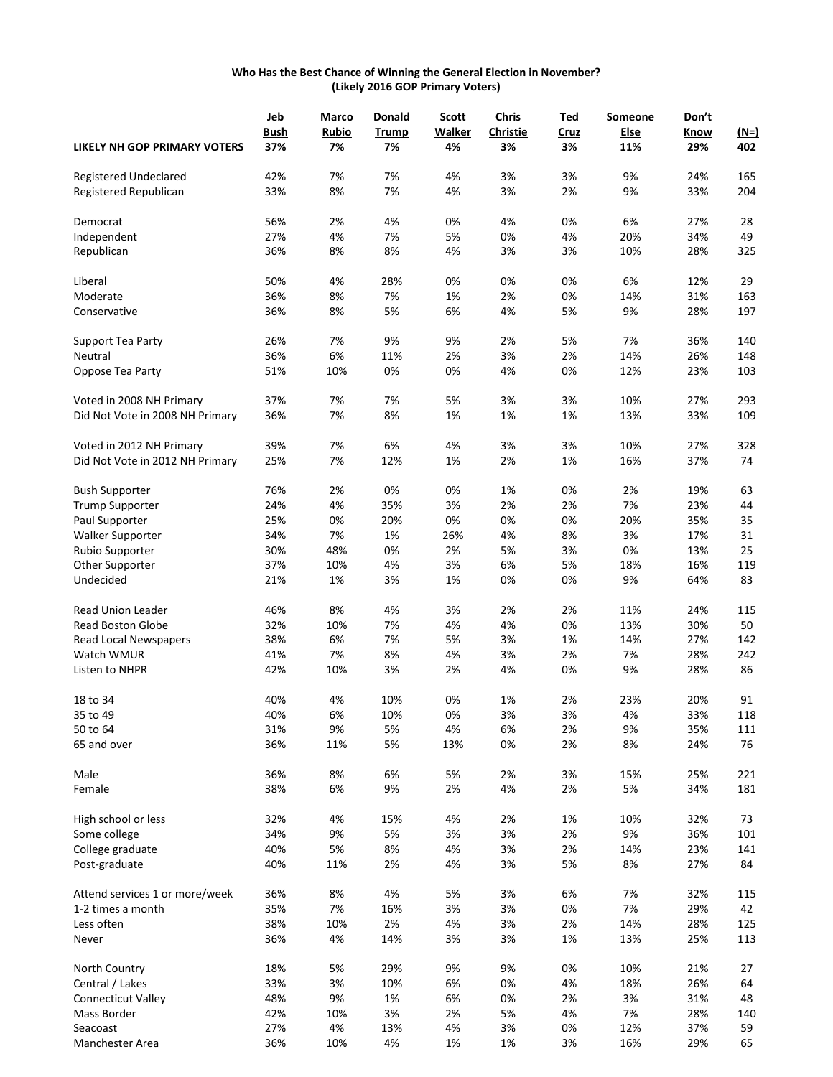#### **Who Has the Best Chance of Winning the General Election in November? (Likely 2016 GOP Primary Voters)**

|                                 | Jeb         | Marco        | <b>Donald</b> | <b>Scott</b> | Chris           | Ted  | Someone | Don't |             |
|---------------------------------|-------------|--------------|---------------|--------------|-----------------|------|---------|-------|-------------|
|                                 | <b>Bush</b> | <b>Rubio</b> | <b>Trump</b>  | Walker       | <b>Christie</b> | Cruz | Else    | Know  | <u>(N=)</u> |
| LIKELY NH GOP PRIMARY VOTERS    | 37%         | 7%           | 7%            | 4%           | 3%              | 3%   | 11%     | 29%   | 402         |
| Registered Undeclared           | 42%         | 7%           | 7%            | 4%           | 3%              | 3%   | 9%      | 24%   | 165         |
| Registered Republican           | 33%         | 8%           | 7%            | 4%           | 3%              | 2%   | 9%      | 33%   | 204         |
| Democrat                        | 56%         | 2%           | 4%            | 0%           | 4%              | 0%   | 6%      | 27%   | 28          |
| Independent                     | 27%         | 4%           | 7%            | 5%           | 0%              | 4%   | 20%     | 34%   | 49          |
| Republican                      | 36%         | 8%           | 8%            | 4%           | 3%              | 3%   | 10%     | 28%   | 325         |
| Liberal                         | 50%         | 4%           | 28%           | 0%           | 0%              | 0%   | 6%      | 12%   | 29          |
| Moderate                        | 36%         | 8%           | 7%            | 1%           | 2%              | 0%   | 14%     | 31%   | 163         |
| Conservative                    | 36%         | 8%           | 5%            | 6%           | 4%              | 5%   | 9%      | 28%   | 197         |
| Support Tea Party               | 26%         | 7%           | 9%            | 9%           | 2%              | 5%   | 7%      | 36%   | 140         |
| Neutral                         | 36%         | 6%           | 11%           | 2%           | 3%              | 2%   | 14%     | 26%   | 148         |
| Oppose Tea Party                | 51%         | 10%          | 0%            | 0%           | 4%              | 0%   | 12%     | 23%   | 103         |
| Voted in 2008 NH Primary        | 37%         | 7%           | 7%            | 5%           | 3%              | 3%   | 10%     | 27%   | 293         |
| Did Not Vote in 2008 NH Primary | 36%         | 7%           | 8%            | 1%           | 1%              | 1%   | 13%     | 33%   | 109         |
| Voted in 2012 NH Primary        | 39%         | 7%           | 6%            | 4%           | 3%              | 3%   | 10%     | 27%   | 328         |
| Did Not Vote in 2012 NH Primary | 25%         | 7%           | 12%           | 1%           | 2%              | 1%   | 16%     | 37%   | 74          |
| <b>Bush Supporter</b>           | 76%         | 2%           | 0%            | 0%           | 1%              | 0%   | 2%      | 19%   | 63          |
| <b>Trump Supporter</b>          | 24%         | 4%           | 35%           | 3%           | 2%              | 2%   | 7%      | 23%   | 44          |
| Paul Supporter                  | 25%         | 0%           | 20%           | 0%           | 0%              | 0%   | 20%     | 35%   | 35          |
| Walker Supporter                | 34%         | 7%           | 1%            | 26%          | 4%              | 8%   | 3%      | 17%   | 31          |
| Rubio Supporter                 | 30%         | 48%          | 0%            | 2%           | 5%              | 3%   | 0%      | 13%   | 25          |
| Other Supporter                 | 37%         | 10%          | 4%            | 3%           | 6%              | 5%   | 18%     | 16%   | 119         |
| Undecided                       | 21%         | 1%           | 3%            | 1%           | 0%              | 0%   | 9%      | 64%   | 83          |
| <b>Read Union Leader</b>        | 46%         | 8%           | 4%            | 3%           | 2%              | 2%   | 11%     | 24%   | 115         |
| <b>Read Boston Globe</b>        | 32%         | 10%          | 7%            | 4%           | 4%              | 0%   | 13%     | 30%   | 50          |
| Read Local Newspapers           | 38%         | 6%           | 7%            | 5%           | 3%              | 1%   | 14%     | 27%   | 142         |
| Watch WMUR                      | 41%         | 7%           | 8%            | 4%           | 3%              | 2%   | 7%      | 28%   | 242         |
| Listen to NHPR                  | 42%         | 10%          | 3%            | 2%           | 4%              | 0%   | 9%      | 28%   | 86          |
| 18 to 34                        | 40%         | 4%           | 10%           | 0%           | 1%              | 2%   | 23%     | 20%   | 91          |
| 35 to 49                        | 40%         | 6%           | 10%           | 0%           | 3%              | 3%   | 4%      | 33%   | 118         |
| 50 to 64                        | 31%         | 9%           | 5%            | 4%           | 6%              | 2%   | 9%      | 35%   | 111         |
| 65 and over                     | 36%         | 11%          | 5%            | 13%          | 0%              | 2%   | 8%      | 24%   | 76          |
| Male                            | 36%         | 8%           | 6%            | 5%           | 2%              | 3%   | 15%     | 25%   | 221         |
| Female                          | 38%         | 6%           | 9%            | 2%           | 4%              | 2%   | 5%      | 34%   | 181         |
| High school or less             | 32%         | 4%           | 15%           | 4%           | 2%              | 1%   | 10%     | 32%   | 73          |
| Some college                    | 34%         | 9%           | 5%            | 3%           | 3%              | 2%   | 9%      | 36%   | 101         |
| College graduate                | 40%         | 5%           | 8%            | 4%           | 3%              | 2%   | 14%     | 23%   | 141         |
| Post-graduate                   | 40%         | 11%          | 2%            | 4%           | 3%              | 5%   | 8%      | 27%   | 84          |
| Attend services 1 or more/week  | 36%         | 8%           | 4%            | 5%           | 3%              | 6%   | 7%      | 32%   | 115         |
| 1-2 times a month               | 35%         | 7%           | 16%           | 3%           | 3%              | 0%   | 7%      | 29%   | 42          |
| Less often                      | 38%         | 10%          | 2%            | 4%           | 3%              | 2%   | 14%     | 28%   | 125         |
| Never                           | 36%         | 4%           | 14%           | 3%           | 3%              | 1%   | 13%     | 25%   | 113         |
| North Country                   | 18%         | 5%           | 29%           | 9%           | 9%              | 0%   | 10%     | 21%   | 27          |
| Central / Lakes                 | 33%         | 3%           | 10%           | 6%           | 0%              | 4%   | 18%     | 26%   | 64          |
| Connecticut Valley              | 48%         | 9%           | 1%            | 6%           | 0%              | 2%   | 3%      | 31%   | 48          |
| Mass Border                     | 42%         | 10%          | 3%            | 2%           | 5%              | 4%   | 7%      | 28%   | 140         |
| Seacoast                        | 27%         | 4%           | 13%           | 4%           | 3%              | 0%   | 12%     | 37%   | 59          |
| Manchester Area                 | 36%         | 10%          | 4%            | $1\%$        | 1%              | 3%   | 16%     | 29%   | 65          |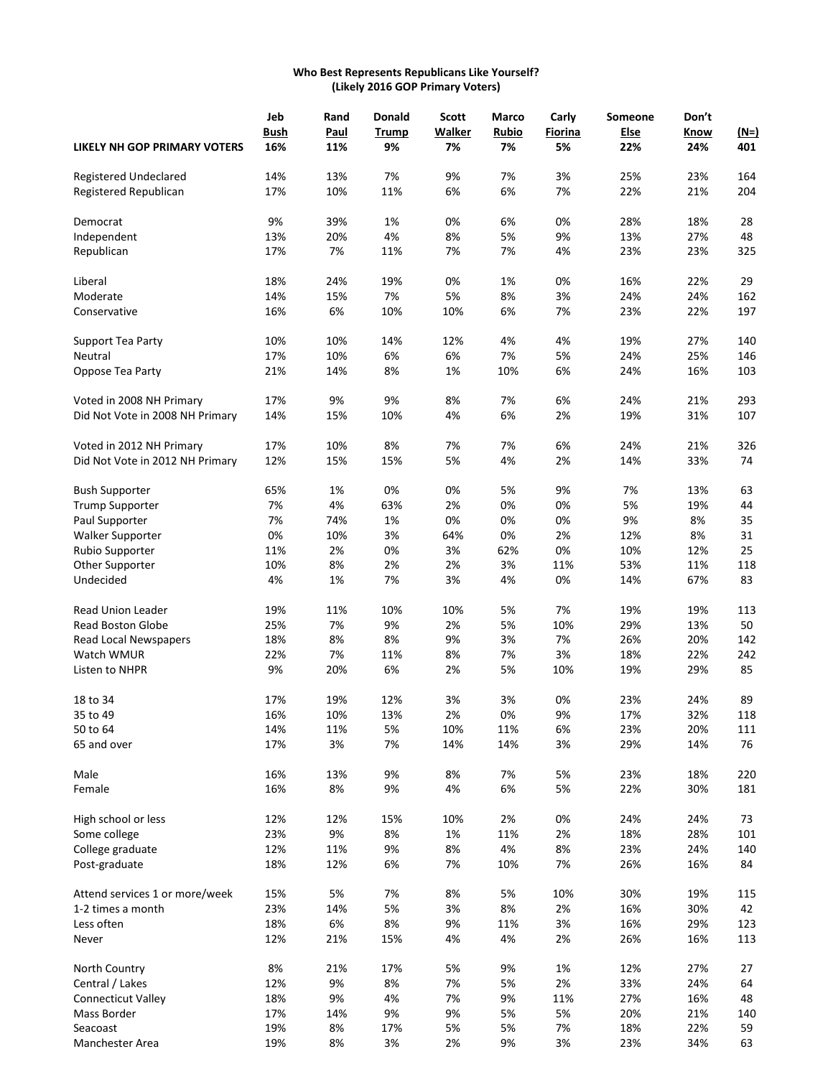#### **Who Best Represents Republicans Like Yourself? (Likely 2016 GOP Primary Voters)**

|                                 | Jeb         | Rand | <b>Donald</b> | <b>Scott</b>  | <b>Marco</b> | Carly   | Someone | Don't |             |
|---------------------------------|-------------|------|---------------|---------------|--------------|---------|---------|-------|-------------|
|                                 | <b>Bush</b> | Paul | <b>Trump</b>  | <b>Walker</b> | Rubio        | Fiorina | Else    | Know  | <u>(N=)</u> |
| LIKELY NH GOP PRIMARY VOTERS    | 16%         | 11%  | 9%            | 7%            | 7%           | 5%      | 22%     | 24%   | 401         |
| Registered Undeclared           | 14%         | 13%  | 7%            | 9%            | 7%           | 3%      | 25%     | 23%   | 164         |
| Registered Republican           | 17%         | 10%  | 11%           | 6%            | 6%           | 7%      | 22%     | 21%   | 204         |
| Democrat                        | 9%          | 39%  | 1%            | 0%            | 6%           | 0%      | 28%     | 18%   | 28          |
| Independent                     | 13%         | 20%  | 4%            | 8%            | 5%           | 9%      | 13%     | 27%   | 48          |
| Republican                      | 17%         | 7%   | 11%           | 7%            | 7%           | 4%      | 23%     | 23%   | 325         |
| Liberal                         | 18%         | 24%  | 19%           | 0%            | 1%           | 0%      | 16%     | 22%   | 29          |
| Moderate                        | 14%         | 15%  | 7%            | 5%            | 8%           | 3%      | 24%     | 24%   | 162         |
| Conservative                    | 16%         | 6%   | 10%           | 10%           | 6%           | 7%      | 23%     | 22%   | 197         |
| Support Tea Party               | 10%         | 10%  | 14%           | 12%           | 4%           | 4%      | 19%     | 27%   | 140         |
| Neutral                         | 17%         | 10%  | 6%            | 6%            | 7%           | 5%      | 24%     | 25%   | 146         |
| Oppose Tea Party                | 21%         | 14%  | 8%            | 1%            | 10%          | 6%      | 24%     | 16%   | 103         |
| Voted in 2008 NH Primary        | 17%         | 9%   | 9%            | 8%            | 7%           | 6%      | 24%     | 21%   | 293         |
| Did Not Vote in 2008 NH Primary | 14%         | 15%  | 10%           | 4%            | 6%           | 2%      | 19%     | 31%   | 107         |
| Voted in 2012 NH Primary        | 17%         | 10%  | 8%            | 7%            | 7%           | 6%      | 24%     | 21%   | 326         |
| Did Not Vote in 2012 NH Primary | 12%         | 15%  | 15%           | 5%            | 4%           | 2%      | 14%     | 33%   | 74          |
| <b>Bush Supporter</b>           | 65%         | 1%   | 0%            | 0%            | 5%           | 9%      | 7%      | 13%   | 63          |
| <b>Trump Supporter</b>          | 7%          | 4%   | 63%           | 2%            | 0%           | 0%      | 5%      | 19%   | 44          |
| Paul Supporter                  | 7%          | 74%  | 1%            | 0%            | 0%           | 0%      | 9%      | 8%    | 35          |
| <b>Walker Supporter</b>         | 0%          | 10%  | 3%            | 64%           | 0%           | 2%      | 12%     | 8%    | 31          |
| Rubio Supporter                 | 11%         | 2%   | 0%            | 3%            | 62%          | 0%      | 10%     | 12%   | 25          |
| Other Supporter                 | 10%         | 8%   | 2%            | 2%            | 3%           | 11%     | 53%     | 11%   | 118         |
| Undecided                       | 4%          | 1%   | 7%            | 3%            | 4%           | 0%      | 14%     | 67%   | 83          |
| Read Union Leader               | 19%         | 11%  | 10%           | 10%           | 5%           | 7%      | 19%     | 19%   | 113         |
| <b>Read Boston Globe</b>        | 25%         | 7%   | 9%            | 2%            | 5%           | 10%     | 29%     | 13%   | 50          |
| <b>Read Local Newspapers</b>    | 18%         | 8%   | 8%            | 9%            | 3%           | 7%      | 26%     | 20%   | 142         |
| Watch WMUR                      | 22%         | 7%   | 11%           | 8%            | 7%           | 3%      | 18%     | 22%   | 242         |
| Listen to NHPR                  | 9%          | 20%  | 6%            | 2%            | 5%           | 10%     | 19%     | 29%   | 85          |
| 18 to 34                        | 17%         | 19%  | 12%           | 3%            | 3%           | 0%      | 23%     | 24%   | 89          |
| 35 to 49                        | 16%         | 10%  | 13%           | 2%            | 0%           | 9%      | 17%     | 32%   | 118         |
| 50 to 64                        | 14%         | 11%  | 5%            | 10%           | 11%          | 6%      | 23%     | 20%   | 111         |
| 65 and over                     | 17%         | 3%   | 7%            | 14%           | 14%          | 3%      | 29%     | 14%   | 76          |
| Male                            | 16%         | 13%  | 9%            | 8%            | 7%           | 5%      | 23%     | 18%   | 220         |
| Female                          | 16%         | 8%   | 9%            | 4%            | 6%           | 5%      | 22%     | 30%   | 181         |
| High school or less             | 12%         | 12%  | 15%           | 10%           | 2%           | 0%      | 24%     | 24%   | 73          |
| Some college                    | 23%         | 9%   | 8%            | 1%            | 11%          | 2%      | 18%     | 28%   | 101         |
| College graduate                | 12%         | 11%  | 9%            | 8%            | 4%           | 8%      | 23%     | 24%   | 140         |
| Post-graduate                   | 18%         | 12%  | 6%            | 7%            | 10%          | 7%      | 26%     | 16%   | 84          |
| Attend services 1 or more/week  | 15%         | 5%   | 7%            | 8%            | 5%           | 10%     | 30%     | 19%   | 115         |
| 1-2 times a month               | 23%         | 14%  | 5%            | 3%            | 8%           | 2%      | 16%     | 30%   | 42          |
| Less often                      | 18%         | 6%   | 8%            | 9%            | 11%          | 3%      | 16%     | 29%   | 123         |
| Never                           | 12%         | 21%  | 15%           | 4%            | 4%           | 2%      | 26%     | 16%   | 113         |
| North Country                   | 8%          | 21%  | 17%           | 5%            | 9%           | $1\%$   | 12%     | 27%   | 27          |
| Central / Lakes                 | 12%         | 9%   | 8%            | 7%            | 5%           | 2%      | 33%     | 24%   | 64          |
| Connecticut Valley              | 18%         | 9%   | 4%            | 7%            | 9%           | 11%     | 27%     | 16%   | 48          |
| Mass Border                     | 17%         | 14%  | 9%            | 9%            | 5%           | 5%      | 20%     | 21%   | 140         |
| Seacoast                        | 19%         | 8%   | 17%           | 5%            | 5%           | 7%      | 18%     | 22%   | 59          |
| Manchester Area                 | 19%         | 8%   | 3%            | 2%            | 9%           | 3%      | 23%     | 34%   | 63          |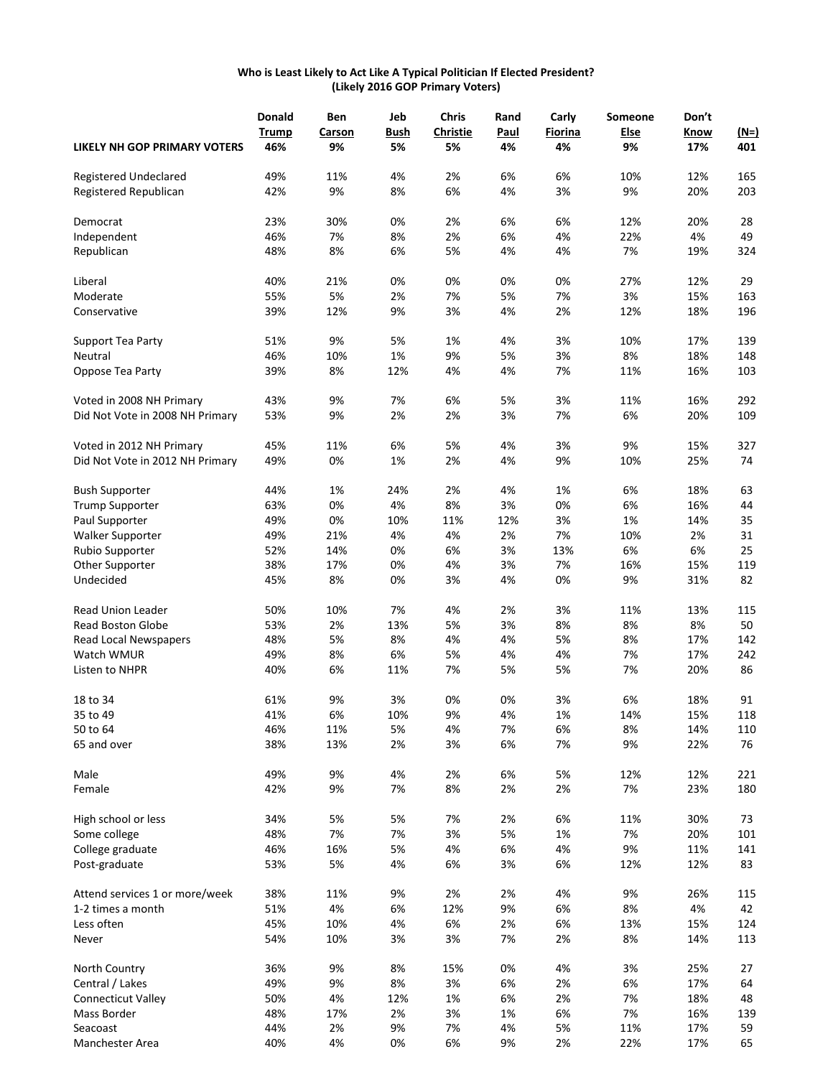#### **Who is Least Likely to Act Like A Typical Politician If Elected President? (Likely 2016 GOP Primary Voters)**

|                                 | <b>Donald</b> | Ben    | Jeb  | <b>Chris</b>    | Rand        | Carly   | Someone | Don't |             |
|---------------------------------|---------------|--------|------|-----------------|-------------|---------|---------|-------|-------------|
|                                 | <b>Trump</b>  | Carson | Bush | <b>Christie</b> | <b>Paul</b> | Fiorina | Else    | Know  | <u>(N=)</u> |
| LIKELY NH GOP PRIMARY VOTERS    | 46%           | 9%     | 5%   | 5%              | 4%          | 4%      | 9%      | 17%   | 401         |
| Registered Undeclared           | 49%           | 11%    | 4%   | 2%              | 6%          | 6%      | 10%     | 12%   | 165         |
| Registered Republican           | 42%           | 9%     | 8%   | 6%              | 4%          | 3%      | 9%      | 20%   | 203         |
| Democrat                        | 23%           | 30%    | 0%   | 2%              | 6%          | 6%      | 12%     | 20%   | 28          |
| Independent                     | 46%           | 7%     | 8%   | 2%              | 6%          | 4%      | 22%     | 4%    | 49          |
| Republican                      | 48%           | 8%     | 6%   | 5%              | 4%          | 4%      | 7%      | 19%   | 324         |
| Liberal                         | 40%           | 21%    | 0%   | 0%              | 0%          | 0%      | 27%     | 12%   | 29          |
| Moderate                        | 55%           | 5%     | 2%   | 7%              | 5%          | 7%      | 3%      | 15%   | 163         |
| Conservative                    | 39%           | 12%    | 9%   | 3%              | 4%          | 2%      | 12%     | 18%   | 196         |
| Support Tea Party               | 51%           | 9%     | 5%   | 1%              | 4%          | 3%      | 10%     | 17%   | 139         |
| Neutral                         | 46%           | 10%    | 1%   | 9%              | 5%          | 3%      | 8%      | 18%   | 148         |
| Oppose Tea Party                | 39%           | 8%     | 12%  | 4%              | 4%          | 7%      | 11%     | 16%   | 103         |
| Voted in 2008 NH Primary        | 43%           | 9%     | 7%   | 6%              | 5%          | 3%      | 11%     | 16%   | 292         |
| Did Not Vote in 2008 NH Primary | 53%           | 9%     | 2%   | 2%              | 3%          | 7%      | 6%      | 20%   | 109         |
| Voted in 2012 NH Primary        | 45%           | 11%    | 6%   | 5%              | 4%          | 3%      | 9%      | 15%   | 327         |
| Did Not Vote in 2012 NH Primary | 49%           | 0%     | 1%   | 2%              | 4%          | 9%      | 10%     | 25%   | 74          |
| <b>Bush Supporter</b>           | 44%           | 1%     | 24%  | 2%              | 4%          | 1%      | 6%      | 18%   | 63          |
| <b>Trump Supporter</b>          | 63%           | 0%     | 4%   | 8%              | 3%          | 0%      | 6%      | 16%   | 44          |
| Paul Supporter                  | 49%           | 0%     | 10%  | 11%             | 12%         | 3%      | 1%      | 14%   | 35          |
| <b>Walker Supporter</b>         | 49%           | 21%    | 4%   | 4%              | 2%          | 7%      | 10%     | 2%    | 31          |
| Rubio Supporter                 | 52%           | 14%    | 0%   | 6%              | 3%          | 13%     | 6%      | 6%    | 25          |
| Other Supporter                 | 38%           | 17%    | 0%   | 4%              | 3%          | 7%      | 16%     | 15%   | 119         |
| Undecided                       | 45%           | 8%     | 0%   | 3%              | 4%          | 0%      | 9%      | 31%   | 82          |
| <b>Read Union Leader</b>        | 50%           | 10%    | 7%   | 4%              | 2%          | 3%      | 11%     | 13%   | 115         |
| <b>Read Boston Globe</b>        | 53%           | 2%     | 13%  | 5%              | 3%          | 8%      | 8%      | 8%    | 50          |
| Read Local Newspapers           | 48%           | 5%     | 8%   | 4%              | 4%          | 5%      | 8%      | 17%   | 142         |
| Watch WMUR                      | 49%           | 8%     | 6%   | 5%              | 4%          | 4%      | 7%      | 17%   | 242         |
| Listen to NHPR                  | 40%           | 6%     | 11%  | 7%              | 5%          | 5%      | 7%      | 20%   | 86          |
| 18 to 34                        | 61%           | 9%     | 3%   | 0%              | 0%          | 3%      | 6%      | 18%   | 91          |
| 35 to 49                        | 41%           | 6%     | 10%  | 9%              | 4%          | 1%      | 14%     | 15%   | 118         |
| 50 to 64                        | 46%           | 11%    | 5%   | 4%              | 7%          | 6%      | 8%      | 14%   | 110         |
| 65 and over                     | 38%           | 13%    | 2%   | 3%              | 6%          | 7%      | 9%      | 22%   | 76          |
| Male                            | 49%           | 9%     | 4%   | 2%              | 6%          | 5%      | 12%     | 12%   | 221         |
| Female                          | 42%           | 9%     | 7%   | 8%              | 2%          | 2%      | 7%      | 23%   | 180         |
| High school or less             | 34%           | 5%     | 5%   | 7%              | 2%          | 6%      | 11%     | 30%   | 73          |
| Some college                    | 48%           | 7%     | 7%   | 3%              | 5%          | 1%      | 7%      | 20%   | 101         |
| College graduate                | 46%           | 16%    | 5%   | 4%              | 6%          | 4%      | 9%      | 11%   | 141         |
| Post-graduate                   | 53%           | 5%     | 4%   | 6%              | 3%          | 6%      | 12%     | 12%   | 83          |
| Attend services 1 or more/week  | 38%           | 11%    | 9%   | 2%              | 2%          | 4%      | 9%      | 26%   | 115         |
| 1-2 times a month               | 51%           | 4%     | 6%   | 12%             | 9%          | 6%      | 8%      | 4%    | 42          |
| Less often                      | 45%           | 10%    | 4%   | 6%              | 2%          | 6%      | 13%     | 15%   | 124         |
| Never                           | 54%           | 10%    | 3%   | 3%              | 7%          | 2%      | 8%      | 14%   | 113         |
| North Country                   | 36%           | 9%     | 8%   | 15%             | 0%          | 4%      | 3%      | 25%   | 27          |
| Central / Lakes                 | 49%           | 9%     | 8%   | 3%              | 6%          | 2%      | 6%      | 17%   | 64          |
| Connecticut Valley              | 50%           | 4%     | 12%  | 1%              | 6%          | 2%      | 7%      | 18%   | 48          |
| Mass Border                     | 48%           | 17%    | 2%   | 3%              | 1%          | 6%      | 7%      | 16%   | 139         |
|                                 |               |        |      |                 |             |         |         |       |             |
| Seacoast<br>Manchester Area     | 44%           | 2%     | 9%   | 7%              | 4%          | 5%      | 11%     | 17%   | 59          |
|                                 | 40%           | 4%     | 0%   | 6%              | 9%          | 2%      | 22%     | 17%   | 65          |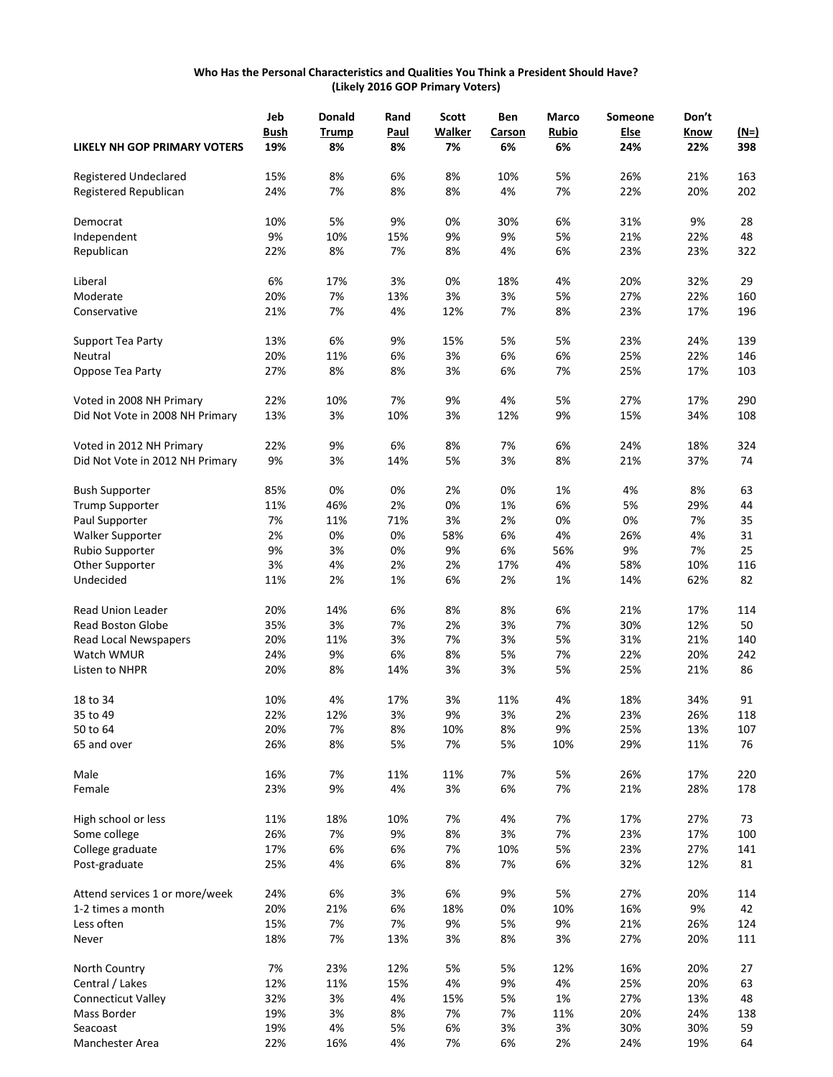#### **Who Has the Personal Characteristics and Qualities You Think a President Should Have? (Likely 2016 GOP Primary Voters)**

|                                     | Jeb         | <b>Donald</b> | Rand        | <b>Scott</b>  | Ben    | Marco | Someone | Don't |        |
|-------------------------------------|-------------|---------------|-------------|---------------|--------|-------|---------|-------|--------|
|                                     | <b>Bush</b> | <b>Trump</b>  | <b>Paul</b> | <b>Walker</b> | Carson | Rubio | Else    | Know  | $(M=)$ |
| <b>LIKELY NH GOP PRIMARY VOTERS</b> | 19%         | 8%            | 8%          | 7%            | 6%     | 6%    | 24%     | 22%   | 398    |
| Registered Undeclared               | 15%         | 8%            | 6%          | 8%            | 10%    | 5%    | 26%     | 21%   | 163    |
| Registered Republican               | 24%         | 7%            | 8%          | 8%            | 4%     | 7%    | 22%     | 20%   | 202    |
| Democrat                            | 10%         | 5%            | 9%          | 0%            | 30%    | 6%    | 31%     | 9%    | 28     |
| Independent                         | 9%          | 10%           | 15%         | 9%            | 9%     | 5%    | 21%     | 22%   | 48     |
| Republican                          | 22%         | 8%            | 7%          | 8%            | 4%     | 6%    | 23%     | 23%   | 322    |
| Liberal                             | 6%          | 17%           | 3%          | 0%            | 18%    | 4%    | 20%     | 32%   | 29     |
| Moderate                            | 20%         | 7%            | 13%         | 3%            | 3%     | 5%    | 27%     | 22%   | 160    |
| Conservative                        | 21%         | 7%            | 4%          | 12%           | 7%     | 8%    | 23%     | 17%   | 196    |
| Support Tea Party                   | 13%         | 6%            | 9%          | 15%           | 5%     | 5%    | 23%     | 24%   | 139    |
| Neutral                             | 20%         | 11%           | 6%          | 3%            | 6%     | 6%    | 25%     | 22%   | 146    |
| Oppose Tea Party                    | 27%         | 8%            | 8%          | 3%            | 6%     | 7%    | 25%     | 17%   | 103    |
| Voted in 2008 NH Primary            | 22%         | 10%           | 7%          | 9%            | 4%     | 5%    | 27%     | 17%   | 290    |
| Did Not Vote in 2008 NH Primary     | 13%         | 3%            | 10%         | 3%            | 12%    | 9%    | 15%     | 34%   | 108    |
| Voted in 2012 NH Primary            | 22%         | 9%            | 6%          | 8%            | 7%     | 6%    | 24%     | 18%   | 324    |
| Did Not Vote in 2012 NH Primary     | 9%          | 3%            | 14%         | 5%            | 3%     | 8%    | 21%     | 37%   | 74     |
| <b>Bush Supporter</b>               | 85%         | 0%            | 0%          | 2%            | 0%     | 1%    | 4%      | 8%    | 63     |
| <b>Trump Supporter</b>              | 11%         | 46%           | 2%          | 0%            | 1%     | 6%    | 5%      | 29%   | 44     |
| Paul Supporter                      | 7%          | 11%           | 71%         | 3%            | 2%     | 0%    | 0%      | 7%    | 35     |
| <b>Walker Supporter</b>             | 2%          | 0%            | 0%          | 58%           | 6%     | 4%    | 26%     | 4%    | 31     |
| Rubio Supporter                     | 9%          | 3%            | 0%          | 9%            | 6%     | 56%   | 9%      | 7%    | 25     |
| Other Supporter                     | 3%          | 4%            | 2%          | 2%            | 17%    | 4%    | 58%     | 10%   | 116    |
| Undecided                           | 11%         | 2%            | 1%          | 6%            | 2%     | 1%    | 14%     | 62%   | 82     |
| <b>Read Union Leader</b>            | 20%         | 14%           | 6%          | 8%            | 8%     | 6%    | 21%     | 17%   | 114    |
| Read Boston Globe                   | 35%         | 3%            | 7%          | 2%            | 3%     | 7%    | 30%     | 12%   | 50     |
| Read Local Newspapers               | 20%         | 11%           | 3%          | 7%            | 3%     | 5%    | 31%     | 21%   | 140    |
| Watch WMUR                          | 24%         | 9%            | 6%          | 8%            | 5%     | 7%    | 22%     | 20%   | 242    |
| Listen to NHPR                      | 20%         | 8%            | 14%         | 3%            | 3%     | 5%    | 25%     | 21%   | 86     |
| 18 to 34                            | 10%         | 4%            | 17%         | 3%            | 11%    | 4%    | 18%     | 34%   | 91     |
| 35 to 49                            | 22%         | 12%           | 3%          | 9%            | 3%     | 2%    | 23%     | 26%   | 118    |
| 50 to 64                            | 20%         | 7%            | 8%          | 10%           | 8%     | 9%    | 25%     | 13%   | 107    |
| 65 and over                         | 26%         | 8%            | 5%          | 7%            | 5%     | 10%   | 29%     | 11%   | 76     |
| Male                                | 16%         | 7%            | 11%         | 11%           | 7%     | 5%    | 26%     | 17%   | 220    |
| Female                              | 23%         | 9%            | 4%          | 3%            | 6%     | 7%    | 21%     | 28%   | 178    |
| High school or less                 | 11%         | 18%           | 10%         | 7%            | 4%     | 7%    | 17%     | 27%   | 73     |
| Some college                        | 26%         | 7%            | 9%          | 8%            | 3%     | 7%    | 23%     | 17%   | 100    |
| College graduate                    | 17%         | 6%            | 6%          | 7%            | 10%    | 5%    | 23%     | 27%   | 141    |
| Post-graduate                       | 25%         | 4%            | 6%          | 8%            | 7%     | 6%    | 32%     | 12%   | 81     |
| Attend services 1 or more/week      | 24%         | 6%            | 3%          | 6%            | 9%     | 5%    | 27%     | 20%   | 114    |
| 1-2 times a month                   | 20%         | 21%           | 6%          | 18%           | 0%     | 10%   | 16%     | 9%    | 42     |
| Less often                          | 15%         | 7%            | 7%          | 9%            | 5%     | 9%    | 21%     | 26%   | 124    |
| Never                               | 18%         | 7%            | 13%         | 3%            | 8%     | 3%    | 27%     | 20%   | 111    |
| North Country                       | 7%          | 23%           | 12%         | 5%            | 5%     | 12%   | 16%     | 20%   | 27     |
| Central / Lakes                     | 12%         | 11%           | 15%         | 4%            | 9%     | 4%    | 25%     | 20%   | 63     |
| Connecticut Valley                  | 32%         | 3%            | 4%          | 15%           | 5%     | 1%    | 27%     | 13%   | 48     |
| Mass Border                         | 19%         | 3%            | 8%          | 7%            | 7%     | 11%   | 20%     | 24%   | 138    |
| Seacoast                            | 19%         | 4%            | 5%          | 6%            | 3%     | 3%    | 30%     | 30%   | 59     |
| Manchester Area                     | 22%         | 16%           | 4%          | 7%            | 6%     | 2%    | 24%     | 19%   | 64     |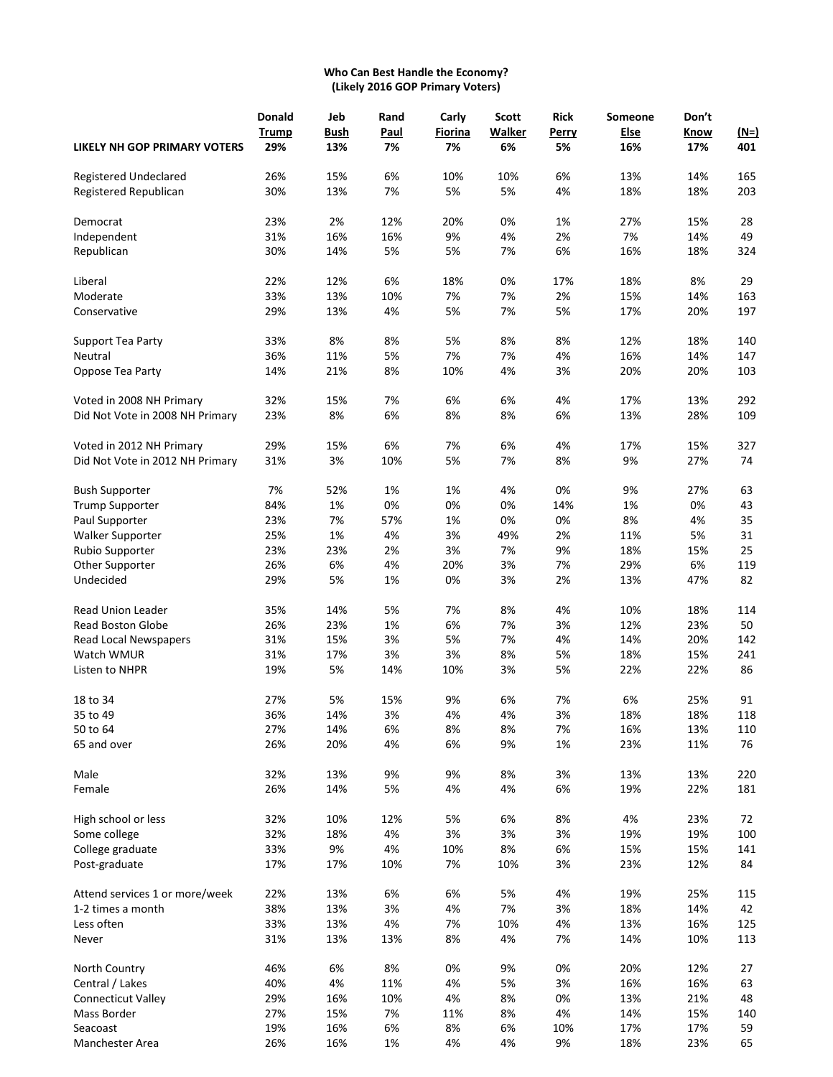# **Who Can Best Handle the Economy? (Likely 2016 GOP Primary Voters)**

|                                     | Donald       | Jeb  | Rand | Carly   | <b>Scott</b>  | <b>Rick</b> | Someone | Don't |        |
|-------------------------------------|--------------|------|------|---------|---------------|-------------|---------|-------|--------|
|                                     | <b>Trump</b> | Bush | Paul | Fiorina | <b>Walker</b> | Perry       | Else    | Know  | $(N=)$ |
| <b>LIKELY NH GOP PRIMARY VOTERS</b> | 29%          | 13%  | 7%   | 7%      | 6%            | 5%          | 16%     | 17%   | 401    |
| Registered Undeclared               | 26%          | 15%  | 6%   | 10%     | 10%           | 6%          | 13%     | 14%   | 165    |
| Registered Republican               | 30%          | 13%  | 7%   | 5%      | 5%            | 4%          | 18%     | 18%   | 203    |
| Democrat                            | 23%          | 2%   | 12%  | 20%     | 0%            | 1%          | 27%     | 15%   | 28     |
| Independent                         | 31%          | 16%  | 16%  | 9%      | 4%            | 2%          | 7%      | 14%   | 49     |
| Republican                          | 30%          | 14%  | 5%   | 5%      | 7%            | 6%          | 16%     | 18%   | 324    |
| Liberal                             | 22%          | 12%  | 6%   | 18%     | 0%            | 17%         | 18%     | 8%    | 29     |
| Moderate                            | 33%          | 13%  | 10%  | 7%      | 7%            | 2%          | 15%     | 14%   | 163    |
| Conservative                        | 29%          | 13%  | 4%   | 5%      | 7%            | 5%          | 17%     | 20%   | 197    |
| Support Tea Party                   | 33%          | 8%   | 8%   | 5%      | 8%            | 8%          | 12%     | 18%   | 140    |
| Neutral                             | 36%          | 11%  | 5%   | 7%      | 7%            | 4%          | 16%     | 14%   | 147    |
| Oppose Tea Party                    | 14%          | 21%  | 8%   | 10%     | 4%            | 3%          | 20%     | 20%   | 103    |
| Voted in 2008 NH Primary            | 32%          | 15%  | 7%   | 6%      | 6%            | 4%          | 17%     | 13%   | 292    |
| Did Not Vote in 2008 NH Primary     | 23%          | 8%   | 6%   | 8%      | 8%            | 6%          | 13%     | 28%   | 109    |
| Voted in 2012 NH Primary            | 29%          | 15%  | 6%   | 7%      | 6%            | 4%          | 17%     | 15%   | 327    |
| Did Not Vote in 2012 NH Primary     | 31%          | 3%   | 10%  | 5%      | 7%            | 8%          | 9%      | 27%   | 74     |
| <b>Bush Supporter</b>               | 7%           | 52%  | 1%   | 1%      | 4%            | 0%          | 9%      | 27%   | 63     |
| <b>Trump Supporter</b>              | 84%          | 1%   | 0%   | 0%      | 0%            | 14%         | 1%      | 0%    | 43     |
| Paul Supporter                      | 23%          | 7%   | 57%  | 1%      | 0%            | 0%          | 8%      | 4%    | 35     |
| <b>Walker Supporter</b>             | 25%          | 1%   | 4%   | 3%      | 49%           | 2%          | 11%     | 5%    | 31     |
| Rubio Supporter                     | 23%          | 23%  | 2%   | 3%      | 7%            | 9%          | 18%     | 15%   | 25     |
| Other Supporter                     | 26%          | 6%   | 4%   | 20%     | 3%            | 7%          | 29%     | 6%    | 119    |
| Undecided                           | 29%          | 5%   | 1%   | 0%      | 3%            | 2%          | 13%     | 47%   | 82     |
| <b>Read Union Leader</b>            | 35%          | 14%  | 5%   | 7%      | 8%            | 4%          | 10%     | 18%   | 114    |
| Read Boston Globe                   | 26%          | 23%  | 1%   | 6%      | 7%            | 3%          | 12%     | 23%   | 50     |
| Read Local Newspapers               | 31%          | 15%  | 3%   | 5%      | 7%            | 4%          | 14%     | 20%   | 142    |
| Watch WMUR                          | 31%          | 17%  | 3%   | 3%      | 8%            | 5%          | 18%     | 15%   | 241    |
| Listen to NHPR                      | 19%          | 5%   | 14%  | 10%     | 3%            | 5%          | 22%     | 22%   | 86     |
| 18 to 34                            | 27%          | 5%   | 15%  | 9%      | 6%            | 7%          | 6%      | 25%   | 91     |
| 35 to 49                            | 36%          | 14%  | 3%   | 4%      | 4%            | 3%          | 18%     | 18%   | 118    |
| 50 to 64                            | 27%          | 14%  | 6%   | 8%      | 8%            | 7%          | 16%     | 13%   | 110    |
| 65 and over                         | 26%          | 20%  | 4%   | 6%      | 9%            | 1%          | 23%     | 11%   | 76     |
| Male                                | 32%          | 13%  | 9%   | 9%      | 8%            | 3%          | 13%     | 13%   | 220    |
| Female                              | 26%          | 14%  | 5%   | 4%      | 4%            | 6%          | 19%     | 22%   | 181    |
| High school or less                 | 32%          | 10%  | 12%  | 5%      | 6%            | 8%          | 4%      | 23%   | 72     |
| Some college                        | 32%          | 18%  | 4%   | 3%      | 3%            | 3%          | 19%     | 19%   | 100    |
| College graduate                    | 33%          | 9%   | 4%   | 10%     | 8%            | 6%          | 15%     | 15%   | 141    |
| Post-graduate                       | 17%          | 17%  | 10%  | 7%      | 10%           | 3%          | 23%     | 12%   | 84     |
| Attend services 1 or more/week      | 22%          | 13%  | 6%   | 6%      | 5%            | 4%          | 19%     | 25%   | 115    |
| 1-2 times a month                   | 38%          | 13%  | 3%   | 4%      | 7%            | 3%          | 18%     | 14%   | 42     |
| Less often                          | 33%          | 13%  | 4%   | 7%      | 10%           | 4%          | 13%     | 16%   | 125    |
| Never                               | 31%          | 13%  | 13%  | 8%      | 4%            | 7%          | 14%     | 10%   | 113    |
| North Country                       | 46%          | 6%   | 8%   | 0%      | 9%            | 0%          | 20%     | 12%   | 27     |
| Central / Lakes                     | 40%          | 4%   | 11%  | 4%      | 5%            | 3%          | 16%     | 16%   | 63     |
| <b>Connecticut Valley</b>           | 29%          | 16%  | 10%  | 4%      | 8%            | 0%          | 13%     | 21%   | 48     |
| Mass Border                         | 27%          | 15%  | 7%   | 11%     | 8%            | 4%          | 14%     | 15%   | 140    |
| Seacoast                            | 19%          | 16%  | 6%   | 8%      | 6%            | 10%         | 17%     | 17%   | 59     |
| Manchester Area                     | 26%          | 16%  | 1%   | 4%      | 4%            | 9%          | 18%     | 23%   | 65     |
|                                     |              |      |      |         |               |             |         |       |        |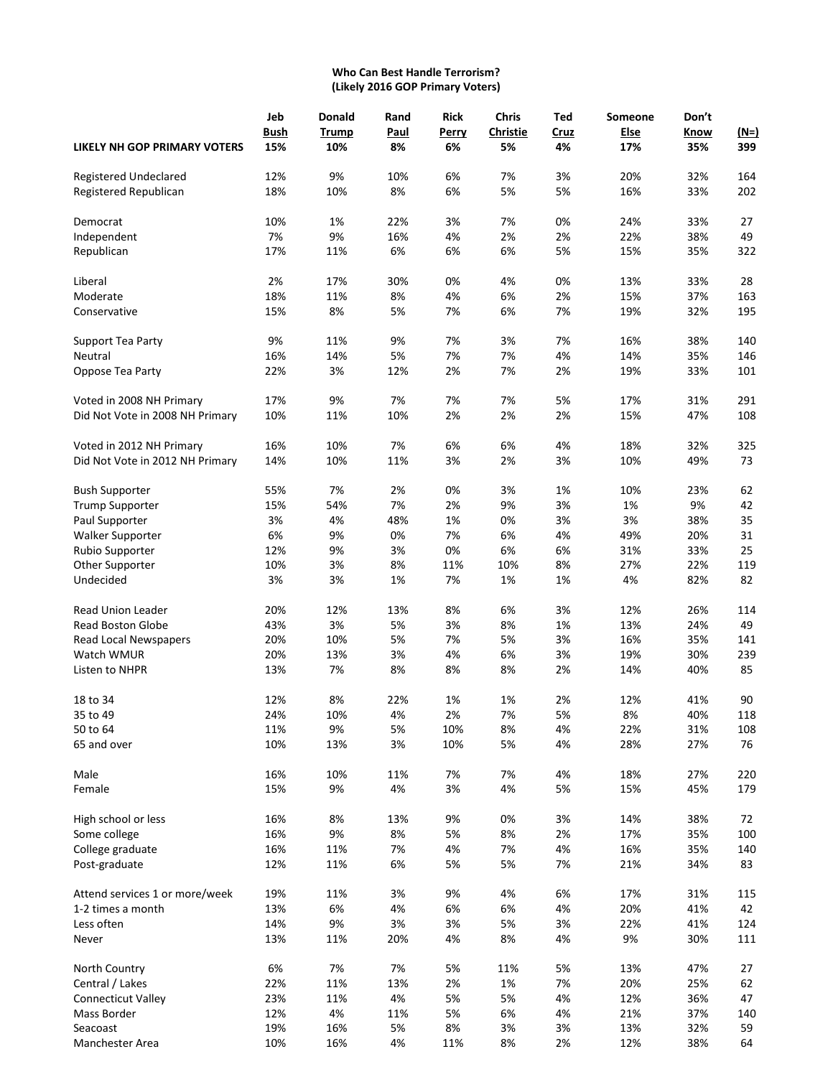# **Who Can Best Handle Terrorism? (Likely 2016 GOP Primary Voters)**

|                                     | Jeb         | <b>Donald</b> | Rand | <b>Rick</b> | Chris           | Ted  | Someone | Don't |        |
|-------------------------------------|-------------|---------------|------|-------------|-----------------|------|---------|-------|--------|
|                                     | <b>Bush</b> | <b>Trump</b>  | Paul | Perry       | <b>Christie</b> | Cruz | Else    | Know  | $(N=)$ |
| <b>LIKELY NH GOP PRIMARY VOTERS</b> | 15%         | 10%           | 8%   | 6%          | 5%              | 4%   | 17%     | 35%   | 399    |
| Registered Undeclared               | 12%         | 9%            | 10%  | 6%          | 7%              | 3%   | 20%     | 32%   | 164    |
| Registered Republican               | 18%         | 10%           | 8%   | 6%          | 5%              | 5%   | 16%     | 33%   | 202    |
| Democrat                            | 10%         | 1%            | 22%  | 3%          | 7%              | 0%   | 24%     | 33%   | 27     |
| Independent                         | 7%          | 9%            | 16%  | 4%          | 2%              | 2%   | 22%     | 38%   | 49     |
| Republican                          | 17%         | 11%           | 6%   | 6%          | 6%              | 5%   | 15%     | 35%   | 322    |
| Liberal                             | 2%          | 17%           | 30%  | 0%          | 4%              | 0%   | 13%     | 33%   | 28     |
| Moderate                            | 18%         | 11%           | 8%   | 4%          | 6%              | 2%   | 15%     | 37%   | 163    |
| Conservative                        | 15%         | 8%            | 5%   | 7%          | 6%              | 7%   | 19%     | 32%   | 195    |
| Support Tea Party                   | 9%          | 11%           | 9%   | 7%          | 3%              | 7%   | 16%     | 38%   | 140    |
| Neutral                             | 16%         | 14%           | 5%   | 7%          | 7%              | 4%   | 14%     | 35%   | 146    |
| Oppose Tea Party                    | 22%         | 3%            | 12%  | 2%          | 7%              | 2%   | 19%     | 33%   | 101    |
| Voted in 2008 NH Primary            | 17%         | 9%            | 7%   | 7%          | 7%              | 5%   | 17%     | 31%   | 291    |
| Did Not Vote in 2008 NH Primary     | 10%         | 11%           | 10%  | 2%          | 2%              | 2%   | 15%     | 47%   | 108    |
| Voted in 2012 NH Primary            | 16%         | 10%           | 7%   | 6%          | 6%              | 4%   | 18%     | 32%   | 325    |
| Did Not Vote in 2012 NH Primary     | 14%         | 10%           | 11%  | 3%          | 2%              | 3%   | 10%     | 49%   | 73     |
| <b>Bush Supporter</b>               | 55%         | 7%            | 2%   | 0%          | 3%              | 1%   | 10%     | 23%   | 62     |
| <b>Trump Supporter</b>              | 15%         | 54%           | 7%   | 2%          | 9%              | 3%   | 1%      | 9%    | 42     |
| Paul Supporter                      | 3%          | 4%            | 48%  | 1%          | 0%              | 3%   | 3%      | 38%   | 35     |
| Walker Supporter                    | 6%          | 9%            | 0%   | 7%          | 6%              | 4%   | 49%     | 20%   | 31     |
| Rubio Supporter                     | 12%         | 9%            | 3%   | 0%          | 6%              | 6%   | 31%     | 33%   | 25     |
| Other Supporter                     | 10%         | 3%            | 8%   | 11%         | 10%             | 8%   | 27%     | 22%   | 119    |
| Undecided                           | 3%          | 3%            | 1%   | 7%          | 1%              | 1%   | 4%      | 82%   | 82     |
| Read Union Leader                   | 20%         | 12%           | 13%  | 8%          | 6%              | 3%   | 12%     | 26%   | 114    |
| <b>Read Boston Globe</b>            | 43%         | 3%            | 5%   | 3%          | 8%              | 1%   | 13%     | 24%   | 49     |
| <b>Read Local Newspapers</b>        | 20%         | 10%           | 5%   | 7%          | 5%              | 3%   | 16%     | 35%   | 141    |
| Watch WMUR                          | 20%         | 13%           | 3%   | 4%          | 6%              | 3%   | 19%     | 30%   | 239    |
| Listen to NHPR                      | 13%         | 7%            | 8%   | 8%          | 8%              | 2%   | 14%     | 40%   | 85     |
| 18 to 34                            | 12%         | 8%            | 22%  | 1%          | 1%              | 2%   | 12%     | 41%   | 90     |
| 35 to 49                            | 24%         | 10%           | 4%   | 2%          | 7%              | 5%   | 8%      | 40%   | 118    |
| 50 to 64                            | 11%         | 9%            | 5%   | 10%         | 8%              | 4%   | 22%     | 31%   | 108    |
| 65 and over                         | 10%         | 13%           | 3%   | 10%         | 5%              | 4%   | 28%     | 27%   | 76     |
| Male                                | 16%         | 10%           | 11%  | 7%          | 7%              | 4%   | 18%     | 27%   | 220    |
| Female                              | 15%         | 9%            | 4%   | 3%          | 4%              | 5%   | 15%     | 45%   | 179    |
| High school or less                 | 16%         | 8%            | 13%  | 9%          | 0%              | 3%   | 14%     | 38%   | 72     |
| Some college                        | 16%         | 9%            | 8%   | 5%          | 8%              | 2%   | 17%     | 35%   | 100    |
| College graduate                    | 16%         | 11%           | 7%   | 4%          | 7%              | 4%   | 16%     | 35%   | 140    |
| Post-graduate                       | 12%         | 11%           | 6%   | 5%          | 5%              | 7%   | 21%     | 34%   | 83     |
| Attend services 1 or more/week      | 19%         | 11%           | 3%   | 9%          | 4%              | 6%   | 17%     | 31%   | 115    |
| 1-2 times a month                   | 13%         | 6%            | 4%   | 6%          | 6%              | 4%   | 20%     | 41%   | 42     |
| Less often                          | 14%         | 9%            | 3%   | 3%          | 5%              | 3%   | 22%     | 41%   | 124    |
| Never                               | 13%         | 11%           | 20%  | 4%          | 8%              | 4%   | 9%      | 30%   | 111    |
| North Country                       | 6%          | 7%            | 7%   | 5%          | 11%             | 5%   | 13%     | 47%   | 27     |
| Central / Lakes                     | 22%         | 11%           | 13%  | 2%          | $1\%$           | 7%   | 20%     | 25%   | 62     |
| <b>Connecticut Valley</b>           | 23%         | 11%           | 4%   | 5%          | 5%              | 4%   | 12%     | 36%   | 47     |
| Mass Border                         | 12%         | 4%            | 11%  | 5%          | 6%              | 4%   | 21%     | 37%   | 140    |
| Seacoast                            | 19%         | 16%           | 5%   | 8%          | 3%              | 3%   | 13%     | 32%   | 59     |
| Manchester Area                     | 10%         | 16%           | 4%   | 11%         | 8%              | 2%   | 12%     | 38%   | 64     |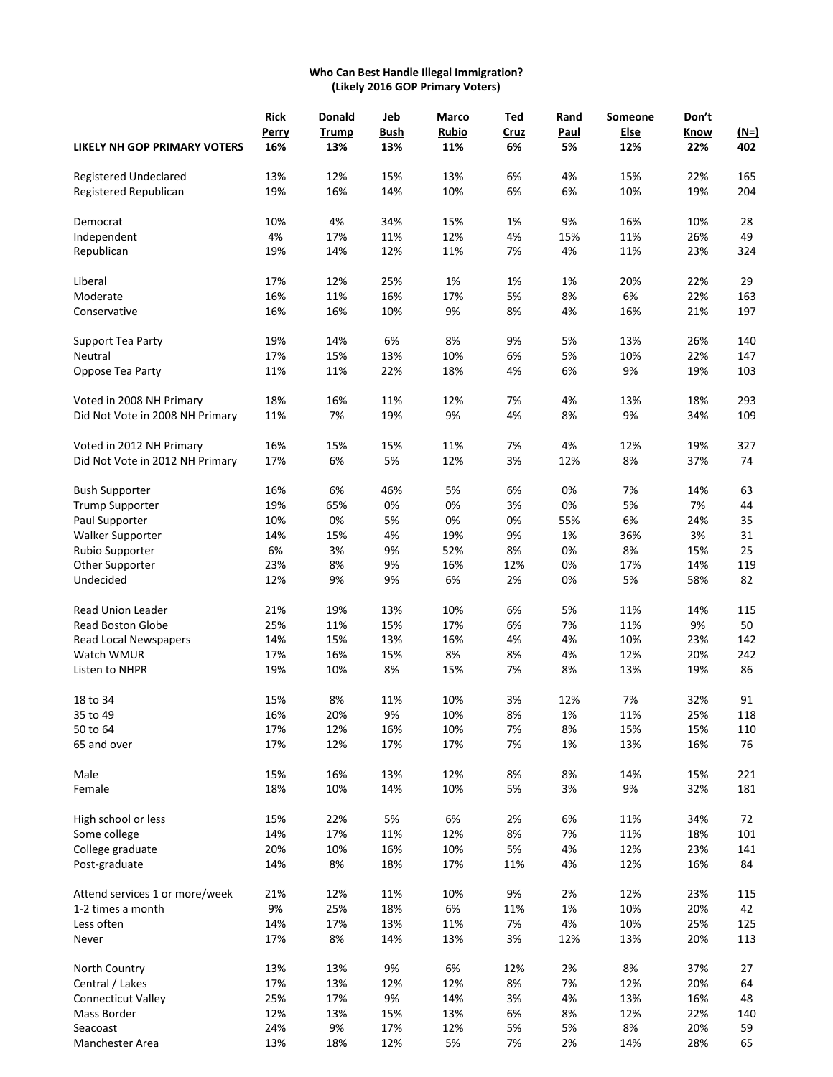#### **Who Can Best Handle Illegal Immigration? (Likely 2016 GOP Primary Voters)**

|                                 | <b>Rick</b> | <b>Donald</b> | Jeb  | Marco        | Ted  | Rand  | Someone | Don't |             |
|---------------------------------|-------------|---------------|------|--------------|------|-------|---------|-------|-------------|
|                                 | Perry       | <b>Trump</b>  | Bush | <b>Rubio</b> | Cruz | Paul  | Else    | Know  | <u>(N=)</u> |
| LIKELY NH GOP PRIMARY VOTERS    | 16%         | 13%           | 13%  | 11%          | 6%   | 5%    | 12%     | 22%   | 402         |
| Registered Undeclared           | 13%         | 12%           | 15%  | 13%          | 6%   | 4%    | 15%     | 22%   | 165         |
| Registered Republican           | 19%         | 16%           | 14%  | 10%          | 6%   | 6%    | 10%     | 19%   | 204         |
| Democrat                        | 10%         | 4%            | 34%  | 15%          | 1%   | 9%    | 16%     | 10%   | 28          |
| Independent                     | 4%          | 17%           | 11%  | 12%          | 4%   | 15%   | 11%     | 26%   | 49          |
| Republican                      | 19%         | 14%           | 12%  | 11%          | 7%   | 4%    | 11%     | 23%   | 324         |
| Liberal                         | 17%         | 12%           | 25%  | 1%           | 1%   | 1%    | 20%     | 22%   | 29          |
| Moderate                        | 16%         | 11%           | 16%  | 17%          | 5%   | 8%    | 6%      | 22%   | 163         |
| Conservative                    | 16%         | 16%           | 10%  | 9%           | 8%   | 4%    | 16%     | 21%   | 197         |
| Support Tea Party               | 19%         | 14%           | 6%   | 8%           | 9%   | 5%    | 13%     | 26%   | 140         |
| Neutral                         | 17%         | 15%           | 13%  | 10%          | 6%   | 5%    | 10%     | 22%   | 147         |
| Oppose Tea Party                | 11%         | 11%           | 22%  | 18%          | 4%   | 6%    | 9%      | 19%   | 103         |
| Voted in 2008 NH Primary        | 18%         | 16%           | 11%  | 12%          | 7%   | 4%    | 13%     | 18%   | 293         |
| Did Not Vote in 2008 NH Primary | 11%         | 7%            | 19%  | 9%           | 4%   | 8%    | 9%      | 34%   | 109         |
| Voted in 2012 NH Primary        | 16%         | 15%           | 15%  | 11%          | 7%   | 4%    | 12%     | 19%   | 327         |
| Did Not Vote in 2012 NH Primary | 17%         | 6%            | 5%   | 12%          | 3%   | 12%   | 8%      | 37%   | 74          |
| <b>Bush Supporter</b>           | 16%         | 6%            | 46%  | 5%           | 6%   | 0%    | 7%      | 14%   | 63          |
| <b>Trump Supporter</b>          | 19%         | 65%           | 0%   | 0%           | 3%   | 0%    | 5%      | 7%    | 44          |
| Paul Supporter                  | 10%         | 0%            | 5%   | 0%           | 0%   | 55%   | 6%      | 24%   | 35          |
| Walker Supporter                | 14%         | 15%           | 4%   | 19%          | 9%   | 1%    | 36%     | 3%    | 31          |
| Rubio Supporter                 | 6%          | 3%            | 9%   | 52%          | 8%   | 0%    | 8%      | 15%   | 25          |
| Other Supporter                 | 23%         | 8%            | 9%   | 16%          | 12%  | 0%    | 17%     | 14%   | 119         |
| Undecided                       | 12%         | 9%            | 9%   | 6%           | 2%   | 0%    | 5%      | 58%   | 82          |
| Read Union Leader               | 21%         | 19%           | 13%  | 10%          | 6%   | 5%    | 11%     | 14%   | 115         |
| <b>Read Boston Globe</b>        | 25%         | 11%           | 15%  | 17%          | 6%   | 7%    | 11%     | 9%    | 50          |
| <b>Read Local Newspapers</b>    | 14%         | 15%           | 13%  | 16%          | 4%   | 4%    | 10%     | 23%   | 142         |
| Watch WMUR                      | 17%         | 16%           | 15%  | 8%           | 8%   | 4%    | 12%     | 20%   | 242         |
| Listen to NHPR                  | 19%         | 10%           | 8%   | 15%          | 7%   | 8%    | 13%     | 19%   | 86          |
| 18 to 34                        | 15%         | 8%            | 11%  | 10%          | 3%   | 12%   | 7%      | 32%   | 91          |
| 35 to 49                        | 16%         | 20%           | 9%   | 10%          | 8%   | 1%    | 11%     | 25%   | 118         |
| 50 to 64                        | 17%         | 12%           | 16%  | 10%          | 7%   | 8%    | 15%     | 15%   | 110         |
| 65 and over                     | 17%         | 12%           | 17%  | 17%          | 7%   | 1%    | 13%     | 16%   | 76          |
| Male                            | 15%         | 16%           | 13%  | 12%          | 8%   | 8%    | 14%     | 15%   | 221         |
| Female                          | 18%         | 10%           | 14%  | 10%          | 5%   | 3%    | 9%      | 32%   | 181         |
| High school or less             | 15%         | 22%           | 5%   | 6%           | 2%   | 6%    | 11%     | 34%   | 72          |
| Some college                    | 14%         | 17%           | 11%  | 12%          | 8%   | 7%    | 11%     | 18%   | 101         |
| College graduate                | 20%         | 10%           | 16%  | 10%          | 5%   | 4%    | 12%     | 23%   | 141         |
| Post-graduate                   | 14%         | 8%            | 18%  | 17%          | 11%  | 4%    | 12%     | 16%   | 84          |
| Attend services 1 or more/week  | 21%         | 12%           | 11%  | 10%          | 9%   | 2%    | 12%     | 23%   | 115         |
| 1-2 times a month               | 9%          | 25%           | 18%  | 6%           | 11%  | $1\%$ | 10%     | 20%   | 42          |
| Less often                      | 14%         | 17%           | 13%  | 11%          | 7%   | 4%    | 10%     | 25%   | 125         |
| Never                           | 17%         | 8%            | 14%  | 13%          | 3%   | 12%   | 13%     | 20%   | 113         |
| North Country                   | 13%         | 13%           | 9%   | 6%           | 12%  | 2%    | 8%      | 37%   | 27          |
| Central / Lakes                 | 17%         | 13%           | 12%  | 12%          | 8%   | 7%    | 12%     | 20%   | 64          |
| <b>Connecticut Valley</b>       | 25%         | 17%           | 9%   | 14%          | 3%   | 4%    | 13%     | 16%   | 48          |
| Mass Border                     | 12%         | 13%           | 15%  | 13%          | 6%   | 8%    | 12%     | 22%   | 140         |
| Seacoast                        | 24%         | 9%            | 17%  | 12%          | 5%   | 5%    | 8%      | 20%   | 59          |
| Manchester Area                 | 13%         | 18%           | 12%  | 5%           | 7%   | 2%    | 14%     | 28%   | 65          |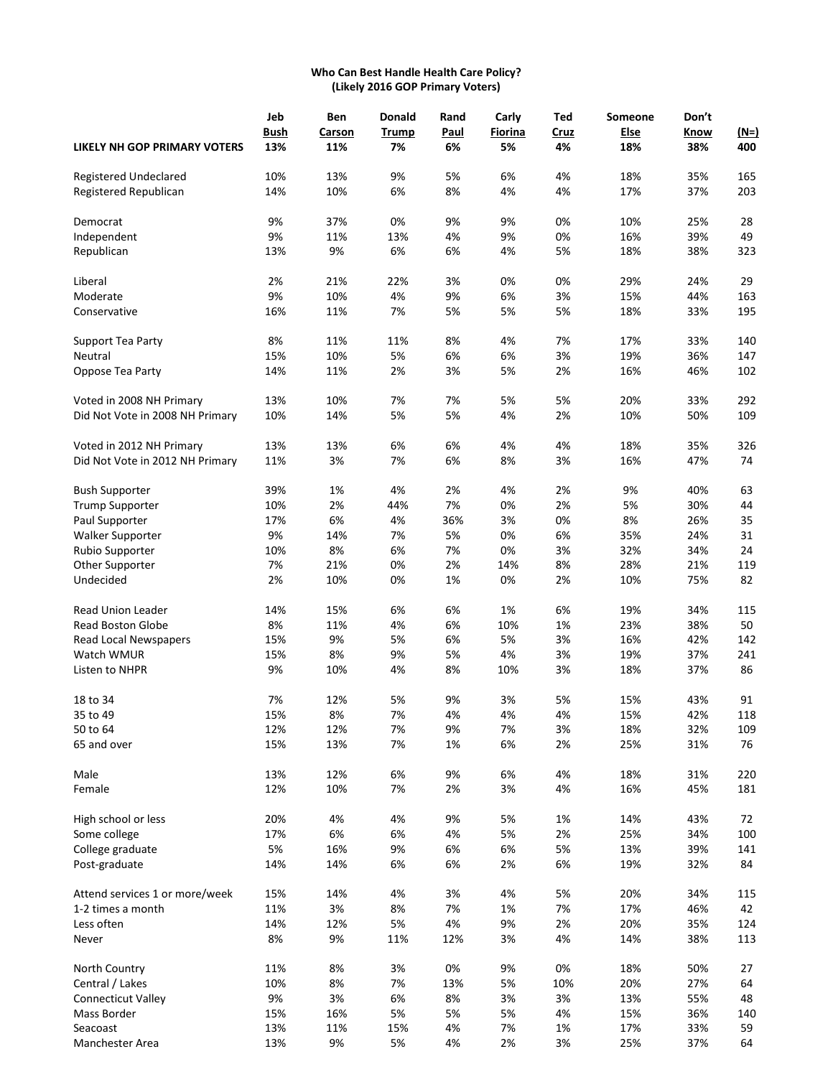# **Who Can Best Handle Health Care Policy? (Likely 2016 GOP Primary Voters)**

|                                     | Jeb         | Ben    | <b>Donald</b> | Rand        | Carly          | Ted  | Someone | Don't |        |
|-------------------------------------|-------------|--------|---------------|-------------|----------------|------|---------|-------|--------|
|                                     | <b>Bush</b> | Carson | <b>Trump</b>  | <b>Paul</b> | <b>Fiorina</b> | Cruz | Else    | Know  | $(N=)$ |
| <b>LIKELY NH GOP PRIMARY VOTERS</b> | 13%         | 11%    | 7%            | 6%          | 5%             | 4%   | 18%     | 38%   | 400    |
| Registered Undeclared               | 10%         | 13%    | 9%            | 5%          | 6%             | 4%   | 18%     | 35%   | 165    |
| Registered Republican               | 14%         | 10%    | 6%            | 8%          | 4%             | 4%   | 17%     | 37%   | 203    |
| Democrat                            | 9%          | 37%    | 0%            | 9%          | 9%             | 0%   | 10%     | 25%   | 28     |
| Independent                         | 9%          | 11%    | 13%           | 4%          | 9%             | 0%   | 16%     | 39%   | 49     |
| Republican                          | 13%         | 9%     | 6%            | 6%          | 4%             | 5%   | 18%     | 38%   | 323    |
| Liberal                             | 2%          | 21%    | 22%           | 3%          | 0%             | 0%   | 29%     | 24%   | 29     |
| Moderate                            | 9%          | 10%    | 4%            | 9%          | 6%             | 3%   | 15%     | 44%   | 163    |
| Conservative                        | 16%         | 11%    | 7%            | 5%          | 5%             | 5%   | 18%     | 33%   | 195    |
| Support Tea Party                   | 8%          | 11%    | 11%           | 8%          | 4%             | 7%   | 17%     | 33%   | 140    |
| Neutral                             | 15%         | 10%    | 5%            | 6%          | 6%             | 3%   | 19%     | 36%   | 147    |
| Oppose Tea Party                    | 14%         | 11%    | 2%            | 3%          | 5%             | 2%   | 16%     | 46%   | 102    |
| Voted in 2008 NH Primary            | 13%         | 10%    | 7%            | 7%          | 5%             | 5%   | 20%     | 33%   | 292    |
| Did Not Vote in 2008 NH Primary     | 10%         | 14%    | 5%            | 5%          | 4%             | 2%   | 10%     | 50%   | 109    |
| Voted in 2012 NH Primary            | 13%         | 13%    | 6%            | 6%          | 4%             | 4%   | 18%     | 35%   | 326    |
| Did Not Vote in 2012 NH Primary     | 11%         | 3%     | 7%            | 6%          | 8%             | 3%   | 16%     | 47%   | 74     |
| <b>Bush Supporter</b>               | 39%         | 1%     | 4%            | 2%          | 4%             | 2%   | 9%      | 40%   | 63     |
| <b>Trump Supporter</b>              | 10%         | 2%     | 44%           | 7%          | 0%             | 2%   | 5%      | 30%   | 44     |
| Paul Supporter                      | 17%         | 6%     | 4%            | 36%         | 3%             | 0%   | 8%      | 26%   | 35     |
| Walker Supporter                    | 9%          | 14%    | 7%            | 5%          | 0%             | 6%   | 35%     | 24%   | 31     |
| Rubio Supporter                     | 10%         | 8%     | 6%            | 7%          | 0%             | 3%   | 32%     | 34%   | 24     |
| Other Supporter                     | 7%          | 21%    | 0%            | 2%          | 14%            | 8%   | 28%     | 21%   | 119    |
| Undecided                           | 2%          | 10%    | 0%            | 1%          | 0%             | 2%   | 10%     | 75%   | 82     |
| <b>Read Union Leader</b>            | 14%         | 15%    | 6%            | 6%          | 1%             | 6%   | 19%     | 34%   | 115    |
| Read Boston Globe                   | 8%          | 11%    | 4%            | 6%          | 10%            | 1%   | 23%     | 38%   | 50     |
| Read Local Newspapers               | 15%         | 9%     | 5%            | 6%          | 5%             | 3%   | 16%     | 42%   | 142    |
| Watch WMUR                          | 15%         | 8%     | 9%            | 5%          | 4%             | 3%   | 19%     | 37%   | 241    |
| Listen to NHPR                      | 9%          | 10%    | 4%            | 8%          | 10%            | 3%   | 18%     | 37%   | 86     |
| 18 to 34                            | 7%          | 12%    | 5%            | 9%          | 3%             | 5%   | 15%     | 43%   | 91     |
| 35 to 49                            | 15%         | 8%     | 7%            | 4%          | 4%             | 4%   | 15%     | 42%   | 118    |
| 50 to 64                            | 12%         | 12%    | 7%            | 9%          | 7%             | 3%   | 18%     | 32%   | 109    |
| 65 and over                         | 15%         | 13%    | 7%            | 1%          | 6%             | 2%   | 25%     | 31%   | 76     |
| Male                                | 13%         | 12%    | 6%            | 9%          | 6%             | 4%   | 18%     | 31%   | 220    |
| Female                              | 12%         | 10%    | 7%            | 2%          | 3%             | 4%   | 16%     | 45%   | 181    |
| High school or less                 | 20%         | 4%     | 4%            | 9%          | 5%             | 1%   | 14%     | 43%   | 72     |
| Some college                        | 17%         | 6%     | 6%            | 4%          | 5%             | 2%   | 25%     | 34%   | 100    |
| College graduate                    | 5%          | 16%    | 9%            | 6%          | 6%             | 5%   | 13%     | 39%   | 141    |
| Post-graduate                       | 14%         | 14%    | 6%            | 6%          | 2%             | 6%   | 19%     | 32%   | 84     |
| Attend services 1 or more/week      | 15%         | 14%    | 4%            | 3%          | 4%             | 5%   | 20%     | 34%   | 115    |
| 1-2 times a month                   | 11%         | 3%     | 8%            | 7%          | 1%             | 7%   | 17%     | 46%   | 42     |
| Less often                          | 14%         | 12%    | 5%            | 4%          | 9%             | 2%   | 20%     | 35%   | 124    |
| Never                               | 8%          | 9%     | 11%           | 12%         | 3%             | 4%   | 14%     | 38%   | 113    |
| North Country                       | 11%         | 8%     | 3%            | 0%          | 9%             | 0%   | 18%     | 50%   | 27     |
| Central / Lakes                     | 10%         | 8%     | 7%            | 13%         | 5%             | 10%  | 20%     | 27%   | 64     |
| <b>Connecticut Valley</b>           | 9%          | 3%     | 6%            | 8%          | 3%             | 3%   | 13%     | 55%   | 48     |
| Mass Border                         | 15%         | 16%    | 5%            | 5%          | 5%             | 4%   | 15%     | 36%   | 140    |
| Seacoast                            | 13%         | 11%    | 15%           | 4%          | 7%             | 1%   | 17%     | 33%   | 59     |
| Manchester Area                     | 13%         | 9%     | 5%            | 4%          | 2%             | 3%   | 25%     | 37%   | 64     |